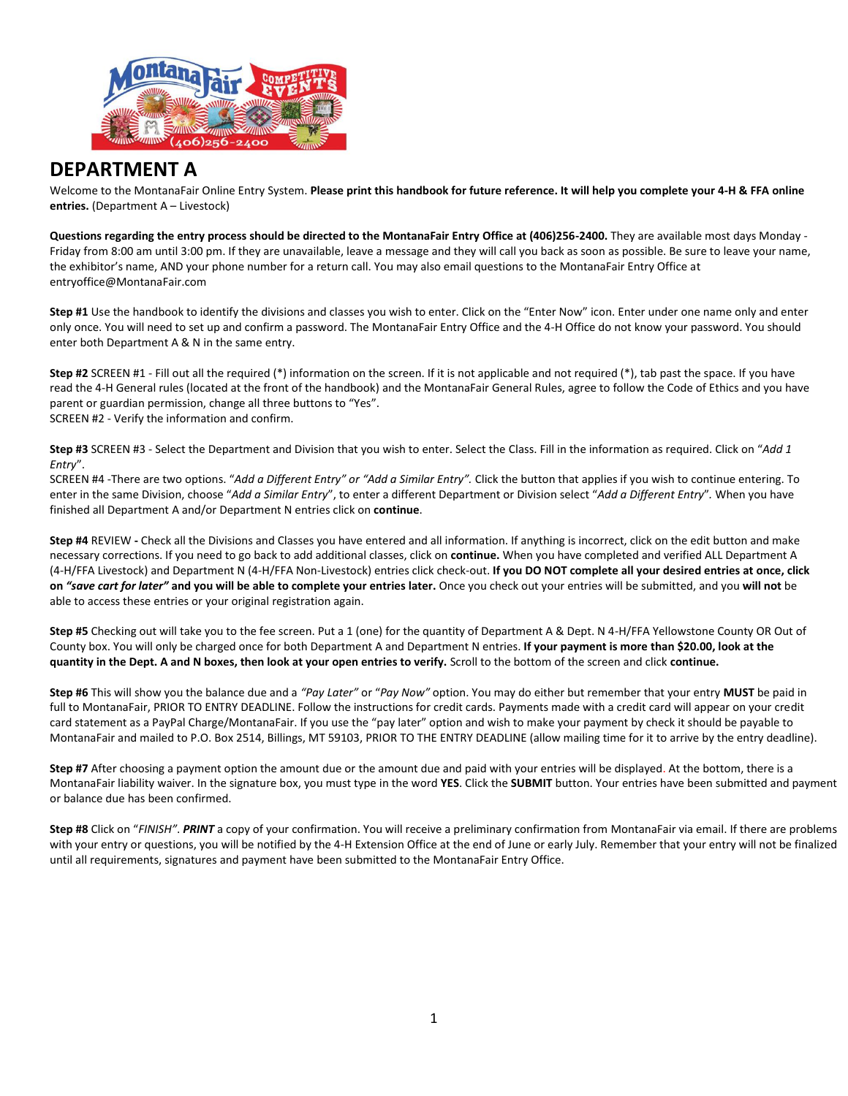

# **DEPARTMENT A**

Welcome to the MontanaFair Online Entry System. **Please print this handbook for future reference. It will help you complete your 4-H & FFA online entries.** (Department A – Livestock)

**Questions regarding the entry process should be directed to the MontanaFair Entry Office at (406)256-2400.** They are available most days Monday - Friday from 8:00 am until 3:00 pm. If they are unavailable, leave a message and they will call you back as soon as possible. Be sure to leave your name, the exhibitor's name, AND your phone number for a return call. You may also email questions to the MontanaFair Entry Office at entryoffice@MontanaFair.com

**Step #1** Use the handbook to identify the divisions and classes you wish to enter. Click on the "Enter Now" icon. Enter under one name only and enter only once. You will need to set up and confirm a password. The MontanaFair Entry Office and the 4-H Office do not know your password. You should enter both Department A & N in the same entry.

**Step #2** SCREEN #1 - Fill out all the required (\*) information on the screen. If it is not applicable and not required (\*), tab past the space. If you have read the 4-H General rules (located at the front of the handbook) and the MontanaFair General Rules, agree to follow the Code of Ethics and you have parent or guardian permission, change all three buttons to "Yes". SCREEN #2 - Verify the information and confirm.

**Step #3** SCREEN #3 - Select the Department and Division that you wish to enter. Select the Class. Fill in the information as required. Click on "*Add 1 Entry*".

SCREEN #4 -There are two options. "*Add a Different Entry" or "Add a Similar Entry".* Click the button that applies if you wish to continue entering. To enter in the same Division, choose "*Add a Similar Entry*", to enter a different Department or Division select "*Add a Different Entry*"*.* When you have finished all Department A and/or Department N entries click on **continue**.

**Step #4** REVIEW **-** Check all the Divisions and Classes you have entered and all information. If anything is incorrect, click on the edit button and make necessary corrections. If you need to go back to add additional classes, click on **continue.** When you have completed and verified ALL Department A (4-H/FFA Livestock) and Department N (4-H/FFA Non-Livestock) entries click check-out. **If you DO NOT complete all your desired entries at once, click on** *"save cart for later"* **and you will be able to complete your entries later.** Once you check out your entries will be submitted, and you **will not** be able to access these entries or your original registration again.

**Step #5** Checking out will take you to the fee screen. Put a 1 (one) for the quantity of Department A & Dept. N 4-H/FFA Yellowstone County OR Out of County box. You will only be charged once for both Department A and Department N entries. **If your payment is more than \$20.00, look at the quantity in the Dept. A and N boxes, then look at your open entries to verify.** Scroll to the bottom of the screen and click **continue.**

**Step #6** This will show you the balance due and a *"Pay Later"* or "*Pay Now"* option. You may do either but remember that your entry **MUST** be paid in full to MontanaFair, PRIOR TO ENTRY DEADLINE. Follow the instructions for credit cards. Payments made with a credit card will appear on your credit card statement as a PayPal Charge/MontanaFair. If you use the "pay later" option and wish to make your payment by check it should be payable to MontanaFair and mailed to P.O. Box 2514, Billings, MT 59103, PRIOR TO THE ENTRY DEADLINE (allow mailing time for it to arrive by the entry deadline).

**Step #7** After choosing a payment option the amount due or the amount due and paid with your entries will be displayed. At the bottom, there is a MontanaFair liability waiver. In the signature box, you must type in the word **YES**. Click the **SUBMIT** button. Your entries have been submitted and payment or balance due has been confirmed.

**Step #8** Click on "*FINISH"*. *PRINT* a copy of your confirmation. You will receive a preliminary confirmation from MontanaFair via email. If there are problems with your entry or questions, you will be notified by the 4-H Extension Office at the end of June or early July. Remember that your entry will not be finalized until all requirements, signatures and payment have been submitted to the MontanaFair Entry Office.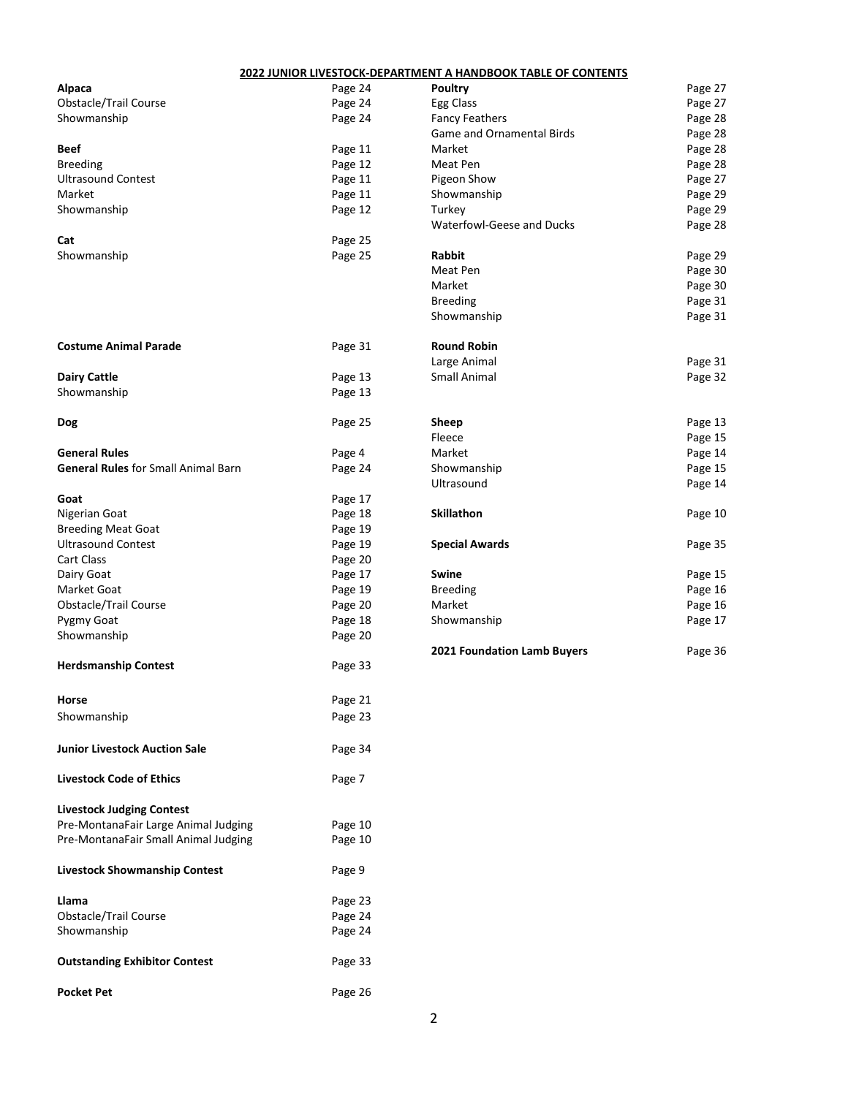|                                            |         | 2022 JUNIOR LIVESTOCK-DEPARTMENT A HANDBOOK TABLE OF CONTENTS |         |
|--------------------------------------------|---------|---------------------------------------------------------------|---------|
| Alpaca                                     | Page 24 | <b>Poultry</b>                                                | Page 27 |
| Obstacle/Trail Course                      | Page 24 | Egg Class                                                     | Page 27 |
| Showmanship                                | Page 24 | <b>Fancy Feathers</b>                                         | Page 28 |
|                                            |         | Game and Ornamental Birds                                     | Page 28 |
| Beef                                       | Page 11 | Market                                                        | Page 28 |
| <b>Breeding</b>                            | Page 12 | Meat Pen                                                      | Page 28 |
| <b>Ultrasound Contest</b>                  | Page 11 | Pigeon Show                                                   | Page 27 |
| Market                                     | Page 11 | Showmanship                                                   | Page 29 |
| Showmanship                                | Page 12 | Turkey                                                        | Page 29 |
|                                            |         | Waterfowl-Geese and Ducks                                     | Page 28 |
| Cat                                        | Page 25 |                                                               |         |
| Showmanship                                | Page 25 | Rabbit                                                        | Page 29 |
|                                            |         | Meat Pen                                                      | Page 30 |
|                                            |         | Market                                                        | Page 30 |
|                                            |         | <b>Breeding</b>                                               | Page 31 |
|                                            |         | Showmanship                                                   | Page 31 |
| <b>Costume Animal Parade</b>               | Page 31 | <b>Round Robin</b>                                            |         |
|                                            |         | Large Animal                                                  | Page 31 |
| <b>Dairy Cattle</b>                        | Page 13 | <b>Small Animal</b>                                           | Page 32 |
| Showmanship                                | Page 13 |                                                               |         |
| Dog                                        | Page 25 | Sheep                                                         | Page 13 |
|                                            |         | Fleece                                                        | Page 15 |
| <b>General Rules</b>                       | Page 4  | Market                                                        | Page 14 |
| <b>General Rules</b> for Small Animal Barn | Page 24 | Showmanship                                                   | Page 15 |
|                                            |         | Ultrasound                                                    | Page 14 |
| Goat                                       | Page 17 |                                                               |         |
| Nigerian Goat                              | Page 18 | Skillathon                                                    | Page 10 |
| <b>Breeding Meat Goat</b>                  | Page 19 |                                                               |         |
| <b>Ultrasound Contest</b>                  | Page 19 | <b>Special Awards</b>                                         | Page 35 |
| Cart Class                                 | Page 20 |                                                               |         |
| Dairy Goat                                 | Page 17 | Swine                                                         | Page 15 |
| Market Goat                                | Page 19 | <b>Breeding</b>                                               | Page 16 |
| Obstacle/Trail Course                      | Page 20 | Market                                                        | Page 16 |
| Pygmy Goat                                 | Page 18 | Showmanship                                                   | Page 17 |
| Showmanship                                | Page 20 |                                                               |         |
| <b>Herdsmanship Contest</b>                | Page 33 | 2021 Foundation Lamb Buyers                                   | Page 36 |
|                                            |         |                                                               |         |
| Horse                                      | Page 21 |                                                               |         |
| Showmanship                                | Page 23 |                                                               |         |
| <b>Junior Livestock Auction Sale</b>       | Page 34 |                                                               |         |
| <b>Livestock Code of Ethics</b>            | Page 7  |                                                               |         |
| <b>Livestock Judging Contest</b>           |         |                                                               |         |
| Pre-MontanaFair Large Animal Judging       | Page 10 |                                                               |         |
| Pre-MontanaFair Small Animal Judging       | Page 10 |                                                               |         |
| <b>Livestock Showmanship Contest</b>       | Page 9  |                                                               |         |
| Llama                                      | Page 23 |                                                               |         |
| Obstacle/Trail Course                      | Page 24 |                                                               |         |
| Showmanship                                | Page 24 |                                                               |         |
| <b>Outstanding Exhibitor Contest</b>       | Page 33 |                                                               |         |
| <b>Pocket Pet</b>                          | Page 26 |                                                               |         |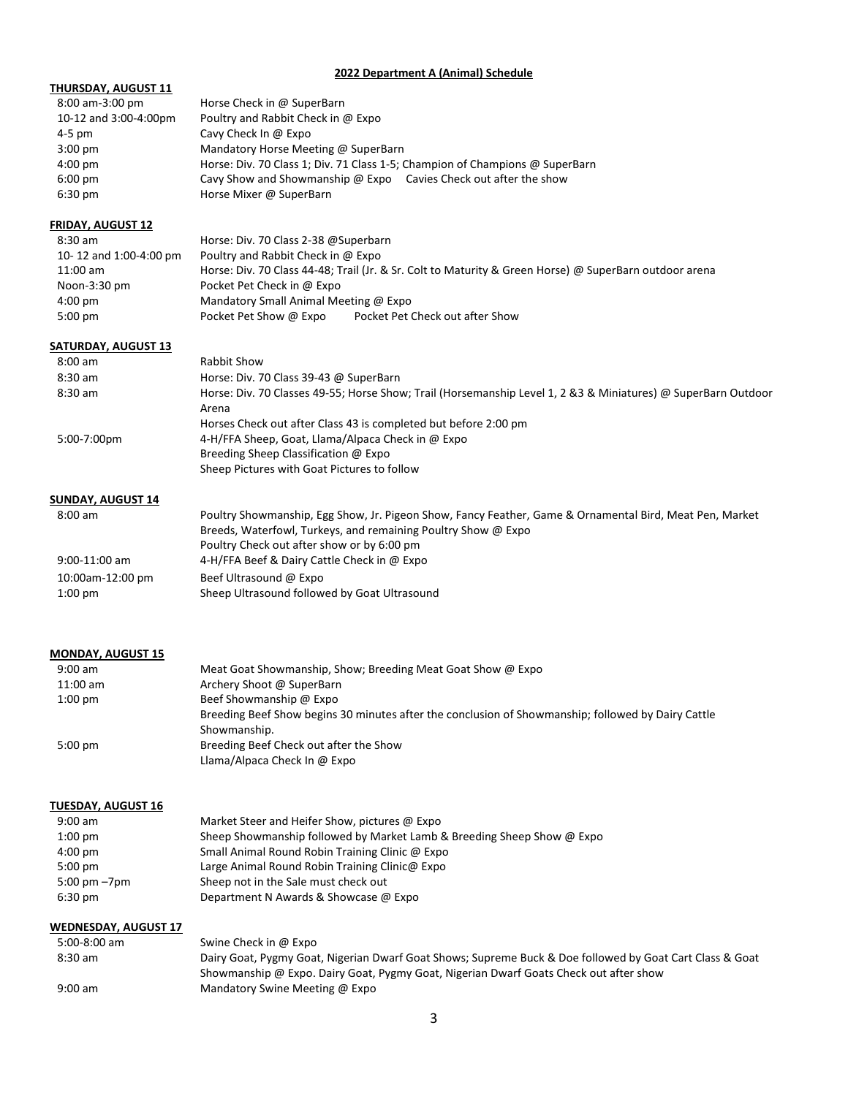#### **2022 Department A (Animal) Schedule**

## **THURSDAY, AUGUST 11**

| 8:00 am-3:00 pm       | Horse Check in @ SuperBarn                                                   |
|-----------------------|------------------------------------------------------------------------------|
| 10-12 and 3:00-4:00pm | Poultry and Rabbit Check in @ Expo                                           |
| 4-5 pm                | Cavy Check In @ Expo                                                         |
| $3:00$ pm             | Mandatory Horse Meeting @ SuperBarn                                          |
| 4:00 pm               | Horse: Div. 70 Class 1; Div. 71 Class 1-5; Champion of Champions @ SuperBarn |
| 6:00 pm               | Cavy Show and Showmanship @ Expo Cavies Check out after the show             |
| 6:30 pm               | Horse Mixer @ SuperBarn                                                      |

# **FRIDAY, AUGUST 12**

| $8:30$ am              | Horse: Div. 70 Class 2-38 @Superbarn                                                                   |
|------------------------|--------------------------------------------------------------------------------------------------------|
| 10-12 and 1:00-4:00 pm | Poultry and Rabbit Check in @ Expo                                                                     |
| $11:00$ am             | Horse: Div. 70 Class 44-48; Trail (Jr. & Sr. Colt to Maturity & Green Horse) @ SuperBarn outdoor arena |
| Noon-3:30 pm           | Pocket Pet Check in @ Expo                                                                             |
| $4:00 \text{ pm}$      | Mandatory Small Animal Meeting @ Expo                                                                  |
| 5:00 pm                | Pocket Pet Check out after Show<br>Pocket Pet Show @ Expo                                              |

# **SATURDAY, AUGUST 13**

| $8:00 \text{ am}$ | Rabbit Show                                                                                                    |
|-------------------|----------------------------------------------------------------------------------------------------------------|
| $8:30$ am         | Horse: Div. 70 Class 39-43 @ SuperBarn                                                                         |
| $8:30$ am         | Horse: Div. 70 Classes 49-55; Horse Show; Trail (Horsemanship Level 1, 2 & 3 & Miniatures) @ SuperBarn Outdoor |
|                   | Arena                                                                                                          |
|                   | Horses Check out after Class 43 is completed but before 2:00 pm                                                |
| 5:00-7:00pm       | 4-H/FFA Sheep, Goat, Llama/Alpaca Check in @ Expo                                                              |
|                   | Breeding Sheep Classification @ Expo                                                                           |
|                   | Sheep Pictures with Goat Pictures to follow                                                                    |
|                   |                                                                                                                |

# **SUNDAY, AUGUST 14**

| $8:00$ am        | Poultry Showmanship, Egg Show, Jr. Pigeon Show, Fancy Feather, Game & Ornamental Bird, Meat Pen, Market |
|------------------|---------------------------------------------------------------------------------------------------------|
|                  | Breeds, Waterfowl, Turkeys, and remaining Poultry Show @ Expo                                           |
|                  | Poultry Check out after show or by 6:00 pm                                                              |
| $9:00-11:00$ am  | 4-H/FFA Beef & Dairy Cattle Check in @ Expo                                                             |
| 10:00am-12:00 pm | Beef Ultrasound @ Expo                                                                                  |
| $1:00$ pm        | Sheep Ultrasound followed by Goat Ultrasound                                                            |

# **MONDAY, AUGUST 15**

| $9:00$ am         | Meat Goat Showmanship, Show; Breeding Meat Goat Show @ Expo                                        |
|-------------------|----------------------------------------------------------------------------------------------------|
| $11:00$ am        | Archery Shoot @ SuperBarn                                                                          |
| $1:00$ pm         | Beef Showmanship @ Expo                                                                            |
|                   | Breeding Beef Show begins 30 minutes after the conclusion of Showmanship; followed by Dairy Cattle |
|                   | Showmanship.                                                                                       |
| $5:00 \text{ pm}$ | Breeding Beef Check out after the Show                                                             |
|                   | Llama/Alpaca Check In @ Expo                                                                       |

# **TUESDAY, AUGUST 16**

| Market Steer and Heifer Show, pictures $\omega$ Expo                   |
|------------------------------------------------------------------------|
| Sheep Showmanship followed by Market Lamb & Breeding Sheep Show @ Expo |
| Small Animal Round Robin Training Clinic @ Expo                        |
| Large Animal Round Robin Training Clinic@ Expo                         |
| Sheep not in the Sale must check out                                   |
| Department N Awards & Showcase @ Expo                                  |
|                                                                        |

#### **WEDNESDAY, AUGUST 17**

| 5:00-8:00 am | Swine Check in @ Expo                                                                                    |
|--------------|----------------------------------------------------------------------------------------------------------|
| 8:30 am      | Dairy Goat, Pygmy Goat, Nigerian Dwarf Goat Shows; Supreme Buck & Doe followed by Goat Cart Class & Goat |
|              | Showmanship @ Expo. Dairy Goat, Pygmy Goat, Nigerian Dwarf Goats Check out after show                    |
| $9:00$ am    | Mandatory Swine Meeting $\omega$ Expo                                                                    |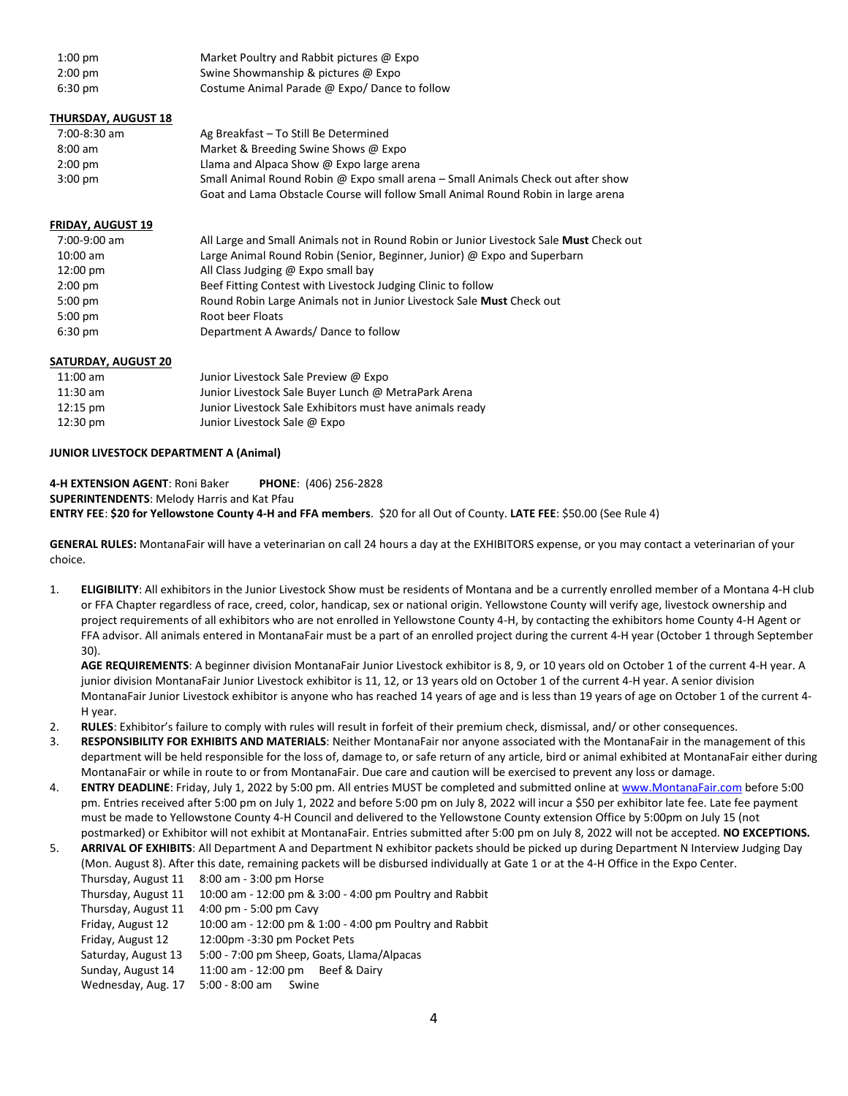| $1:00$ pm         | Market Poultry and Rabbit pictures @ Expo    |
|-------------------|----------------------------------------------|
| $2:00 \text{ pm}$ | Swine Showmanship & pictures @ Expo          |
| 6:30 pm           | Costume Animal Parade @ Expo/Dance to follow |

#### **THURSDAY, AUGUST 18**

| 7:00-8:30 am      | Ag Breakfast - To Still Be Determined                                             |
|-------------------|-----------------------------------------------------------------------------------|
| $8:00$ am         | Market & Breeding Swine Shows @ Expo                                              |
| $2:00 \text{ pm}$ | Llama and Alpaca Show $\omega$ Expo large arena                                   |
| $3:00 \text{ pm}$ | Small Animal Round Robin @ Expo small arena – Small Animals Check out after show  |
|                   | Goat and Lama Obstacle Course will follow Small Animal Round Robin in large arena |

#### **FRIDAY, AUGUST 19**

| 7:00-9:00 am       | All Large and Small Animals not in Round Robin or Junior Livestock Sale Must Check out |
|--------------------|----------------------------------------------------------------------------------------|
| $10:00 \text{ am}$ | Large Animal Round Robin (Senior, Beginner, Junior) @ Expo and Superbarn               |
| $12:00 \text{ pm}$ | All Class Judging $\omega$ Expo small bay                                              |
| $2:00$ pm          | Beef Fitting Contest with Livestock Judging Clinic to follow                           |
| $5:00$ pm          | Round Robin Large Animals not in Junior Livestock Sale Must Check out                  |
| $5:00$ pm          | Root beer Floats                                                                       |
| $6:30 \text{ pm}$  | Department A Awards/Dance to follow                                                    |

#### **SATURDAY, AUGUST 20**

| 11:00 am           | Junior Livestock Sale Preview @ Expo                     |
|--------------------|----------------------------------------------------------|
| 11:30 am           | Junior Livestock Sale Buyer Lunch @ MetraPark Arena      |
| $12:15 \text{ pm}$ | Junior Livestock Sale Exhibitors must have animals ready |
| 12:30 pm           | Junior Livestock Sale @ Expo                             |

#### **JUNIOR LIVESTOCK DEPARTMENT A (Animal)**

**4-H EXTENSION AGENT**: Roni Baker **PHONE**: (406) 256-2828 **SUPERINTENDENTS**: Melody Harris and Kat Pfau **ENTRY FEE**: **\$20 for Yellowstone County 4-H and FFA members**. \$20 for all Out of County. **LATE FEE**: \$50.00 (See Rule 4)

**GENERAL RULES:** MontanaFair will have a veterinarian on call 24 hours a day at the EXHIBITORS expense, or you may contact a veterinarian of your choice.

1. **ELIGIBILITY**: All exhibitors in the Junior Livestock Show must be residents of Montana and be a currently enrolled member of a Montana 4-H club or FFA Chapter regardless of race, creed, color, handicap, sex or national origin. Yellowstone County will verify age, livestock ownership and project requirements of all exhibitors who are not enrolled in Yellowstone County 4-H, by contacting the exhibitors home County 4-H Agent or FFA advisor. All animals entered in MontanaFair must be a part of an enrolled project during the current 4-H year (October 1 through September 30).

**AGE REQUIREMENTS**: A beginner division MontanaFair Junior Livestock exhibitor is 8, 9, or 10 years old on October 1 of the current 4-H year. A junior division MontanaFair Junior Livestock exhibitor is 11, 12, or 13 years old on October 1 of the current 4-H year. A senior division MontanaFair Junior Livestock exhibitor is anyone who has reached 14 years of age and is less than 19 years of age on October 1 of the current 4- H year.

- 2. **RULES**: Exhibitor's failure to comply with rules will result in forfeit of their premium check, dismissal, and/ or other consequences.
- 3. **RESPONSIBILITY FOR EXHIBITS AND MATERIALS**: Neither MontanaFair nor anyone associated with the MontanaFair in the management of this department will be held responsible for the loss of, damage to, or safe return of any article, bird or animal exhibited at MontanaFair either during MontanaFair or while in route to or from MontanaFair. Due care and caution will be exercised to prevent any loss or damage.
- 4. **ENTRY DEADLINE**: Friday, July 1, 2022 by 5:00 pm. All entries MUST be completed and submitted online a[t www.MontanaFair.com](http://www.montanafair.com/) before 5:00 pm. Entries received after 5:00 pm on July 1, 2022 and before 5:00 pm on July 8, 2022 will incur a \$50 per exhibitor late fee. Late fee payment must be made to Yellowstone County 4-H Council and delivered to the Yellowstone County extension Office by 5:00pm on July 15 (not postmarked) or Exhibitor will not exhibit at MontanaFair. Entries submitted after 5:00 pm on July 8, 2022 will not be accepted. **NO EXCEPTIONS.**
- 5. **ARRIVAL OF EXHIBITS**: All Department A and Department N exhibitor packets should be picked up during Department N Interview Judging Day (Mon. August 8). After this date, remaining packets will be disbursed individually at Gate 1 or at the 4-H Office in the Expo Center. Thursday, August 11 8:00 am - 3:00 pm Horse
	- Thursday, August 11 10:00 am 12:00 pm & 3:00 4:00 pm Poultry and Rabbit
	- Thursday, August 11 4:00 pm 5:00 pm Cavy
	- Friday, August 12 10:00 am 12:00 pm & 1:00 4:00 pm Poultry and Rabbit
	- Friday, August 12 12:00pm -3:30 pm Pocket Pets
	- Saturday, August 13 5:00 7:00 pm Sheep, Goats, Llama/Alpacas
	- Sunday, August 14 11:00 am 12:00 pm Beef & Dairy
	- Wednesday, Aug. 17 5:00 8:00 am Swine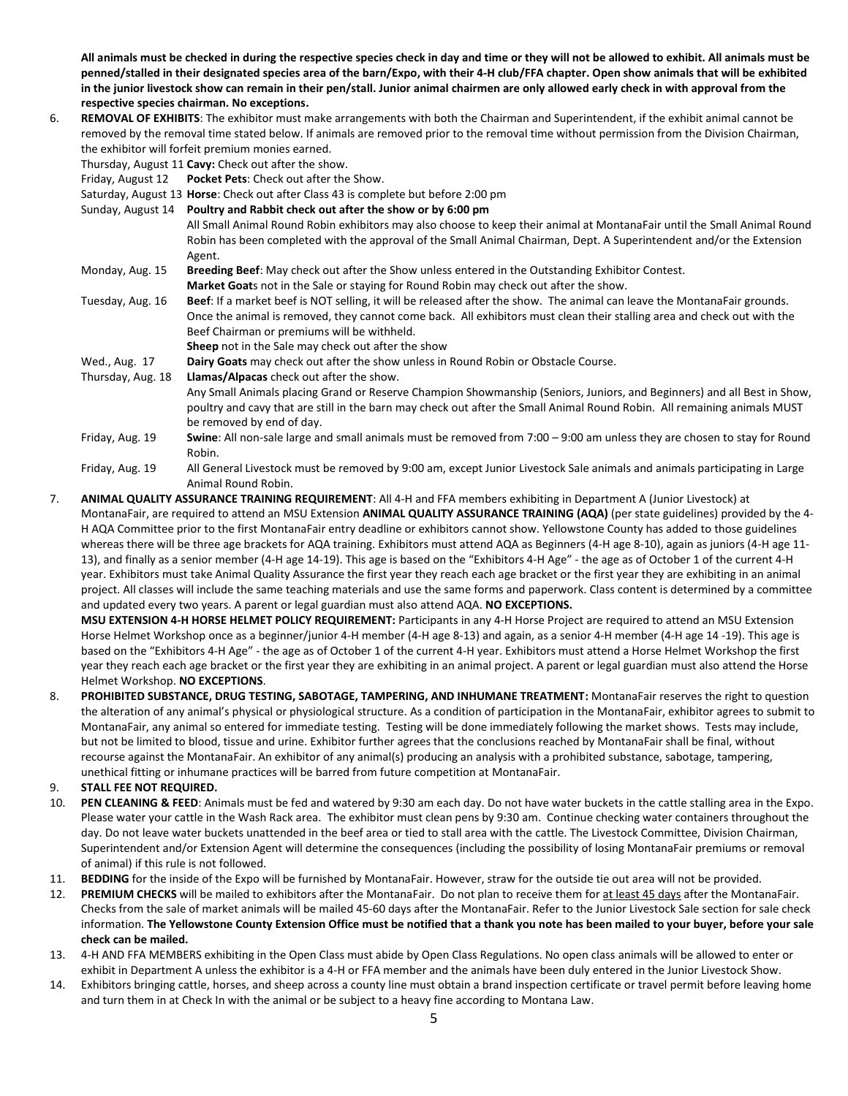**All animals must be checked in during the respective species check in day and time or they will not be allowed to exhibit. All animals must be penned/stalled in their designated species area of the barn/Expo, with their 4-H club/FFA chapter. Open show animals that will be exhibited in the junior livestock show can remain in their pen/stall. Junior animal chairmen are only allowed early check in with approval from the respective species chairman. No exceptions.**

6. **REMOVAL OF EXHIBITS**: The exhibitor must make arrangements with both the Chairman and Superintendent, if the exhibit animal cannot be removed by the removal time stated below. If animals are removed prior to the removal time without permission from the Division Chairman, the exhibitor will forfeit premium monies earned.

Thursday, August 11 **Cavy:** Check out after the show.

Friday, August 12 **Pocket Pets**: Check out after the Show.

Saturday, August 13 **Horse**: Check out after Class 43 is complete but before 2:00 pm

- Sunday, August 14 **Poultry and Rabbit check out after the show or by 6:00 pm**
	- All Small Animal Round Robin exhibitors may also choose to keep their animal at MontanaFair until the Small Animal Round Robin has been completed with the approval of the Small Animal Chairman, Dept. A Superintendent and/or the Extension Agent.
- Monday, Aug. 15 **Breeding Beef**: May check out after the Show unless entered in the Outstanding Exhibitor Contest. **Market Goat**s not in the Sale or staying for Round Robin may check out after the show.
- Tuesday, Aug. 16 **Beef**: If a market beef is NOT selling, it will be released after the show. The animal can leave the MontanaFair grounds. Once the animal is removed, they cannot come back. All exhibitors must clean their stalling area and check out with the Beef Chairman or premiums will be withheld.
	- **Sheep** not in the Sale may check out after the show

Wed., Aug. 17 **Dairy Goats** may check out after the show unless in Round Robin or Obstacle Course.

- Thursday, Aug. 18 **Llamas/Alpacas** check out after the show.
	- Any Small Animals placing Grand or Reserve Champion Showmanship (Seniors, Juniors, and Beginners) and all Best in Show, poultry and cavy that are still in the barn may check out after the Small Animal Round Robin. All remaining animals MUST be removed by end of day.
- Friday, Aug. 19 **Swine**: All non-sale large and small animals must be removed from 7:00 9:00 am unless they are chosen to stay for Round Robin.
- Friday, Aug. 19 All General Livestock must be removed by 9:00 am, except Junior Livestock Sale animals and animals participating in Large Animal Round Robin.
- 7. **ANIMAL QUALITY ASSURANCE TRAINING REQUIREMENT**: All 4-H and FFA members exhibiting in Department A (Junior Livestock) at MontanaFair, are required to attend an MSU Extension **ANIMAL QUALITY ASSURANCE TRAINING (AQA)** (per state guidelines) provided by the 4- H AQA Committee prior to the first MontanaFair entry deadline or exhibitors cannot show. Yellowstone County has added to those guidelines whereas there will be three age brackets for AQA training. Exhibitors must attend AQA as Beginners (4-H age 8-10), again as juniors (4-H age 11- 13), and finally as a senior member (4-H age 14-19). This age is based on the "Exhibitors 4-H Age" - the age as of October 1 of the current 4-H year. Exhibitors must take Animal Quality Assurance the first year they reach each age bracket or the first year they are exhibiting in an animal project. All classes will include the same teaching materials and use the same forms and paperwork. Class content is determined by a committee and updated every two years. A parent or legal guardian must also attend AQA. **NO EXCEPTIONS.**

**MSU EXTENSION 4-H HORSE HELMET POLICY REQUIREMENT:** Participants in any 4-H Horse Project are required to attend an MSU Extension Horse Helmet Workshop once as a beginner/junior 4-H member (4-H age 8-13) and again, as a senior 4-H member (4-H age 14 -19). This age is based on the "Exhibitors 4-H Age" - the age as of October 1 of the current 4-H year. Exhibitors must attend a Horse Helmet Workshop the first year they reach each age bracket or the first year they are exhibiting in an animal project. A parent or legal guardian must also attend the Horse Helmet Workshop. **NO EXCEPTIONS**.

- 8. **PROHIBITED SUBSTANCE, DRUG TESTING, SABOTAGE, TAMPERING, AND INHUMANE TREATMENT:** MontanaFair reserves the right to question the alteration of any animal's physical or physiological structure. As a condition of participation in the MontanaFair, exhibitor agrees to submit to MontanaFair, any animal so entered for immediate testing. Testing will be done immediately following the market shows. Tests may include, but not be limited to blood, tissue and urine. Exhibitor further agrees that the conclusions reached by MontanaFair shall be final, without recourse against the MontanaFair. An exhibitor of any animal(s) producing an analysis with a prohibited substance, sabotage, tampering, unethical fitting or inhumane practices will be barred from future competition at MontanaFair.
- 9. **STALL FEE NOT REQUIRED.**
- 10. **PEN CLEANING & FEED**: Animals must be fed and watered by 9:30 am each day. Do not have water buckets in the cattle stalling area in the Expo. Please water your cattle in the Wash Rack area.The exhibitor must clean pens by 9:30 am. Continue checking water containers throughout the day. Do not leave water buckets unattended in the beef area or tied to stall area with the cattle. The Livestock Committee, Division Chairman, Superintendent and/or Extension Agent will determine the consequences (including the possibility of losing MontanaFair premiums or removal of animal) if this rule is not followed.
- 11. **BEDDING** for the inside of the Expo will be furnished by MontanaFair. However, straw for the outside tie out area will not be provided.
- 12. **PREMIUM CHECKS** will be mailed to exhibitors after the MontanaFair. Do not plan to receive them for at least 45 days after the MontanaFair. Checks from the sale of market animals will be mailed 45-60 days after the MontanaFair. Refer to the Junior Livestock Sale section for sale check information. **The Yellowstone County Extension Office must be notified that a thank you note has been mailed to your buyer, before your sale check can be mailed.**
- 13. 4-H AND FFA MEMBERS exhibiting in the Open Class must abide by Open Class Regulations. No open class animals will be allowed to enter or exhibit in Department A unless the exhibitor is a 4-H or FFA member and the animals have been duly entered in the Junior Livestock Show.
- 14. Exhibitors bringing cattle, horses, and sheep across a county line must obtain a brand inspection certificate or travel permit before leaving home and turn them in at Check In with the animal or be subject to a heavy fine according to Montana Law.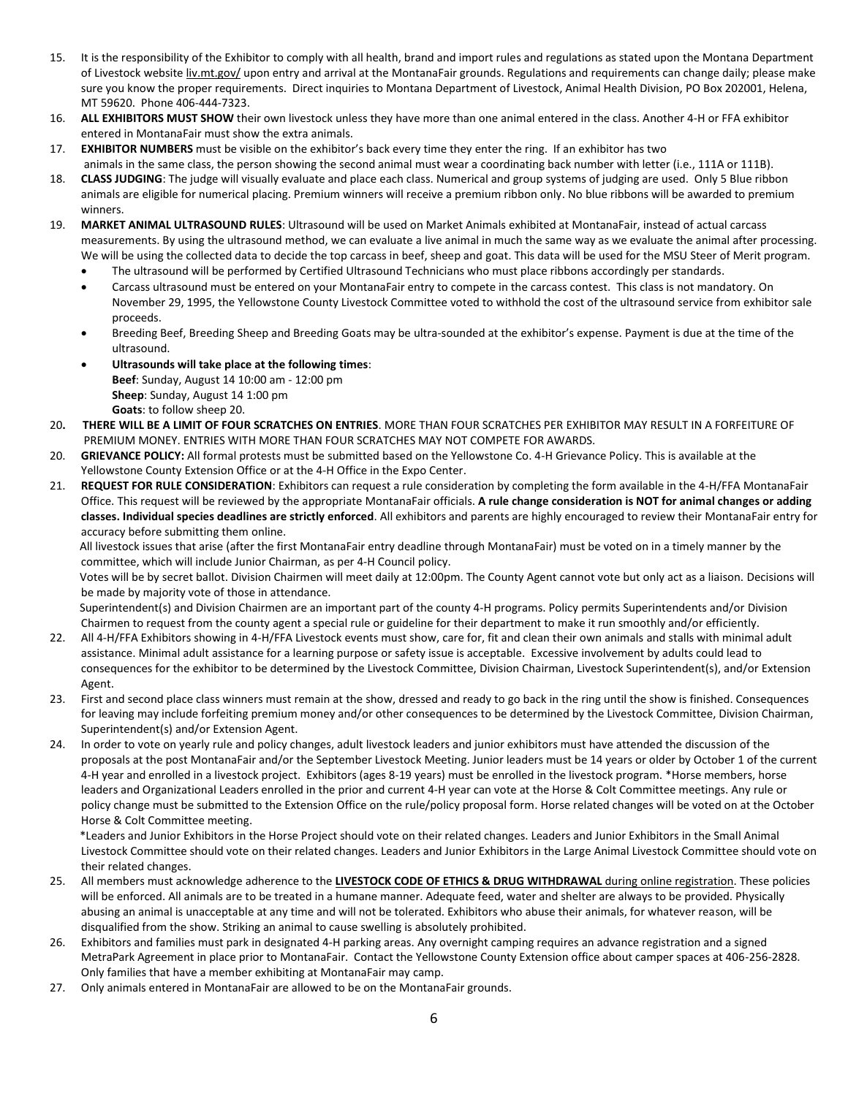- 15. It is the responsibility of the Exhibitor to comply with all health, brand and import rules and regulations as stated upon the Montana Department of Livestock websit[e liv.mt.gov/](http://www.mt.gov/liv) upon entry and arrival at the MontanaFair grounds. Regulations and requirements can change daily; please make sure you know the proper requirements. Direct inquiries to Montana Department of Livestock, Animal Health Division, PO Box 202001, Helena, MT 59620. Phone 406-444-7323.
- 16. **ALL EXHIBITORS MUST SHOW** their own livestock unless they have more than one animal entered in the class. Another 4-H or FFA exhibitor entered in MontanaFair must show the extra animals.
- 17. **EXHIBITOR NUMBERS** must be visible on the exhibitor's back every time they enter the ring. If an exhibitor has two
	- animals in the same class, the person showing the second animal must wear a coordinating back number with letter (i.e., 111A or 111B).
- 18. **CLASS JUDGING**: The judge will visually evaluate and place each class. Numerical and group systems of judging are used. Only 5 Blue ribbon animals are eligible for numerical placing. Premium winners will receive a premium ribbon only. No blue ribbons will be awarded to premium winners.
- 19. **MARKET ANIMAL ULTRASOUND RULES**: Ultrasound will be used on Market Animals exhibited at MontanaFair, instead of actual carcass measurements. By using the ultrasound method, we can evaluate a live animal in much the same way as we evaluate the animal after processing. We will be using the collected data to decide the top carcass in beef, sheep and goat. This data will be used for the MSU Steer of Merit program.
	- The ultrasound will be performed by Certified Ultrasound Technicians who must place ribbons accordingly per standards.
	- Carcass ultrasound must be entered on your MontanaFair entry to compete in the carcass contest. This class is not mandatory. On November 29, 1995, the Yellowstone County Livestock Committee voted to withhold the cost of the ultrasound service from exhibitor sale proceeds.
	- Breeding Beef, Breeding Sheep and Breeding Goats may be ultra-sounded at the exhibitor's expense. Payment is due at the time of the ultrasound.
	- **Ultrasounds will take place at the following times**: **Beef**: Sunday, August 14 10:00 am - 12:00 pm **Sheep**: Sunday, August 14 1:00 pm **Goats**: to follow sheep 20.
- 20**. THERE WILL BE A LIMIT OF FOUR SCRATCHES ON ENTRIES**. MORE THAN FOUR SCRATCHES PER EXHIBITOR MAY RESULT IN A FORFEITURE OF PREMIUM MONEY. ENTRIES WITH MORE THAN FOUR SCRATCHES MAY NOT COMPETE FOR AWARDS.
- 20. **GRIEVANCE POLICY:** All formal protests must be submitted based on the Yellowstone Co. 4-H Grievance Policy. This is available at the Yellowstone County Extension Office or at the 4-H Office in the Expo Center.
- 21. **REQUEST FOR RULE CONSIDERATION**: Exhibitors can request a rule consideration by completing the form available in the 4-H/FFA MontanaFair Office. This request will be reviewed by the appropriate MontanaFair officials. **A rule change consideration is NOT for animal changes or adding classes. Individual species deadlines are strictly enforced**. All exhibitors and parents are highly encouraged to review their MontanaFair entry for accuracy before submitting them online.

All livestock issues that arise (after the first MontanaFair entry deadline through MontanaFair) must be voted on in a timely manner by the committee, which will include Junior Chairman, as per 4-H Council policy.

Votes will be by secret ballot. Division Chairmen will meet daily at 12:00pm. The County Agent cannot vote but only act as a liaison. Decisions will be made by majority vote of those in attendance.

Superintendent(s) and Division Chairmen are an important part of the county 4-H programs. Policy permits Superintendents and/or Division Chairmen to request from the county agent a special rule or guideline for their department to make it run smoothly and/or efficiently.

- 22. All 4-H/FFA Exhibitors showing in 4-H/FFA Livestock events must show, care for, fit and clean their own animals and stalls with minimal adult assistance. Minimal adult assistance for a learning purpose or safety issue is acceptable. Excessive involvement by adults could lead to consequences for the exhibitor to be determined by the Livestock Committee, Division Chairman, Livestock Superintendent(s), and/or Extension Agent.
- 23. First and second place class winners must remain at the show, dressed and ready to go back in the ring until the show is finished. Consequences for leaving may include forfeiting premium money and/or other consequences to be determined by the Livestock Committee, Division Chairman, Superintendent(s) and/or Extension Agent.
- 24. In order to vote on yearly rule and policy changes, adult livestock leaders and junior exhibitors must have attended the discussion of the proposals at the post MontanaFair and/or the September Livestock Meeting. Junior leaders must be 14 years or older by October 1 of the current 4-H year and enrolled in a livestock project. Exhibitors (ages 8-19 years) must be enrolled in the livestock program. \*Horse members, horse leaders and Organizational Leaders enrolled in the prior and current 4-H year can vote at the Horse & Colt Committee meetings. Any rule or policy change must be submitted to the Extension Office on the rule/policy proposal form. Horse related changes will be voted on at the October Horse & Colt Committee meeting.

\*Leaders and Junior Exhibitors in the Horse Project should vote on their related changes. Leaders and Junior Exhibitors in the Small Animal Livestock Committee should vote on their related changes. Leaders and Junior Exhibitors in the Large Animal Livestock Committee should vote on their related changes.

- 25. All members must acknowledge adherence to the **LIVESTOCK CODE OF ETHICS & DRUG WITHDRAWAL** during online registration. These policies will be enforced. All animals are to be treated in a humane manner. Adequate feed, water and shelter are always to be provided. Physically abusing an animal is unacceptable at any time and will not be tolerated. Exhibitors who abuse their animals, for whatever reason, will be disqualified from the show. Striking an animal to cause swelling is absolutely prohibited.
- 26. Exhibitors and families must park in designated 4-H parking areas. Any overnight camping requires an advance registration and a signed MetraPark Agreement in place prior to MontanaFair. Contact the Yellowstone County Extension office about camper spaces at 406-256-2828. Only families that have a member exhibiting at MontanaFair may camp.
- 27. Only animals entered in MontanaFair are allowed to be on the MontanaFair grounds.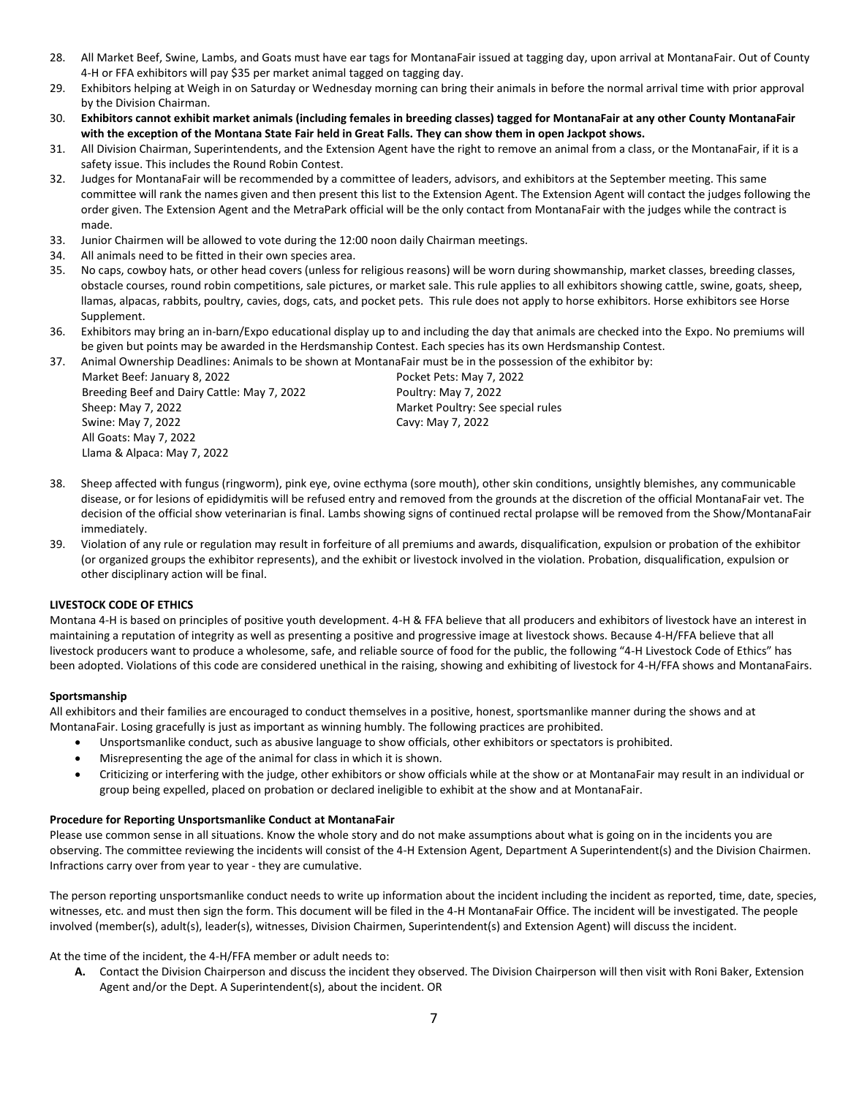- 28. All Market Beef, Swine, Lambs, and Goats must have ear tags for MontanaFair issued at tagging day, upon arrival at MontanaFair. Out of County 4-H or FFA exhibitors will pay \$35 per market animal tagged on tagging day.
- 29. Exhibitors helping at Weigh in on Saturday or Wednesday morning can bring their animals in before the normal arrival time with prior approval by the Division Chairman.
- 30. **Exhibitors cannot exhibit market animals (including females in breeding classes) tagged for MontanaFair at any other County MontanaFair with the exception of the Montana State Fair held in Great Falls. They can show them in open Jackpot shows.**
- 31. All Division Chairman, Superintendents, and the Extension Agent have the right to remove an animal from a class, or the MontanaFair, if it is a safety issue. This includes the Round Robin Contest.
- 32. Judges for MontanaFair will be recommended by a committee of leaders, advisors, and exhibitors at the September meeting. This same committee will rank the names given and then present this list to the Extension Agent. The Extension Agent will contact the judges following the order given. The Extension Agent and the MetraPark official will be the only contact from MontanaFair with the judges while the contract is made.
- 33. Junior Chairmen will be allowed to vote during the 12:00 noon daily Chairman meetings.
- 34. All animals need to be fitted in their own species area.
- 35. No caps, cowboy hats, or other head covers (unless for religious reasons) will be worn during showmanship, market classes, breeding classes, obstacle courses, round robin competitions, sale pictures, or market sale. This rule applies to all exhibitors showing cattle, swine, goats, sheep, llamas, alpacas, rabbits, poultry, cavies, dogs, cats, and pocket pets. This rule does not apply to horse exhibitors. Horse exhibitors see Horse Supplement.
- 36. Exhibitors may bring an in-barn/Expo educational display up to and including the day that animals are checked into the Expo. No premiums will be given but points may be awarded in the Herdsmanship Contest. Each species has its own Herdsmanship Contest.

37. Animal Ownership Deadlines: Animals to be shown at MontanaFair must be in the possession of the exhibitor by: Market Beef: January 8, 2022 **Pocket Pets: May 7, 2022** Breeding Beef and Dairy Cattle: May 7, 2022 Poultry: May 7, 2022 Sheep: May 7, 2022 Market Poultry: See special rules Swine: May 7, 2022 Cavy: May 7, 2022 All Goats: May 7, 2022 Llama & Alpaca: May 7, 2022

- 38. Sheep affected with fungus (ringworm), pink eye, ovine ecthyma (sore mouth), other skin conditions, unsightly blemishes, any communicable disease, or for lesions of epididymitis will be refused entry and removed from the grounds at the discretion of the official MontanaFair vet. The decision of the official show veterinarian is final. Lambs showing signs of continued rectal prolapse will be removed from the Show/MontanaFair immediately.
- 39. Violation of any rule or regulation may result in forfeiture of all premiums and awards, disqualification, expulsion or probation of the exhibitor (or organized groups the exhibitor represents), and the exhibit or livestock involved in the violation. Probation, disqualification, expulsion or other disciplinary action will be final.

#### **LIVESTOCK CODE OF ETHICS**

Montana 4-H is based on principles of positive youth development. 4-H & FFA believe that all producers and exhibitors of livestock have an interest in maintaining a reputation of integrity as well as presenting a positive and progressive image at livestock shows. Because 4-H/FFA believe that all livestock producers want to produce a wholesome, safe, and reliable source of food for the public, the following "4-H Livestock Code of Ethics" has been adopted. Violations of this code are considered unethical in the raising, showing and exhibiting of livestock for 4-H/FFA shows and MontanaFairs.

#### **Sportsmanship**

All exhibitors and their families are encouraged to conduct themselves in a positive, honest, sportsmanlike manner during the shows and at MontanaFair. Losing gracefully is just as important as winning humbly. The following practices are prohibited.

- Unsportsmanlike conduct, such as abusive language to show officials, other exhibitors or spectators is prohibited.
- Misrepresenting the age of the animal for class in which it is shown.
- Criticizing or interfering with the judge, other exhibitors or show officials while at the show or at MontanaFair may result in an individual or group being expelled, placed on probation or declared ineligible to exhibit at the show and at MontanaFair.

#### **Procedure for Reporting Unsportsmanlike Conduct at MontanaFair**

Please use common sense in all situations. Know the whole story and do not make assumptions about what is going on in the incidents you are observing. The committee reviewing the incidents will consist of the 4-H Extension Agent, Department A Superintendent(s) and the Division Chairmen. Infractions carry over from year to year - they are cumulative.

The person reporting unsportsmanlike conduct needs to write up information about the incident including the incident as reported, time, date, species, witnesses, etc. and must then sign the form. This document will be filed in the 4-H MontanaFair Office. The incident will be investigated. The people involved (member(s), adult(s), leader(s), witnesses, Division Chairmen, Superintendent(s) and Extension Agent) will discuss the incident.

At the time of the incident, the 4-H/FFA member or adult needs to:

**A.** Contact the Division Chairperson and discuss the incident they observed. The Division Chairperson will then visit with Roni Baker, Extension Agent and/or the Dept. A Superintendent(s), about the incident. OR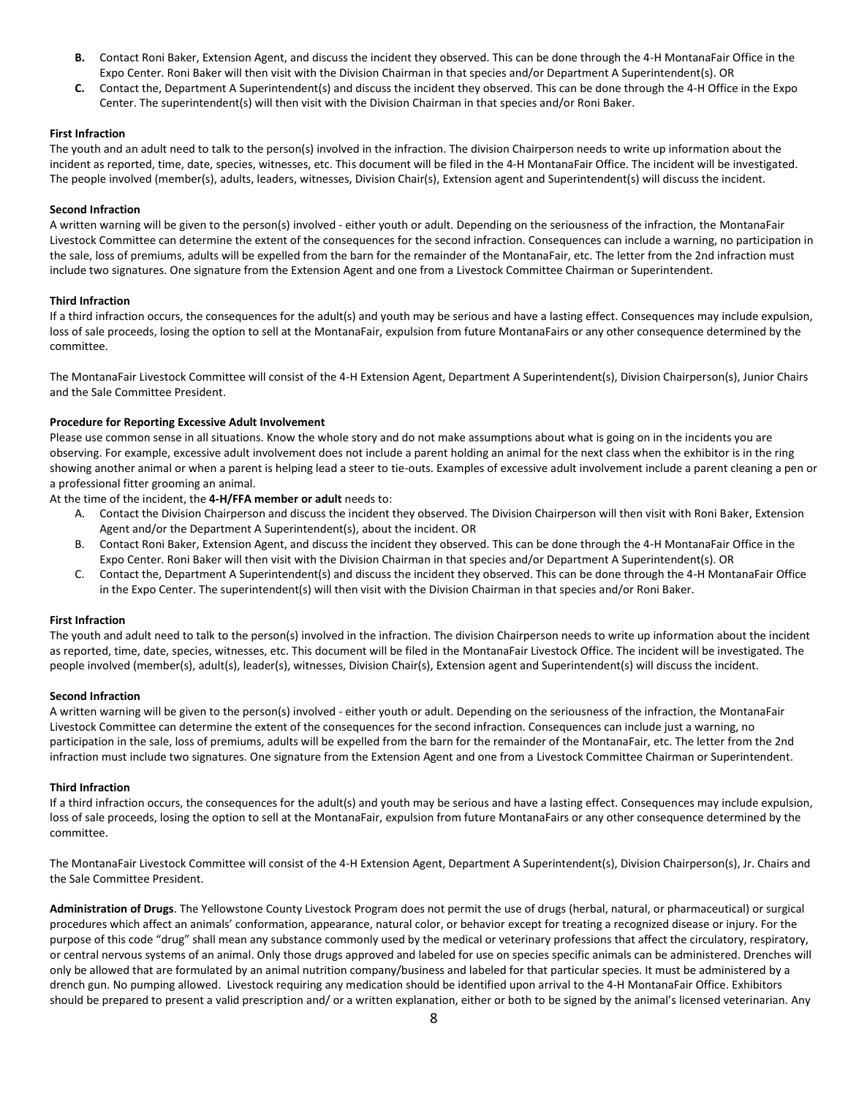- **B.** Contact Roni Baker, Extension Agent, and discuss the incident they observed. This can be done through the 4-H MontanaFair Office in the Expo Center. Roni Baker will then visit with the Division Chairman in that species and/or Department A Superintendent(s). OR
- **C.** Contact the, Department A Superintendent(s) and discuss the incident they observed. This can be done through the 4-H Office in the Expo Center. The superintendent(s) will then visit with the Division Chairman in that species and/or Roni Baker.

#### **First Infraction**

The youth and an adult need to talk to the person(s) involved in the infraction. The division Chairperson needs to write up information about the incident as reported, time, date, species, witnesses, etc. This document will be filed in the 4-H MontanaFair Office. The incident will be investigated. The people involved (member(s), adults, leaders, witnesses, Division Chair(s), Extension agent and Superintendent(s) will discuss the incident.

#### **Second Infraction**

A written warning will be given to the person(s) involved - either youth or adult. Depending on the seriousness of the infraction, the MontanaFair Livestock Committee can determine the extent of the consequences for the second infraction. Consequences can include a warning, no participation in the sale, loss of premiums, adults will be expelled from the barn for the remainder of the MontanaFair, etc. The letter from the 2nd infraction must include two signatures. One signature from the Extension Agent and one from a Livestock Committee Chairman or Superintendent.

#### **Third Infraction**

If a third infraction occurs, the consequences for the adult(s) and youth may be serious and have a lasting effect. Consequences may include expulsion, loss of sale proceeds, losing the option to sell at the MontanaFair, expulsion from future MontanaFairs or any other consequence determined by the committee.

The MontanaFair Livestock Committee will consist of the 4-H Extension Agent, Department A Superintendent(s), Division Chairperson(s), Junior Chairs and the Sale Committee President.

#### **Procedure for Reporting Excessive Adult Involvement**

Please use common sense in all situations. Know the whole story and do not make assumptions about what is going on in the incidents you are observing. For example, excessive adult involvement does not include a parent holding an animal for the next class when the exhibitor is in the ring showing another animal or when a parent is helping lead a steer to tie-outs. Examples of excessive adult involvement include a parent cleaning a pen or a professional fitter grooming an animal.

At the time of the incident, the **4-H/FFA member or adult** needs to:

- A. Contact the Division Chairperson and discuss the incident they observed. The Division Chairperson will then visit with Roni Baker, Extension Agent and/or the Department A Superintendent(s), about the incident. OR
- B. Contact Roni Baker, Extension Agent, and discuss the incident they observed. This can be done through the 4-H MontanaFair Office in the Expo Center. Roni Baker will then visit with the Division Chairman in that species and/or Department A Superintendent(s). OR
- C. Contact the, Department A Superintendent(s) and discuss the incident they observed. This can be done through the 4-H MontanaFair Office in the Expo Center. The superintendent(s) will then visit with the Division Chairman in that species and/or Roni Baker.

#### **First Infraction**

The youth and adult need to talk to the person(s) involved in the infraction. The division Chairperson needs to write up information about the incident as reported, time, date, species, witnesses, etc. This document will be filed in the MontanaFair Livestock Office. The incident will be investigated. The people involved (member(s), adult(s), leader(s), witnesses, Division Chair(s), Extension agent and Superintendent(s) will discuss the incident.

#### **Second Infraction**

A written warning will be given to the person(s) involved - either youth or adult. Depending on the seriousness of the infraction, the MontanaFair Livestock Committee can determine the extent of the consequences for the second infraction. Consequences can include just a warning, no participation in the sale, loss of premiums, adults will be expelled from the barn for the remainder of the MontanaFair, etc. The letter from the 2nd infraction must include two signatures. One signature from the Extension Agent and one from a Livestock Committee Chairman or Superintendent.

#### **Third Infraction**

If a third infraction occurs, the consequences for the adult(s) and youth may be serious and have a lasting effect. Consequences may include expulsion, loss of sale proceeds, losing the option to sell at the MontanaFair, expulsion from future MontanaFairs or any other consequence determined by the committee.

The MontanaFair Livestock Committee will consist of the 4-H Extension Agent, Department A Superintendent(s), Division Chairperson(s), Jr. Chairs and the Sale Committee President.

**Administration of Drugs**. The Yellowstone County Livestock Program does not permit the use of drugs (herbal, natural, or pharmaceutical) or surgical procedures which affect an animals' conformation, appearance, natural color, or behavior except for treating a recognized disease or injury. For the purpose of this code "drug" shall mean any substance commonly used by the medical or veterinary professions that affect the circulatory, respiratory, or central nervous systems of an animal. Only those drugs approved and labeled for use on species specific animals can be administered. Drenches will only be allowed that are formulated by an animal nutrition company/business and labeled for that particular species. It must be administered by a drench gun. No pumping allowed. Livestock requiring any medication should be identified upon arrival to the 4-H MontanaFair Office. Exhibitors should be prepared to present a valid prescription and/ or a written explanation, either or both to be signed by the animal's licensed veterinarian. Any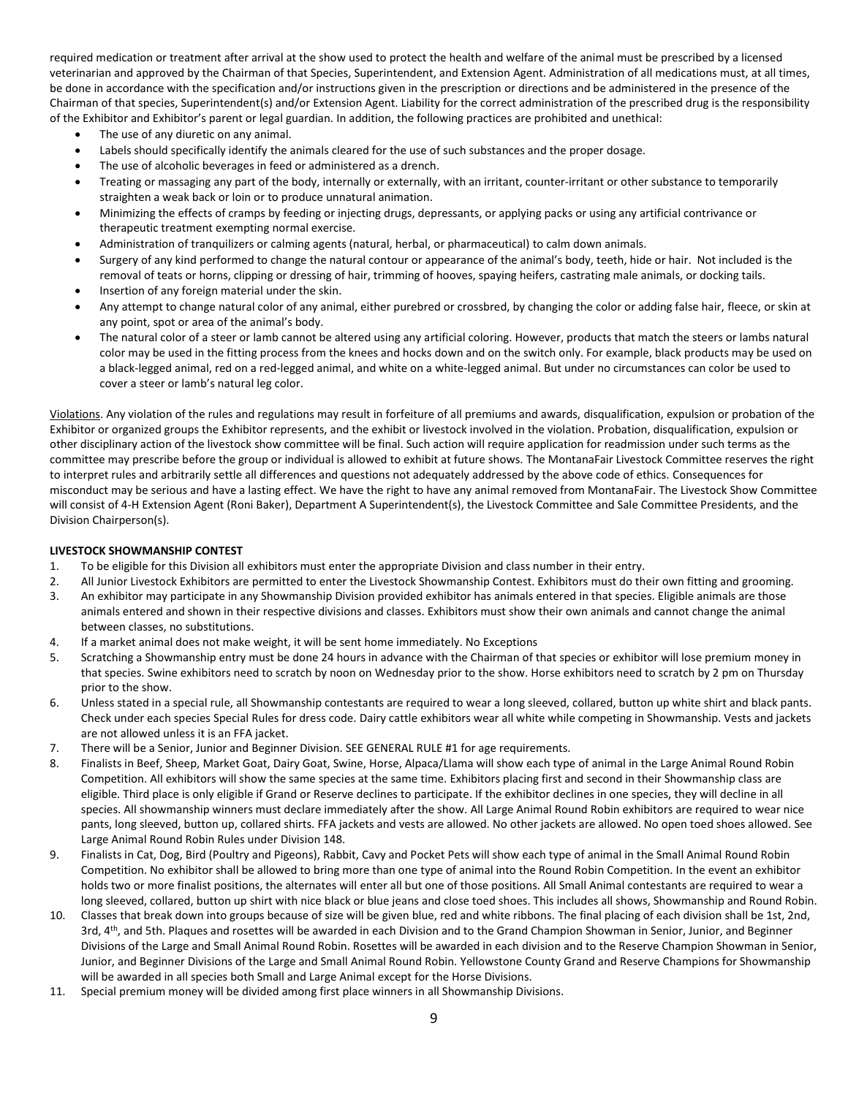required medication or treatment after arrival at the show used to protect the health and welfare of the animal must be prescribed by a licensed veterinarian and approved by the Chairman of that Species, Superintendent, and Extension Agent. Administration of all medications must, at all times, be done in accordance with the specification and/or instructions given in the prescription or directions and be administered in the presence of the Chairman of that species, Superintendent(s) and/or Extension Agent. Liability for the correct administration of the prescribed drug is the responsibility of the Exhibitor and Exhibitor's parent or legal guardian. In addition, the following practices are prohibited and unethical:

- The use of any diuretic on any animal.
- Labels should specifically identify the animals cleared for the use of such substances and the proper dosage.
- The use of alcoholic beverages in feed or administered as a drench.
- Treating or massaging any part of the body, internally or externally, with an irritant, counter-irritant or other substance to temporarily straighten a weak back or loin or to produce unnatural animation.
- Minimizing the effects of cramps by feeding or injecting drugs, depressants, or applying packs or using any artificial contrivance or therapeutic treatment exempting normal exercise.
- Administration of tranquilizers or calming agents (natural, herbal, or pharmaceutical) to calm down animals.
- Surgery of any kind performed to change the natural contour or appearance of the animal's body, teeth, hide or hair. Not included is the removal of teats or horns, clipping or dressing of hair, trimming of hooves, spaying heifers, castrating male animals, or docking tails.
- Insertion of any foreign material under the skin.
- Any attempt to change natural color of any animal, either purebred or crossbred, by changing the color or adding false hair, fleece, or skin at any point, spot or area of the animal's body.
- The natural color of a steer or lamb cannot be altered using any artificial coloring. However, products that match the steers or lambs natural color may be used in the fitting process from the knees and hocks down and on the switch only. For example, black products may be used on a black-legged animal, red on a red-legged animal, and white on a white-legged animal. But under no circumstances can color be used to cover a steer or lamb's natural leg color.

Violations. Any violation of the rules and regulations may result in forfeiture of all premiums and awards, disqualification, expulsion or probation of the Exhibitor or organized groups the Exhibitor represents, and the exhibit or livestock involved in the violation. Probation, disqualification, expulsion or other disciplinary action of the livestock show committee will be final. Such action will require application for readmission under such terms as the committee may prescribe before the group or individual is allowed to exhibit at future shows. The MontanaFair Livestock Committee reserves the right to interpret rules and arbitrarily settle all differences and questions not adequately addressed by the above code of ethics. Consequences for misconduct may be serious and have a lasting effect. We have the right to have any animal removed from MontanaFair. The Livestock Show Committee will consist of 4-H Extension Agent (Roni Baker), Department A Superintendent(s), the Livestock Committee and Sale Committee Presidents, and the Division Chairperson(s).

#### **LIVESTOCK SHOWMANSHIP CONTEST**

- 1. To be eligible for this Division all exhibitors must enter the appropriate Division and class number in their entry.
- 2. All Junior Livestock Exhibitors are permitted to enter the Livestock Showmanship Contest. Exhibitors must do their own fitting and grooming.
- 3. An exhibitor may participate in any Showmanship Division provided exhibitor has animals entered in that species. Eligible animals are those animals entered and shown in their respective divisions and classes. Exhibitors must show their own animals and cannot change the animal between classes, no substitutions.
- 4. If a market animal does not make weight, it will be sent home immediately. No Exceptions
- 5. Scratching a Showmanship entry must be done 24 hours in advance with the Chairman of that species or exhibitor will lose premium money in that species. Swine exhibitors need to scratch by noon on Wednesday prior to the show. Horse exhibitors need to scratch by 2 pm on Thursday prior to the show.
- 6. Unless stated in a special rule, all Showmanship contestants are required to wear a long sleeved, collared, button up white shirt and black pants. Check under each species Special Rules for dress code. Dairy cattle exhibitors wear all white while competing in Showmanship. Vests and jackets are not allowed unless it is an FFA jacket.
- 7. There will be a Senior, Junior and Beginner Division. SEE GENERAL RULE #1 for age requirements.
- 8. Finalists in Beef, Sheep, Market Goat, Dairy Goat, Swine, Horse, Alpaca/Llama will show each type of animal in the Large Animal Round Robin Competition. All exhibitors will show the same species at the same time. Exhibitors placing first and second in their Showmanship class are eligible. Third place is only eligible if Grand or Reserve declines to participate. If the exhibitor declines in one species, they will decline in all species. All showmanship winners must declare immediately after the show. All Large Animal Round Robin exhibitors are required to wear nice pants, long sleeved, button up, collared shirts. FFA jackets and vests are allowed. No other jackets are allowed. No open toed shoes allowed. See Large Animal Round Robin Rules under Division 148.
- 9. Finalists in Cat, Dog, Bird (Poultry and Pigeons), Rabbit, Cavy and Pocket Pets will show each type of animal in the Small Animal Round Robin Competition. No exhibitor shall be allowed to bring more than one type of animal into the Round Robin Competition. In the event an exhibitor holds two or more finalist positions, the alternates will enter all but one of those positions. All Small Animal contestants are required to wear a long sleeved, collared, button up shirt with nice black or blue jeans and close toed shoes. This includes all shows, Showmanship and Round Robin.
- 10. Classes that break down into groups because of size will be given blue, red and white ribbons. The final placing of each division shall be 1st, 2nd, 3rd, 4<sup>th</sup>, and 5th. Plaques and rosettes will be awarded in each Division and to the Grand Champion Showman in Senior, Junior, and Beginner Divisions of the Large and Small Animal Round Robin. Rosettes will be awarded in each division and to the Reserve Champion Showman in Senior, Junior, and Beginner Divisions of the Large and Small Animal Round Robin. Yellowstone County Grand and Reserve Champions for Showmanship will be awarded in all species both Small and Large Animal except for the Horse Divisions.
- 11. Special premium money will be divided among first place winners in all Showmanship Divisions.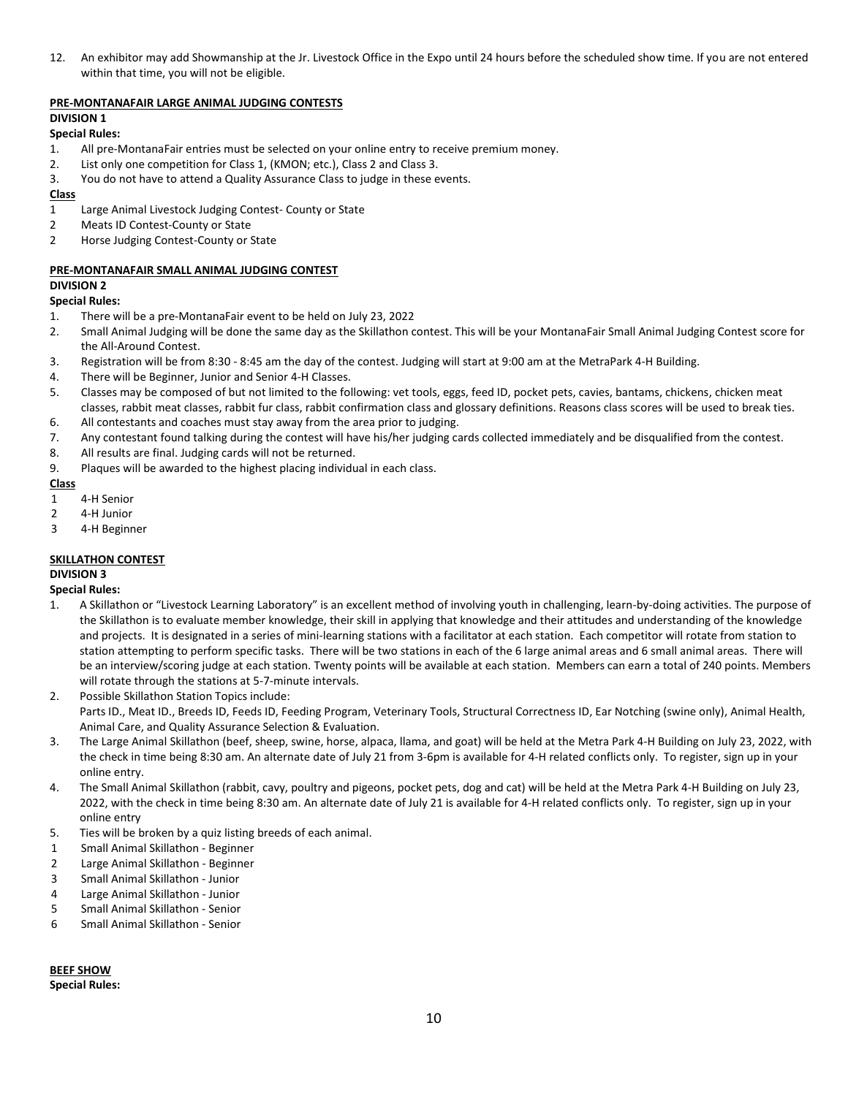12. An exhibitor may add Showmanship at the Jr. Livestock Office in the Expo until 24 hours before the scheduled show time. If you are not entered within that time, you will not be eligible.

## **PRE-MONTANAFAIR LARGE ANIMAL JUDGING CONTESTS**

## **DIVISION 1**

#### **Special Rules:**

- 1. All pre-MontanaFair entries must be selected on your online entry to receive premium money.
- 2. List only one competition for Class 1, (KMON; etc.), Class 2 and Class 3.
- 3. You do not have to attend a Quality Assurance Class to judge in these events.

#### **Class**

- 1 Large Animal Livestock Judging Contest- County or State
- 2 Meats ID Contest-County or State
- 2 Horse Judging Contest-County or State

# **PRE-MONTANAFAIR SMALL ANIMAL JUDGING CONTEST**

# **DIVISION 2**

- **Special Rules:**
- 1. There will be a pre-MontanaFair event to be held on July 23, 2022
- 2. Small Animal Judging will be done the same day as the Skillathon contest. This will be your MontanaFair Small Animal Judging Contest score for the All-Around Contest.
- 3. Registration will be from 8:30 8:45 am the day of the contest. Judging will start at 9:00 am at the MetraPark 4-H Building.
- 4. There will be Beginner, Junior and Senior 4-H Classes.
- 5. Classes may be composed of but not limited to the following: vet tools, eggs, feed ID, pocket pets, cavies, bantams, chickens, chicken meat classes, rabbit meat classes, rabbit fur class, rabbit confirmation class and glossary definitions. Reasons class scores will be used to break ties.
- 6. All contestants and coaches must stay away from the area prior to judging.
- 7. Any contestant found talking during the contest will have his/her judging cards collected immediately and be disqualified from the contest.
- 8. All results are final. Judging cards will not be returned.
- 9. Plaques will be awarded to the highest placing individual in each class.

# **Class**

- 1 4-H Senior
- 2 4-H Junior
- 3 4-H Beginner

# **SKILLATHON CONTEST**

# **DIVISION 3**

# **Special Rules:**

- 1. A Skillathon or "Livestock Learning Laboratory" is an excellent method of involving youth in challenging, learn-by-doing activities. The purpose of the Skillathon is to evaluate member knowledge, their skill in applying that knowledge and their attitudes and understanding of the knowledge and projects. It is designated in a series of mini-learning stations with a facilitator at each station. Each competitor will rotate from station to station attempting to perform specific tasks. There will be two stations in each of the 6 large animal areas and 6 small animal areas. There will be an interview/scoring judge at each station. Twenty points will be available at each station. Members can earn a total of 240 points. Members will rotate through the stations at 5-7-minute intervals.
- 2. Possible Skillathon Station Topics include: Parts ID., Meat ID., Breeds ID, Feeds ID, Feeding Program, Veterinary Tools, Structural Correctness ID, Ear Notching (swine only), Animal Health, Animal Care, and Quality Assurance Selection & Evaluation.
- 3. The Large Animal Skillathon (beef, sheep, swine, horse, alpaca, llama, and goat) will be held at the Metra Park 4-H Building on July 23, 2022, with the check in time being 8:30 am. An alternate date of July 21 from 3-6pm is available for 4-H related conflicts only. To register, sign up in your online entry.
- 4. The Small Animal Skillathon (rabbit, cavy, poultry and pigeons, pocket pets, dog and cat) will be held at the Metra Park 4-H Building on July 23, 2022, with the check in time being 8:30 am. An alternate date of July 21 is available for 4-H related conflicts only. To register, sign up in your online entry
- 5. Ties will be broken by a quiz listing breeds of each animal.
- 1 Small Animal Skillathon Beginner
- 2 Large Animal Skillathon Beginner
- 3 Small Animal Skillathon Junior
- 4 Large Animal Skillathon Junior
- 5 Small Animal Skillathon Senior
- 6 Small Animal Skillathon Senior

# **BEEF SHOW Special Rules:**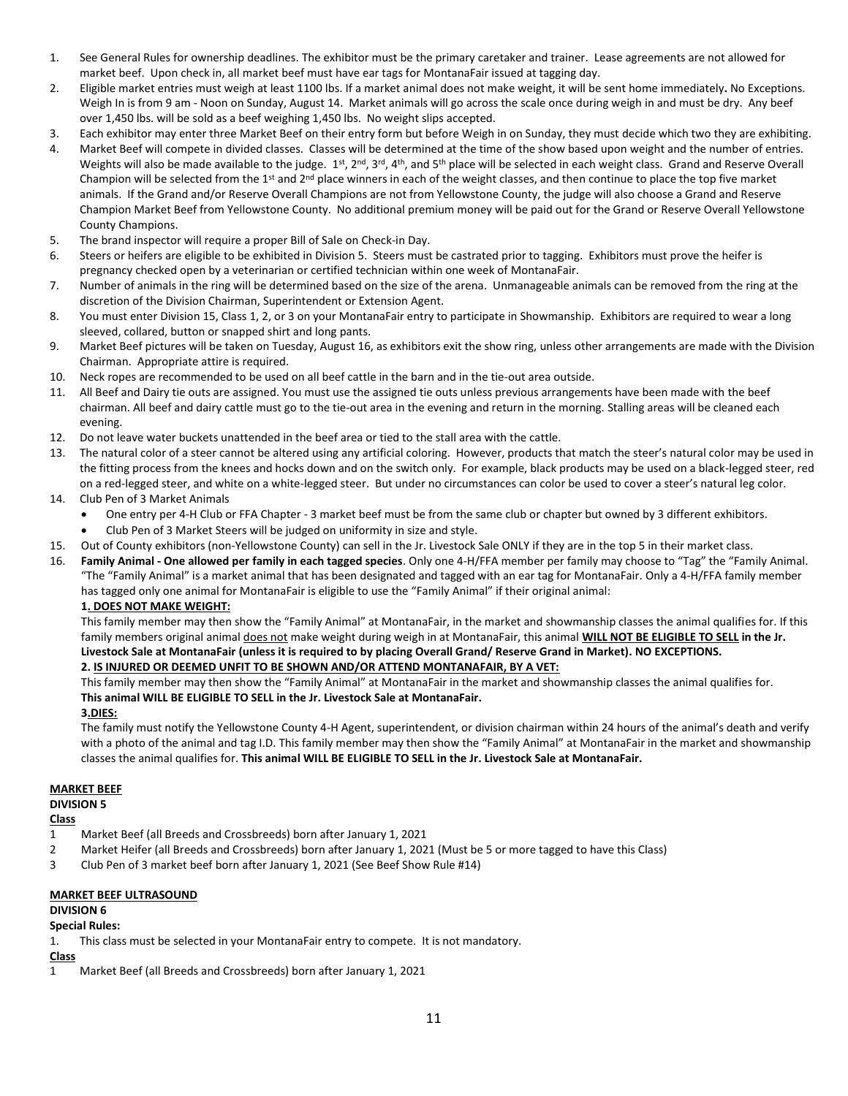- 1. See General Rules for ownership deadlines. The exhibitor must be the primary caretaker and trainer. Lease agreements are not allowed for market beef. Upon check in, all market beef must have ear tags for MontanaFair issued at tagging day.
- 2. Eligible market entries must weigh at least 1100 lbs. If a market animal does not make weight, it will be sent home immediately**.** No Exceptions. Weigh In is from 9 am - Noon on Sunday, August 14. Market animals will go across the scale once during weigh in and must be dry. Any beef over 1,450 lbs. will be sold as a beef weighing 1,450 lbs. No weight slips accepted.
- 3. Each exhibitor may enter three Market Beef on their entry form but before Weigh in on Sunday, they must decide which two they are exhibiting.
- 4. Market Beef will compete in divided classes. Classes will be determined at the time of the show based upon weight and the number of entries. Weights will also be made available to the judge.  $1^{st}$ ,  $2^{nd}$ ,  $3^{rd}$ ,  $4^{th}$ , and  $5^{th}$  place will be selected in each weight class. Grand and Reserve Overall Champion will be selected from the 1<sup>st</sup> and  $2^{nd}$  place winners in each of the weight classes, and then continue to place the top five market animals. If the Grand and/or Reserve Overall Champions are not from Yellowstone County, the judge will also choose a Grand and Reserve Champion Market Beef from Yellowstone County. No additional premium money will be paid out for the Grand or Reserve Overall Yellowstone County Champions.
- 5. The brand inspector will require a proper Bill of Sale on Check-in Day.
- 6. Steers or heifers are eligible to be exhibited in Division 5. Steers must be castrated prior to tagging. Exhibitors must prove the heifer is pregnancy checked open by a veterinarian or certified technician within one week of MontanaFair.
- 7. Number of animals in the ring will be determined based on the size of the arena. Unmanageable animals can be removed from the ring at the discretion of the Division Chairman, Superintendent or Extension Agent.
- 8. You must enter Division 15, Class 1, 2, or 3 on your MontanaFair entry to participate in Showmanship. Exhibitors are required to wear a long sleeved, collared, button or snapped shirt and long pants.
- 9. Market Beef pictures will be taken on Tuesday, August 16, as exhibitors exit the show ring, unless other arrangements are made with the Division Chairman. Appropriate attire is required.
- 10. Neck ropes are recommended to be used on all beef cattle in the barn and in the tie-out area outside.
- 11. All Beef and Dairy tie outs are assigned. You must use the assigned tie outs unless previous arrangements have been made with the beef chairman. All beef and dairy cattle must go to the tie-out area in the evening and return in the morning. Stalling areas will be cleaned each evening.
- 12. Do not leave water buckets unattended in the beef area or tied to the stall area with the cattle.
- 13. The natural color of a steer cannot be altered using any artificial coloring. However, products that match the steer's natural color may be used in the fitting process from the knees and hocks down and on the switch only. For example, black products may be used on a black-legged steer, red on a red-legged steer, and white on a white-legged steer. But under no circumstances can color be used to cover a steer's natural leg color.
- 14. Club Pen of 3 Market Animals
	- One entry per 4-H Club or FFA Chapter 3 market beef must be from the same club or chapter but owned by 3 different exhibitors.
	- Club Pen of 3 Market Steers will be judged on uniformity in size and style.
- 15. Out of County exhibitors (non-Yellowstone County) can sell in the Jr. Livestock Sale ONLY if they are in the top 5 in their market class.
- 16. **Family Animal - One allowed per family in each tagged species**. Only one 4-H/FFA member per family may choose to "Tag" the "Family Animal. "The "Family Animal" is a market animal that has been designated and tagged with an ear tag for MontanaFair. Only a 4-H/FFA family member has tagged only one animal for MontanaFair is eligible to use the "Family Animal" if their original animal:

# **1. DOES NOT MAKE WEIGHT:**

This family member may then show the "Family Animal" at MontanaFair, in the market and showmanship classes the animal qualifies for. If this family members original animal does not make weight during weigh in at MontanaFair, this animal **WILL NOT BE ELIGIBLE TO SELL in the Jr. Livestock Sale at MontanaFair (unless it is required to by placing Overall Grand/ Reserve Grand in Market). NO EXCEPTIONS.**

# **2. IS INJURED OR DEEMED UNFIT TO BE SHOWN AND/OR ATTEND MONTANAFAIR, BY A VET:**

This family member may then show the "Family Animal" at MontanaFair in the market and showmanship classes the animal qualifies for. **This animal WILL BE ELIGIBLE TO SELL in the Jr. Livestock Sale at MontanaFair.** 

#### **3.DIES:**

The family must notify the Yellowstone County 4-H Agent, superintendent, or division chairman within 24 hours of the animal's death and verify with a photo of the animal and tag I.D. This family member may then show the "Family Animal" at MontanaFair in the market and showmanship classes the animal qualifies for. **This animal WILL BE ELIGIBLE TO SELL in the Jr. Livestock Sale at MontanaFair.**

#### **MARKET BEEF**

**DIVISION 5**

# **Class**

- 1 Market Beef (all Breeds and Crossbreeds) born after January 1, 2021
- 2 Market Heifer (all Breeds and Crossbreeds) born after January 1, 2021 (Must be 5 or more tagged to have this Class)
- 3 Club Pen of 3 market beef born after January 1, 2021 (See Beef Show Rule #14)

#### **MARKET BEEF ULTRASOUND**

#### **DIVISION 6**

# **Special Rules:**

1. This class must be selected in your MontanaFair entry to compete. It is not mandatory.

#### **Class**

1 Market Beef (all Breeds and Crossbreeds) born after January 1, 2021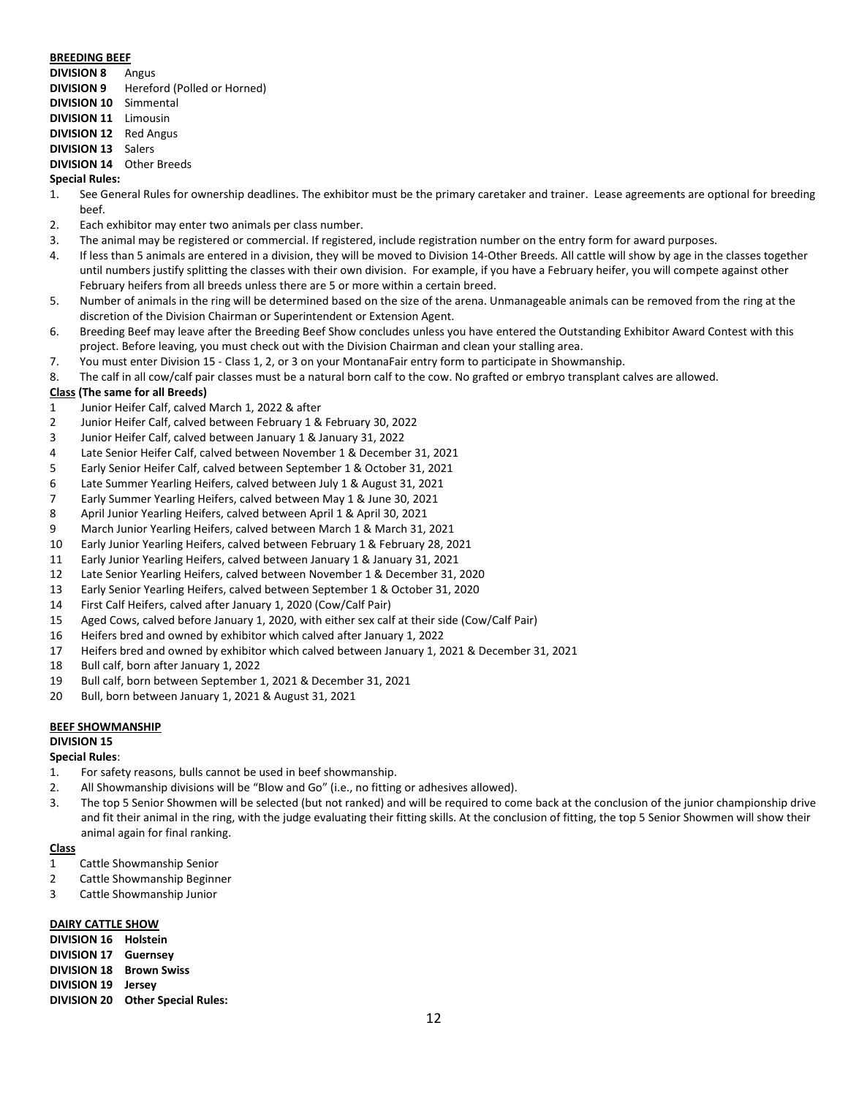#### **BREEDING BEEF**

**DIVISION 8** Angus

- **DIVISION 9** Hereford (Polled or Horned)
- **DIVISION 10** Simmental
- **DIVISION 11** Limousin
- **DIVISION 12** Red Angus
- **DIVISION 13** Salers

# **DIVISION 14** Other Breeds

# **Special Rules:**

- 1. See General Rules for ownership deadlines. The exhibitor must be the primary caretaker and trainer. Lease agreements are optional for breeding beef.
- 2. Each exhibitor may enter two animals per class number.
- 3. The animal may be registered or commercial. If registered, include registration number on the entry form for award purposes.
- 4. If less than 5 animals are entered in a division, they will be moved to Division 14-Other Breeds. All cattle will show by age in the classes together until numbers justify splitting the classes with their own division. For example, if you have a February heifer, you will compete against other February heifers from all breeds unless there are 5 or more within a certain breed.
- 5. Number of animals in the ring will be determined based on the size of the arena. Unmanageable animals can be removed from the ring at the discretion of the Division Chairman or Superintendent or Extension Agent.
- 6. Breeding Beef may leave after the Breeding Beef Show concludes unless you have entered the Outstanding Exhibitor Award Contest with this project. Before leaving, you must check out with the Division Chairman and clean your stalling area.
- 7. You must enter Division 15 Class 1, 2, or 3 on your MontanaFair entry form to participate in Showmanship.
- 8. The calf in all cow/calf pair classes must be a natural born calf to the cow. No grafted or embryo transplant calves are allowed.

# **Class (The same for all Breeds)**

- 1 Junior Heifer Calf, calved March 1, 2022 & after
- 2 Junior Heifer Calf, calved between February 1 & February 30, 2022
- 3 Junior Heifer Calf, calved between January 1 & January 31, 2022
- 4 Late Senior Heifer Calf, calved between November 1 & December 31, 2021
- 5 Early Senior Heifer Calf, calved between September 1 & October 31, 2021
- 6 Late Summer Yearling Heifers, calved between July 1 & August 31, 2021
- 7 Early Summer Yearling Heifers, calved between May 1 & June 30, 2021
- 8 April Junior Yearling Heifers, calved between April 1 & April 30, 2021
- 9 March Junior Yearling Heifers, calved between March 1 & March 31, 2021
- 10 Early Junior Yearling Heifers, calved between February 1 & February 28, 2021
- 11 Early Junior Yearling Heifers, calved between January 1 & January 31, 2021
- 12 Late Senior Yearling Heifers, calved between November 1 & December 31, 2020
- 13 Early Senior Yearling Heifers, calved between September 1 & October 31, 2020
- 14 First Calf Heifers, calved after January 1, 2020 (Cow/Calf Pair)
- 15 Aged Cows, calved before January 1, 2020, with either sex calf at their side (Cow/Calf Pair)
- 16 Heifers bred and owned by exhibitor which calved after January 1, 2022
- 17 Heifers bred and owned by exhibitor which calved between January 1, 2021 & December 31, 2021
- 18 Bull calf, born after January 1, 2022
- 19 Bull calf, born between September 1, 2021 & December 31, 2021
- 20 Bull, born between January 1, 2021 & August 31, 2021

#### **BEEF SHOWMANSHIP**

# **DIVISION 15**

## **Special Rules**:

- 1. For safety reasons, bulls cannot be used in beef showmanship.
- 2. All Showmanship divisions will be "Blow and Go" (i.e., no fitting or adhesives allowed).
- 3. The top 5 Senior Showmen will be selected (but not ranked) and will be required to come back at the conclusion of the junior championship drive and fit their animal in the ring, with the judge evaluating their fitting skills. At the conclusion of fitting, the top 5 Senior Showmen will show their animal again for final ranking.

# **Class**

- 1 Cattle Showmanship Senior
- 2 Cattle Showmanship Beginner
- 3 Cattle Showmanship Junior

#### **DAIRY CATTLE SHOW**

**DIVISION 16 Holstein DIVISION 17 Guernsey DIVISION 18 Brown Swiss DIVISION 19 Jersey DIVISION 20 Other Special Rules:**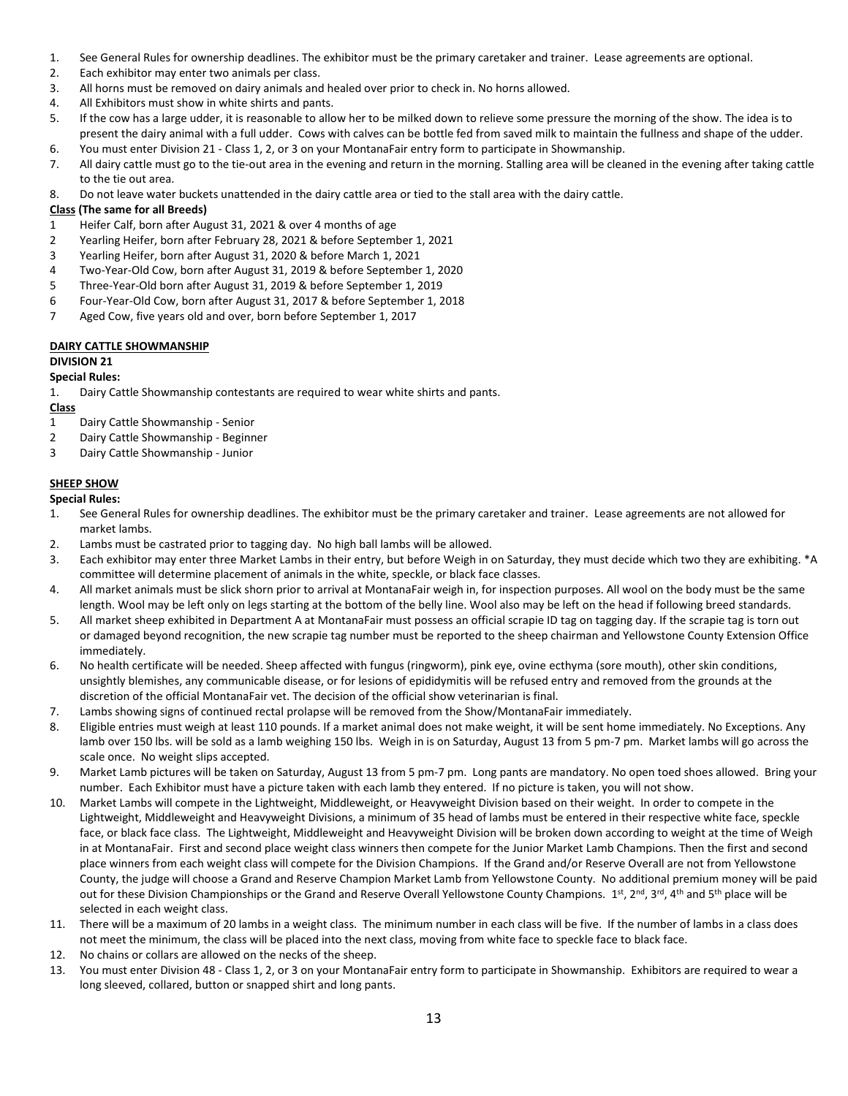- 1. See General Rules for ownership deadlines. The exhibitor must be the primary caretaker and trainer. Lease agreements are optional.
- 2. Each exhibitor may enter two animals per class.
- 3. All horns must be removed on dairy animals and healed over prior to check in. No horns allowed.
- 4. All Exhibitors must show in white shirts and pants.
- 5. If the cow has a large udder, it is reasonable to allow her to be milked down to relieve some pressure the morning of the show. The idea is to present the dairy animal with a full udder. Cows with calves can be bottle fed from saved milk to maintain the fullness and shape of the udder.
- 6. You must enter Division 21 Class 1, 2, or 3 on your MontanaFair entry form to participate in Showmanship.
- 7. All dairy cattle must go to the tie-out area in the evening and return in the morning. Stalling area will be cleaned in the evening after taking cattle to the tie out area.
- 8. Do not leave water buckets unattended in the dairy cattle area or tied to the stall area with the dairy cattle.

# **Class (The same for all Breeds)**

- 1 Heifer Calf, born after August 31, 2021 & over 4 months of age
- 2 Yearling Heifer, born after February 28, 2021 & before September 1, 2021
- 3 Yearling Heifer, born after August 31, 2020 & before March 1, 2021
- 4 Two-Year-Old Cow, born after August 31, 2019 & before September 1, 2020
- 5 Three-Year-Old born after August 31, 2019 & before September 1, 2019
- 6 Four-Year-Old Cow, born after August 31, 2017 & before September 1, 2018
- 7 Aged Cow, five years old and over, born before September 1, 2017

# **DAIRY CATTLE SHOWMANSHIP**

#### **DIVISION 21**

# **Special Rules:**

1. Dairy Cattle Showmanship contestants are required to wear white shirts and pants.

**Class**

- 1 Dairy Cattle Showmanship Senior
- 2 Dairy Cattle Showmanship Beginner
- 3 Dairy Cattle Showmanship Junior

# **SHEEP SHOW**

**Special Rules:**

- 1. See General Rules for ownership deadlines. The exhibitor must be the primary caretaker and trainer. Lease agreements are not allowed for market lambs.
- 2. Lambs must be castrated prior to tagging day. No high ball lambs will be allowed.
- 3. Each exhibitor may enter three Market Lambs in their entry, but before Weigh in on Saturday, they must decide which two they are exhibiting. \*A committee will determine placement of animals in the white, speckle, or black face classes.
- 4. All market animals must be slick shorn prior to arrival at MontanaFair weigh in, for inspection purposes. All wool on the body must be the same length. Wool may be left only on legs starting at the bottom of the belly line. Wool also may be left on the head if following breed standards.
- 5. All market sheep exhibited in Department A at MontanaFair must possess an official scrapie ID tag on tagging day. If the scrapie tag is torn out or damaged beyond recognition, the new scrapie tag number must be reported to the sheep chairman and Yellowstone County Extension Office immediately.
- 6. No health certificate will be needed. Sheep affected with fungus (ringworm), pink eye, ovine ecthyma (sore mouth), other skin conditions, unsightly blemishes, any communicable disease, or for lesions of epididymitis will be refused entry and removed from the grounds at the discretion of the official MontanaFair vet. The decision of the official show veterinarian is final.
- 7. Lambs showing signs of continued rectal prolapse will be removed from the Show/MontanaFair immediately.
- 8. Eligible entries must weigh at least 110 pounds. If a market animal does not make weight, it will be sent home immediately. No Exceptions. Any lamb over 150 lbs. will be sold as a lamb weighing 150 lbs. Weigh in is on Saturday, August 13 from 5 pm-7 pm. Market lambs will go across the scale once. No weight slips accepted.
- 9. Market Lamb pictures will be taken on Saturday, August 13 from 5 pm-7 pm. Long pants are mandatory. No open toed shoes allowed. Bring your number. Each Exhibitor must have a picture taken with each lamb they entered. If no picture is taken, you will not show.
- 10. Market Lambs will compete in the Lightweight, Middleweight, or Heavyweight Division based on their weight. In order to compete in the Lightweight, Middleweight and Heavyweight Divisions, a minimum of 35 head of lambs must be entered in their respective white face, speckle face, or black face class. The Lightweight, Middleweight and Heavyweight Division will be broken down according to weight at the time of Weigh in at MontanaFair. First and second place weight class winners then compete for the Junior Market Lamb Champions. Then the first and second place winners from each weight class will compete for the Division Champions. If the Grand and/or Reserve Overall are not from Yellowstone County, the judge will choose a Grand and Reserve Champion Market Lamb from Yellowstone County. No additional premium money will be paid out for these Division Championships or the Grand and Reserve Overall Yellowstone County Champions. 1st, 2<sup>nd</sup>, 3<sup>rd</sup>, 4<sup>th</sup> and 5<sup>th</sup> place will be selected in each weight class.
- 11. There will be a maximum of 20 lambs in a weight class. The minimum number in each class will be five. If the number of lambs in a class does not meet the minimum, the class will be placed into the next class, moving from white face to speckle face to black face.
- 12. No chains or collars are allowed on the necks of the sheep.
- 13. You must enter Division 48 Class 1, 2, or 3 on your MontanaFair entry form to participate in Showmanship. Exhibitors are required to wear a long sleeved, collared, button or snapped shirt and long pants.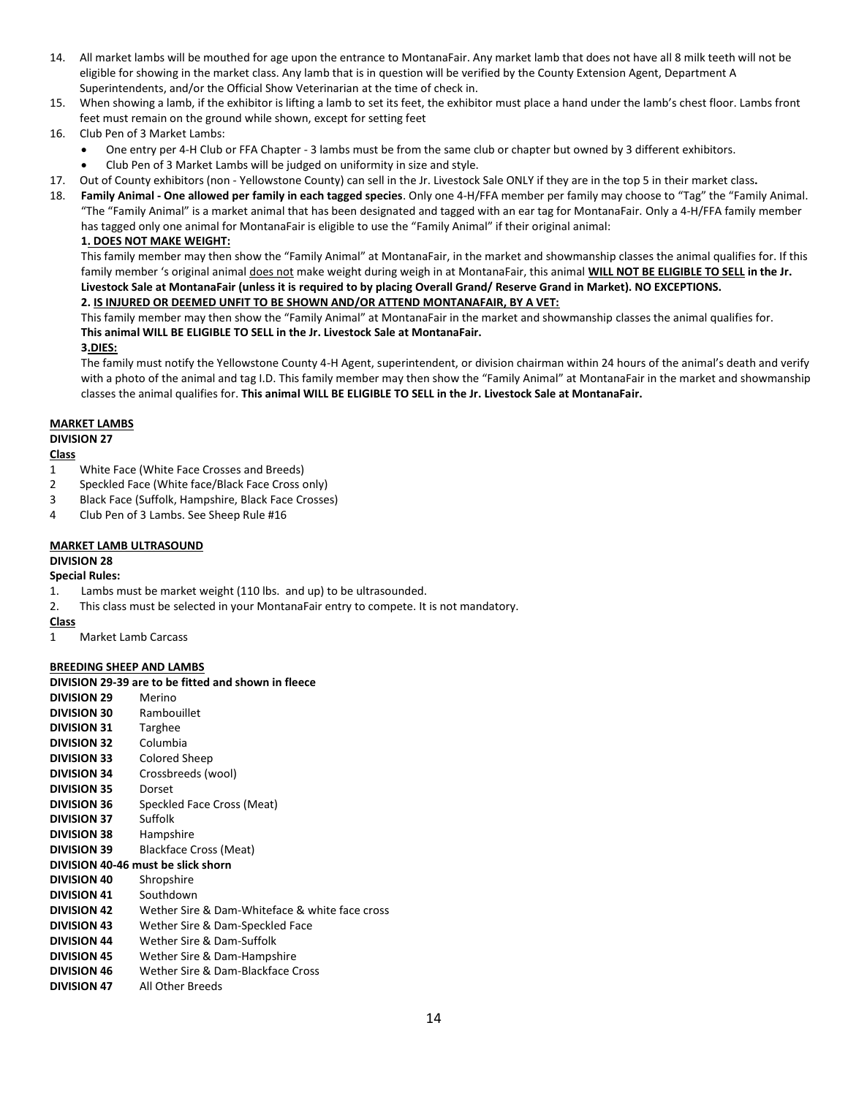- 14. All market lambs will be mouthed for age upon the entrance to MontanaFair. Any market lamb that does not have all 8 milk teeth will not be eligible for showing in the market class. Any lamb that is in question will be verified by the County Extension Agent, Department A Superintendents, and/or the Official Show Veterinarian at the time of check in.
- 15. When showing a lamb, if the exhibitor is lifting a lamb to set its feet, the exhibitor must place a hand under the lamb's chest floor. Lambs front feet must remain on the ground while shown, except for setting feet
- 16. Club Pen of 3 Market Lambs:
	- One entry per 4-H Club or FFA Chapter 3 lambs must be from the same club or chapter but owned by 3 different exhibitors.
	- Club Pen of 3 Market Lambs will be judged on uniformity in size and style.
- 17. Out of County exhibitors (non Yellowstone County) can sell in the Jr. Livestock Sale ONLY if they are in the top 5 in their market class**.**
- 18. **Family Animal - One allowed per family in each tagged species**. Only one 4-H/FFA member per family may choose to "Tag" the "Family Animal. "The "Family Animal" is a market animal that has been designated and tagged with an ear tag for MontanaFair. Only a 4-H/FFA family member has tagged only one animal for MontanaFair is eligible to use the "Family Animal" if their original animal:

# **1. DOES NOT MAKE WEIGHT:**

This family member may then show the "Family Animal" at MontanaFair, in the market and showmanship classes the animal qualifies for. If this family member 's original animal does not make weight during weigh in at MontanaFair, this animal **WILL NOT BE ELIGIBLE TO SELL in the Jr. Livestock Sale at MontanaFair (unless it is required to by placing Overall Grand/ Reserve Grand in Market). NO EXCEPTIONS.**

# **2. IS INJURED OR DEEMED UNFIT TO BE SHOWN AND/OR ATTEND MONTANAFAIR, BY A VET:**

This family member may then show the "Family Animal" at MontanaFair in the market and showmanship classes the animal qualifies for. **This animal WILL BE ELIGIBLE TO SELL in the Jr. Livestock Sale at MontanaFair.** 

# **3.DIES:**

The family must notify the Yellowstone County 4-H Agent, superintendent, or division chairman within 24 hours of the animal's death and verify with a photo of the animal and tag I.D. This family member may then show the "Family Animal" at MontanaFair in the market and showmanship classes the animal qualifies for. **This animal WILL BE ELIGIBLE TO SELL in the Jr. Livestock Sale at MontanaFair.**

# **MARKET LAMBS**

# **DIVISION 27**

# **Class**

- 1 White Face (White Face Crosses and Breeds)
- 2 Speckled Face (White face/Black Face Cross only)
- 3 Black Face (Suffolk, Hampshire, Black Face Crosses)
- 4 Club Pen of 3 Lambs. See Sheep Rule #16

# **MARKET LAMB ULTRASOUND**

# **DIVISION 28**

# **Special Rules:**

- 1. Lambs must be market weight (110 lbs. and up) to be ultrasounded.
- 2. This class must be selected in your MontanaFair entry to compete. It is not mandatory.

# **Class**

1 Market Lamb Carcass

# **BREEDING SHEEP AND LAMBS**

# **DIVISION 29-39 are to be fitted and shown in fleece**

**DIVISION 29** Merino **DIVISION 30** Rambouillet **DIVISION 31** Targhee **DIVISION 32** Columbia **DIVISION 33** Colored Sheep **DIVISION 34** Crossbreeds (wool) **DIVISION 35** Dorset **DIVISION 36** Speckled Face Cross (Meat) **DIVISION 37** Suffolk **DIVISION 38** Hampshire **DIVISION 39** Blackface Cross (Meat) **DIVISION 40-46 must be slick shorn DIVISION 40** Shropshire **DIVISION 41** Southdown **DIVISION 42** Wether Sire & Dam-Whiteface & white face cross **DIVISION 43** Wether Sire & Dam-Speckled Face **DIVISION 44** Wether Sire & Dam-Suffolk **DIVISION 45** Wether Sire & Dam-Hampshire **DIVISION 46** Wether Sire & Dam-Blackface Cross **DIVISION 47** All Other Breeds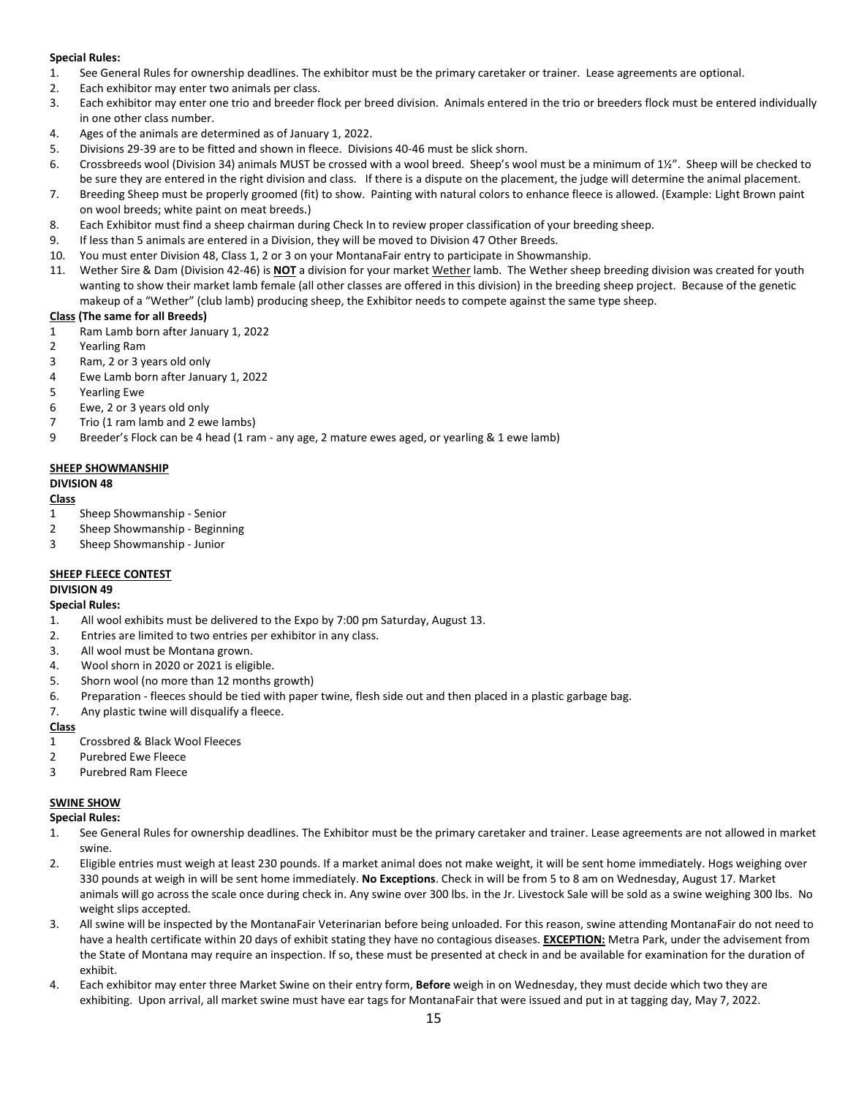# **Special Rules:**

- 1. See General Rules for ownership deadlines. The exhibitor must be the primary caretaker or trainer. Lease agreements are optional.
- 2. Each exhibitor may enter two animals per class.
- 3. Each exhibitor may enter one trio and breeder flock per breed division. Animals entered in the trio or breeders flock must be entered individually in one other class number.
- 4. Ages of the animals are determined as of January 1, 2022.
- 5. Divisions 29-39 are to be fitted and shown in fleece. Divisions 40-46 must be slick shorn.
- 6. Crossbreeds wool (Division 34) animals MUST be crossed with a wool breed. Sheep's wool must be a minimum of 1½". Sheep will be checked to be sure they are entered in the right division and class. If there is a dispute on the placement, the judge will determine the animal placement.
- 7. Breeding Sheep must be properly groomed (fit) to show. Painting with natural colors to enhance fleece is allowed. (Example: Light Brown paint on wool breeds; white paint on meat breeds.)
- 8. Each Exhibitor must find a sheep chairman during Check In to review proper classification of your breeding sheep.
- 9. If less than 5 animals are entered in a Division, they will be moved to Division 47 Other Breeds.
- 10. You must enter Division 48, Class 1, 2 or 3 on your MontanaFair entry to participate in Showmanship.
- 11. Wether Sire & Dam (Division 42-46) is **NOT** a division for your market Wether lamb. The Wether sheep breeding division was created for youth wanting to show their market lamb female (all other classes are offered in this division) in the breeding sheep project. Because of the genetic makeup of a "Wether" (club lamb) producing sheep, the Exhibitor needs to compete against the same type sheep.

# **Class (The same for all Breeds)**

- 1 Ram Lamb born after January 1, 2022
- 2 Yearling Ram
- 3 Ram, 2 or 3 years old only
- 4 Ewe Lamb born after January 1, 2022
- 5 Yearling Ewe
- 6 Ewe, 2 or 3 years old only
- 7 Trio (1 ram lamb and 2 ewe lambs)
- 9 Breeder's Flock can be 4 head (1 ram any age, 2 mature ewes aged, or yearling & 1 ewe lamb)

# **SHEEP SHOWMANSHIP**

# **DIVISION 48**

# **Class**

- 1 Sheep Showmanship Senior
- 2 Sheep Showmanship Beginning
- 3 Sheep Showmanship Junior

# **SHEEP FLEECE CONTEST**

# **DIVISION 49**

# **Special Rules:**

- 1. All wool exhibits must be delivered to the Expo by 7:00 pm Saturday, August 13.
- 2. Entries are limited to two entries per exhibitor in any class.
- 3. All wool must be Montana grown.
- 4. Wool shorn in 2020 or 2021 is eligible.
- 5. Shorn wool (no more than 12 months growth)
- 6. Preparation fleeces should be tied with paper twine, flesh side out and then placed in a plastic garbage bag.
- 7. Any plastic twine will disqualify a fleece.

# **Class**

- 1 Crossbred & Black Wool Fleeces
- 2 Purebred Ewe Fleece
- 3 Purebred Ram Fleece

# **SWINE SHOW**

**Special Rules:**

- 1. See General Rules for ownership deadlines. The Exhibitor must be the primary caretaker and trainer. Lease agreements are not allowed in market swine.
- 2. Eligible entries must weigh at least 230 pounds. If a market animal does not make weight, it will be sent home immediately. Hogs weighing over 330 pounds at weigh in will be sent home immediately. **No Exceptions**. Check in will be from 5 to 8 am on Wednesday, August 17. Market animals will go across the scale once during check in. Any swine over 300 lbs. in the Jr. Livestock Sale will be sold as a swine weighing 300 lbs. No weight slips accepted.
- 3. All swine will be inspected by the MontanaFair Veterinarian before being unloaded. For this reason, swine attending MontanaFair do not need to have a health certificate within 20 days of exhibit stating they have no contagious diseases. **EXCEPTION:** Metra Park, under the advisement from the State of Montana may require an inspection. If so, these must be presented at check in and be available for examination for the duration of exhibit.
- 4. Each exhibitor may enter three Market Swine on their entry form, **Before** weigh in on Wednesday, they must decide which two they are exhibiting. Upon arrival, all market swine must have ear tags for MontanaFair that were issued and put in at tagging day, May 7, 2022.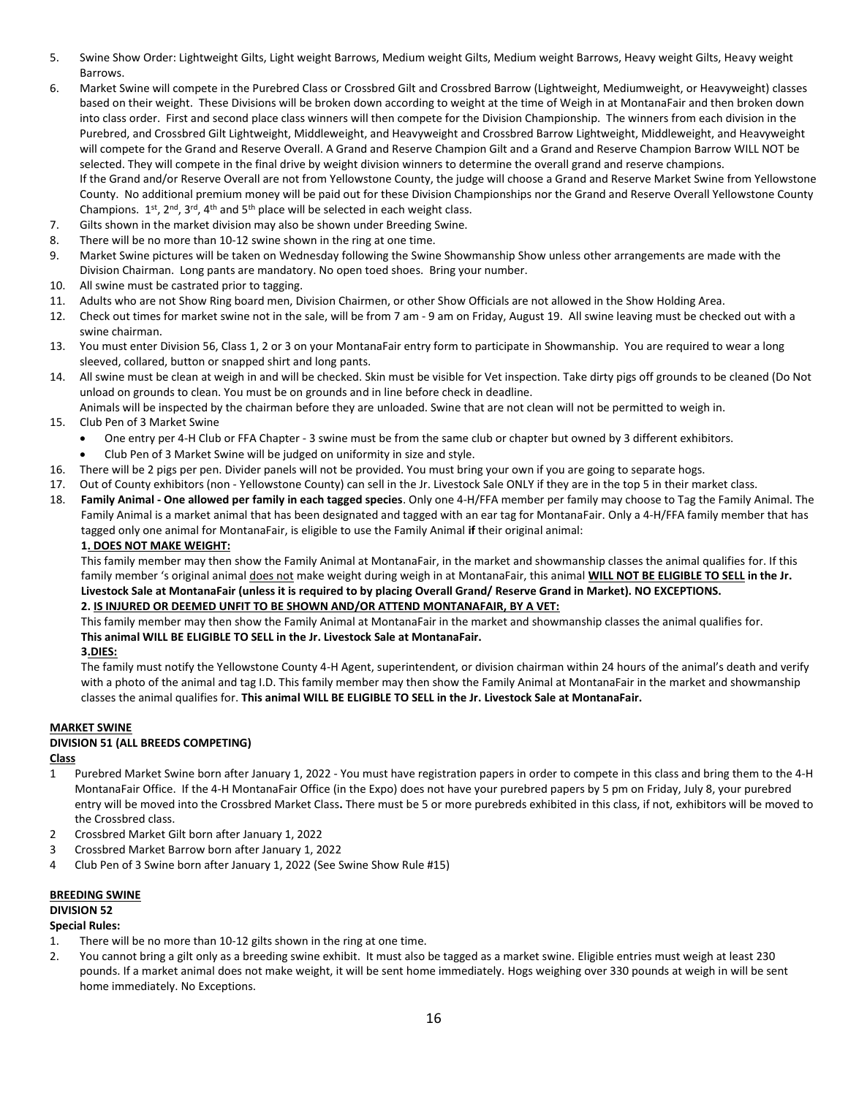- 5. Swine Show Order: Lightweight Gilts, Light weight Barrows, Medium weight Gilts, Medium weight Barrows, Heavy weight Gilts, Heavy weight Barrows.
- 6. Market Swine will compete in the Purebred Class or Crossbred Gilt and Crossbred Barrow (Lightweight, Mediumweight, or Heavyweight) classes based on their weight. These Divisions will be broken down according to weight at the time of Weigh in at MontanaFair and then broken down into class order. First and second place class winners will then compete for the Division Championship. The winners from each division in the Purebred, and Crossbred Gilt Lightweight, Middleweight, and Heavyweight and Crossbred Barrow Lightweight, Middleweight, and Heavyweight will compete for the Grand and Reserve Overall. A Grand and Reserve Champion Gilt and a Grand and Reserve Champion Barrow WILL NOT be selected. They will compete in the final drive by weight division winners to determine the overall grand and reserve champions. If the Grand and/or Reserve Overall are not from Yellowstone County, the judge will choose a Grand and Reserve Market Swine from Yellowstone County. No additional premium money will be paid out for these Division Championships nor the Grand and Reserve Overall Yellowstone County Champions.  $1^{st}$ ,  $2^{nd}$ ,  $3^{rd}$ ,  $4^{th}$  and  $5^{th}$  place will be selected in each weight class.
- 7. Gilts shown in the market division may also be shown under Breeding Swine.
- 8. There will be no more than 10-12 swine shown in the ring at one time.
- 9. Market Swine pictures will be taken on Wednesday following the Swine Showmanship Show unless other arrangements are made with the Division Chairman. Long pants are mandatory. No open toed shoes. Bring your number.
- 10. All swine must be castrated prior to tagging.
- 11. Adults who are not Show Ring board men, Division Chairmen, or other Show Officials are not allowed in the Show Holding Area.
- 12. Check out times for market swine not in the sale, will be from 7 am 9 am on Friday, August 19. All swine leaving must be checked out with a swine chairman.
- 13. You must enter Division 56, Class 1, 2 or 3 on your MontanaFair entry form to participate in Showmanship. You are required to wear a long sleeved, collared, button or snapped shirt and long pants.
- 14. All swine must be clean at weigh in and will be checked. Skin must be visible for Vet inspection. Take dirty pigs off grounds to be cleaned (Do Not unload on grounds to clean. You must be on grounds and in line before check in deadline.
- Animals will be inspected by the chairman before they are unloaded. Swine that are not clean will not be permitted to weigh in. 15. Club Pen of 3 Market Swine
	- One entry per 4-H Club or FFA Chapter 3 swine must be from the same club or chapter but owned by 3 different exhibitors.
		- Club Pen of 3 Market Swine will be judged on uniformity in size and style.
- 16. There will be 2 pigs per pen. Divider panels will not be provided. You must bring your own if you are going to separate hogs.
- 17. Out of County exhibitors (non Yellowstone County) can sell in the Jr. Livestock Sale ONLY if they are in the top 5 in their market class.
- 18. **Family Animal - One allowed per family in each tagged species**. Only one 4-H/FFA member per family may choose to Tag the Family Animal. The Family Animal is a market animal that has been designated and tagged with an ear tag for MontanaFair. Only a 4-H/FFA family member that has tagged only one animal for MontanaFair, is eligible to use the Family Animal **if** their original animal:

#### **1. DOES NOT MAKE WEIGHT:**

This family member may then show the Family Animal at MontanaFair, in the market and showmanship classes the animal qualifies for. If this family member 's original animal does not make weight during weigh in at MontanaFair, this animal **WILL NOT BE ELIGIBLE TO SELL in the Jr. Livestock Sale at MontanaFair (unless it is required to by placing Overall Grand/ Reserve Grand in Market). NO EXCEPTIONS. 2. IS INJURED OR DEEMED UNFIT TO BE SHOWN AND/OR ATTEND MONTANAFAIR, BY A VET:**

This family member may then show the Family Animal at MontanaFair in the market and showmanship classes the animal qualifies for. **This animal WILL BE ELIGIBLE TO SELL in the Jr. Livestock Sale at MontanaFair.** 

**3.DIES:**

The family must notify the Yellowstone County 4-H Agent, superintendent, or division chairman within 24 hours of the animal's death and verify with a photo of the animal and tag I.D. This family member may then show the Family Animal at MontanaFair in the market and showmanship classes the animal qualifies for. **This animal WILL BE ELIGIBLE TO SELL in the Jr. Livestock Sale at MontanaFair.**

#### **MARKET SWINE**

# **DIVISION 51 (ALL BREEDS COMPETING)**

#### **Class**

- 1 Purebred Market Swine born after January 1, 2022 You must have registration papers in order to compete in this class and bring them to the 4-H MontanaFair Office. If the 4-H MontanaFair Office (in the Expo) does not have your purebred papers by 5 pm on Friday, July 8, your purebred entry will be moved into the Crossbred Market Class**.** There must be 5 or more purebreds exhibited in this class, if not, exhibitors will be moved to the Crossbred class.
- 2 Crossbred Market Gilt born after January 1, 2022
- 3 Crossbred Market Barrow born after January 1, 2022
- 4 Club Pen of 3 Swine born after January 1, 2022 (See Swine Show Rule #15)

# **BREEDING SWINE**

# **DIVISION 52**

# **Special Rules:**

- 1. There will be no more than 10-12 gilts shown in the ring at one time.
- 2. You cannot bring a gilt only as a breeding swine exhibit. It must also be tagged as a market swine. Eligible entries must weigh at least 230 pounds. If a market animal does not make weight, it will be sent home immediately. Hogs weighing over 330 pounds at weigh in will be sent home immediately. No Exceptions.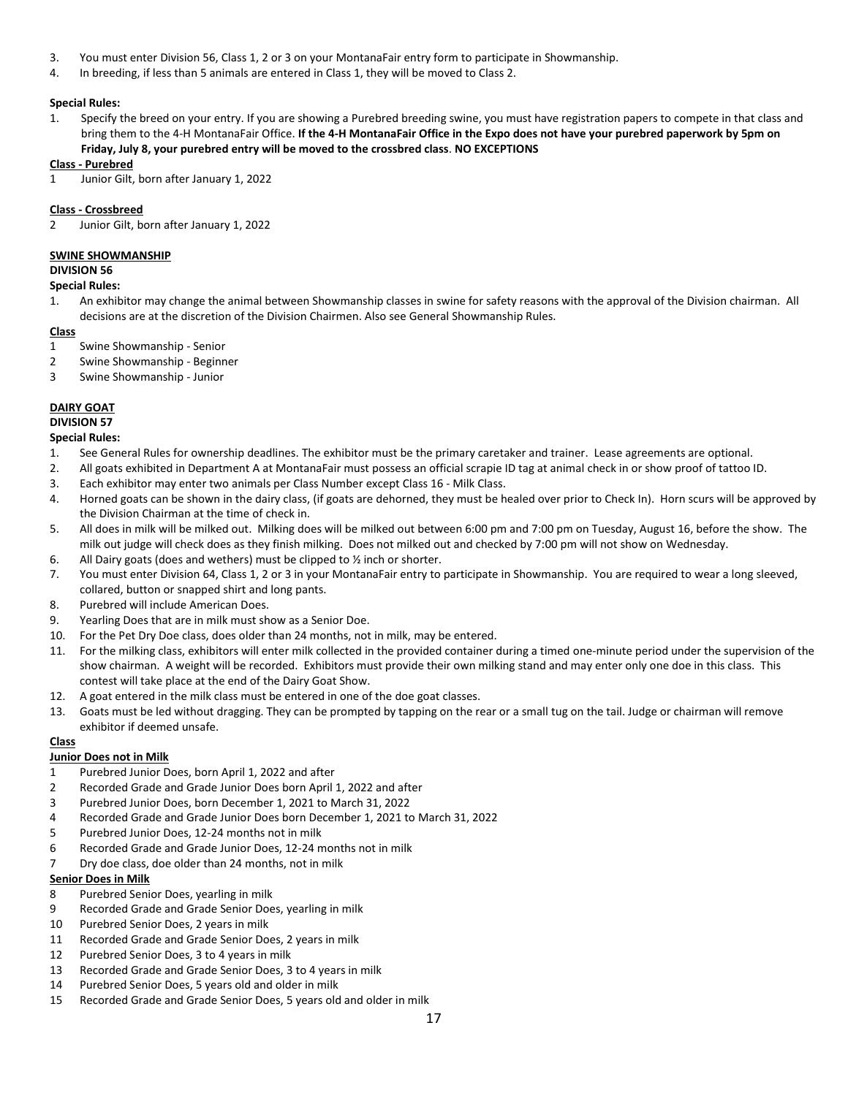- 3. You must enter Division 56, Class 1, 2 or 3 on your MontanaFair entry form to participate in Showmanship.
- 4. In breeding, if less than 5 animals are entered in Class 1, they will be moved to Class 2.

## **Special Rules:**

1. Specify the breed on your entry. If you are showing a Purebred breeding swine, you must have registration papers to compete in that class and bring them to the 4-H MontanaFair Office. **If the 4-H MontanaFair Office in the Expo does not have your purebred paperwork by 5pm on Friday, July 8, your purebred entry will be moved to the crossbred class**. **NO EXCEPTIONS**

#### **Class - Purebred**

1 Junior Gilt, born after January 1, 2022

### **Class - Crossbreed**

2 Junior Gilt, born after January 1, 2022

#### **SWINE SHOWMANSHIP**

**DIVISION 56**

#### **Special Rules:**

1. An exhibitor may change the animal between Showmanship classes in swine for safety reasons with the approval of the Division chairman. All decisions are at the discretion of the Division Chairmen. Also see General Showmanship Rules.

#### **Class**

- 1 Swine Showmanship Senior
- 2 Swine Showmanship Beginner
- 3 Swine Showmanship Junior

#### **DAIRY GOAT**

# **DIVISION 57**

#### **Special Rules:**

- 1. See General Rules for ownership deadlines. The exhibitor must be the primary caretaker and trainer. Lease agreements are optional.
- 2. All goats exhibited in Department A at MontanaFair must possess an official scrapie ID tag at animal check in or show proof of tattoo ID.
- 3. Each exhibitor may enter two animals per Class Number except Class 16 Milk Class.
- 4. Horned goats can be shown in the dairy class, (if goats are dehorned, they must be healed over prior to Check In). Horn scurs will be approved by the Division Chairman at the time of check in.
- 5. All does in milk will be milked out. Milking does will be milked out between 6:00 pm and 7:00 pm on Tuesday, August 16, before the show. The milk out judge will check does as they finish milking. Does not milked out and checked by 7:00 pm will not show on Wednesday.
- 6. All Dairy goats (does and wethers) must be clipped to  $\frac{1}{2}$  inch or shorter.
- 7. You must enter Division 64, Class 1, 2 or 3 in your MontanaFair entry to participate in Showmanship. You are required to wear a long sleeved, collared, button or snapped shirt and long pants.
- 8. Purebred will include American Does.
- 9. Yearling Does that are in milk must show as a Senior Doe.
- 10. For the Pet Dry Doe class, does older than 24 months, not in milk, may be entered.
- 11. For the milking class, exhibitors will enter milk collected in the provided container during a timed one-minute period under the supervision of the show chairman. A weight will be recorded. Exhibitors must provide their own milking stand and may enter only one doe in this class. This contest will take place at the end of the Dairy Goat Show.
- 12. A goat entered in the milk class must be entered in one of the doe goat classes.
- 13. Goats must be led without dragging. They can be prompted by tapping on the rear or a small tug on the tail. Judge or chairman will remove exhibitor if deemed unsafe.

#### **Class**

# **Junior Does not in Milk**

- 1 Purebred Junior Does, born April 1, 2022 and after
- 2 Recorded Grade and Grade Junior Does born April 1, 2022 and after
- 3 Purebred Junior Does, born December 1, 2021 to March 31, 2022
- 4 Recorded Grade and Grade Junior Does born December 1, 2021 to March 31, 2022
- 5 Purebred Junior Does, 12-24 months not in milk
- 6 Recorded Grade and Grade Junior Does, 12-24 months not in milk
- 7 Dry doe class, doe older than 24 months, not in milk

#### **Senior Does in Milk**

- 8 Purebred Senior Does, yearling in milk
- 9 Recorded Grade and Grade Senior Does, yearling in milk
- 10 Purebred Senior Does, 2 years in milk
- 11 Recorded Grade and Grade Senior Does, 2 years in milk
- 12 Purebred Senior Does, 3 to 4 years in milk
- 13 Recorded Grade and Grade Senior Does, 3 to 4 years in milk
- 14 Purebred Senior Does, 5 years old and older in milk
- 15 Recorded Grade and Grade Senior Does, 5 years old and older in milk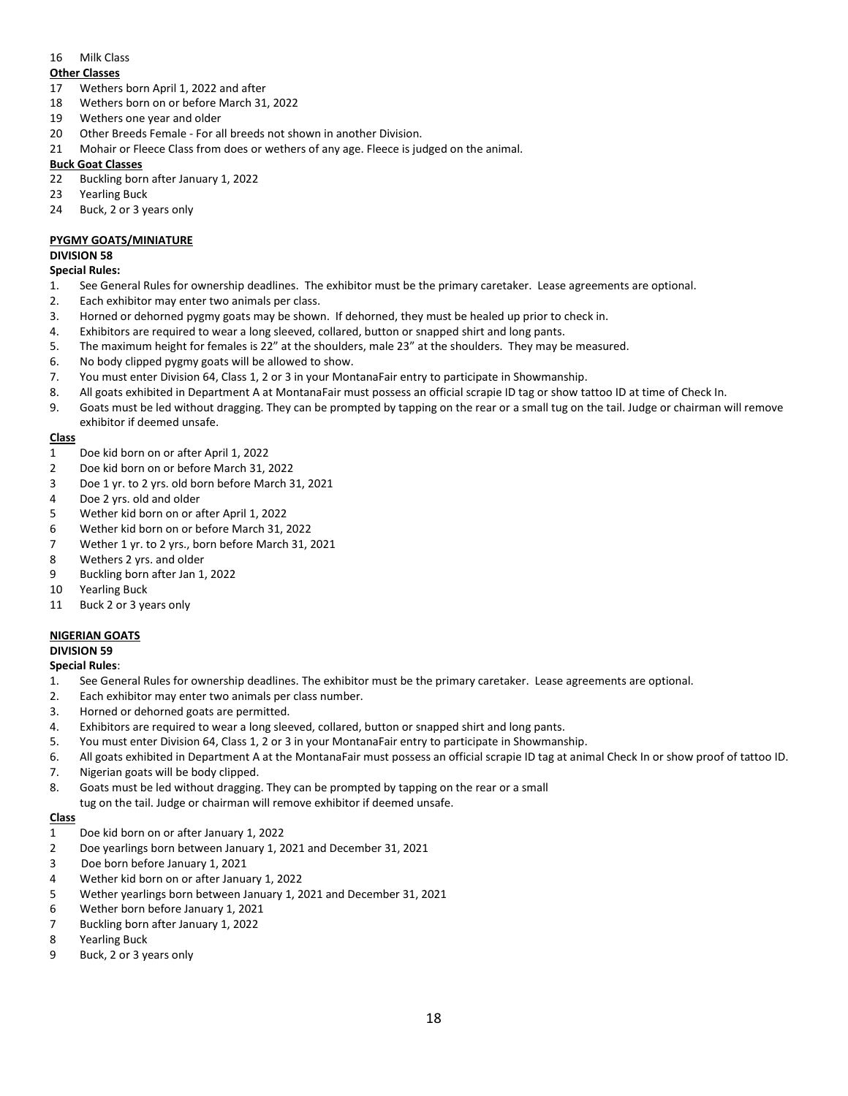### 16 Milk Class

#### **Other Classes**

- 17 Wethers born April 1, 2022 and after
- 18 Wethers born on or before March 31, 2022
- 19 Wethers one year and older
- 20 Other Breeds Female For all breeds not shown in another Division.
- 21 Mohair or Fleece Class from does or wethers of any age. Fleece is judged on the animal.

### **Buck Goat Classes**

- 22 Buckling born after January 1, 2022
- 23 Yearling Buck
- 24 Buck, 2 or 3 years only

# **PYGMY GOATS/MINIATURE**

### **DIVISION 58**

#### **Special Rules:**

- 1. See General Rules for ownership deadlines. The exhibitor must be the primary caretaker. Lease agreements are optional.
- 2. Each exhibitor may enter two animals per class.
- 3. Horned or dehorned pygmy goats may be shown. If dehorned, they must be healed up prior to check in.
- 4. Exhibitors are required to wear a long sleeved, collared, button or snapped shirt and long pants.
- 5. The maximum height for females is 22" at the shoulders, male 23" at the shoulders. They may be measured.
- 6. No body clipped pygmy goats will be allowed to show.
- 7. You must enter Division 64, Class 1, 2 or 3 in your MontanaFair entry to participate in Showmanship.
- 8. All goats exhibited in Department A at MontanaFair must possess an official scrapie ID tag or show tattoo ID at time of Check In.
- 9. Goats must be led without dragging. They can be prompted by tapping on the rear or a small tug on the tail. Judge or chairman will remove exhibitor if deemed unsafe.

# **Class**

- 1 Doe kid born on or after April 1, 2022
- 2 Doe kid born on or before March 31, 2022
- 3 Doe 1 yr. to 2 yrs. old born before March 31, 2021
- 4 Doe 2 yrs. old and older
- 5 Wether kid born on or after April 1, 2022
- 6 Wether kid born on or before March 31, 2022
- 7 Wether 1 yr. to 2 yrs., born before March 31, 2021
- 8 Wethers 2 yrs. and older
- 9 Buckling born after Jan 1, 2022
- 10 Yearling Buck
- 11 Buck 2 or 3 years only

# **NIGERIAN GOATS**

# **DIVISION 59**

**Special Rules**:

- 1. See General Rules for ownership deadlines. The exhibitor must be the primary caretaker. Lease agreements are optional.
- 2. Each exhibitor may enter two animals per class number.
- 3. Horned or dehorned goats are permitted.
- 4. Exhibitors are required to wear a long sleeved, collared, button or snapped shirt and long pants.
- 5. You must enter Division 64, Class 1, 2 or 3 in your MontanaFair entry to participate in Showmanship.
- 6. All goats exhibited in Department A at the MontanaFair must possess an official scrapie ID tag at animal Check In or show proof of tattoo ID.
- 7. Nigerian goats will be body clipped.
- 8. Goats must be led without dragging. They can be prompted by tapping on the rear or a small
- tug on the tail. Judge or chairman will remove exhibitor if deemed unsafe.

# **Class**

- 1 Doe kid born on or after January 1, 2022
- 2 Doe yearlings born between January 1, 2021 and December 31, 2021
- 3 Doe born before January 1, 2021
- 4 Wether kid born on or after January 1, 2022
- 5 Wether yearlings born between January 1, 2021 and December 31, 2021
- 6 Wether born before January 1, 2021
- 7 Buckling born after January 1, 2022
- 8 Yearling Buck
- 9 Buck, 2 or 3 years only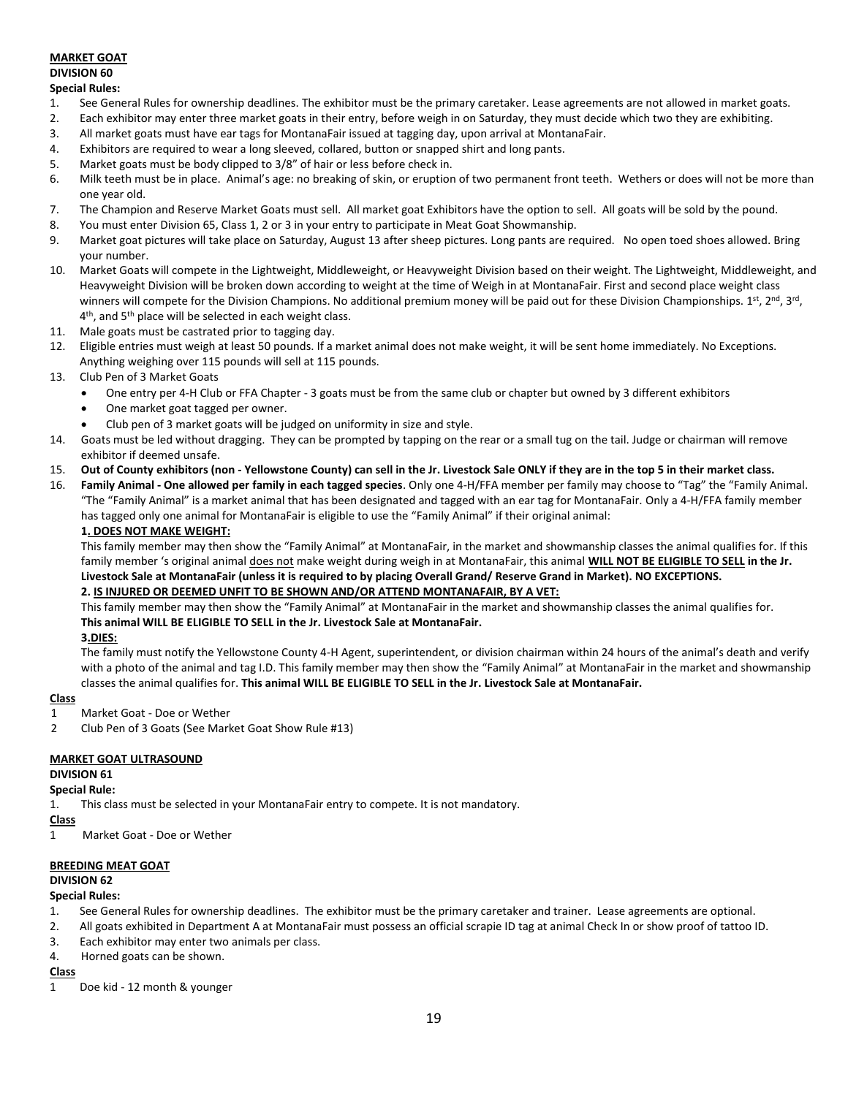# **MARKET GOAT DIVISION 60**

### **Special Rules:**

- 1. See General Rules for ownership deadlines. The exhibitor must be the primary caretaker. Lease agreements are not allowed in market goats.
- 2. Each exhibitor may enter three market goats in their entry, before weigh in on Saturday, they must decide which two they are exhibiting.
- 3. All market goats must have ear tags for MontanaFair issued at tagging day, upon arrival at MontanaFair.
- 4. Exhibitors are required to wear a long sleeved, collared, button or snapped shirt and long pants.
- 5. Market goats must be body clipped to 3/8" of hair or less before check in.
- 6. Milk teeth must be in place. Animal's age: no breaking of skin, or eruption of two permanent front teeth. Wethers or does will not be more than one year old.
- 7. The Champion and Reserve Market Goats must sell. All market goat Exhibitors have the option to sell. All goats will be sold by the pound.
- 8. You must enter Division 65, Class 1, 2 or 3 in your entry to participate in Meat Goat Showmanship.
- 9. Market goat pictures will take place on Saturday, August 13 after sheep pictures. Long pants are required. No open toed shoes allowed. Bring your number.
- 10. Market Goats will compete in the Lightweight, Middleweight, or Heavyweight Division based on their weight. The Lightweight, Middleweight, and Heavyweight Division will be broken down according to weight at the time of Weigh in at MontanaFair. First and second place weight class winners will compete for the Division Champions. No additional premium money will be paid out for these Division Championships. 1st, 2<sup>nd</sup>, 3<sup>rd</sup>, 3<sup>rd</sup>, 4<sup>th</sup>, and 5<sup>th</sup> place will be selected in each weight class.
- 11. Male goats must be castrated prior to tagging day.
- 12. Eligible entries must weigh at least 50 pounds. If a market animal does not make weight, it will be sent home immediately. No Exceptions. Anything weighing over 115 pounds will sell at 115 pounds.
- 13. Club Pen of 3 Market Goats
	- One entry per 4-H Club or FFA Chapter 3 goats must be from the same club or chapter but owned by 3 different exhibitors
	- One market goat tagged per owner.
	- Club pen of 3 market goats will be judged on uniformity in size and style.
- 14. Goats must be led without dragging. They can be prompted by tapping on the rear or a small tug on the tail. Judge or chairman will remove exhibitor if deemed unsafe.
- 15. **Out of County exhibitors (non - Yellowstone County) can sell in the Jr. Livestock Sale ONLY if they are in the top 5 in their market class.**
- 16. **Family Animal - One allowed per family in each tagged species**. Only one 4-H/FFA member per family may choose to "Tag" the "Family Animal. "The "Family Animal" is a market animal that has been designated and tagged with an ear tag for MontanaFair. Only a 4-H/FFA family member has tagged only one animal for MontanaFair is eligible to use the "Family Animal" if their original animal:

#### **1. DOES NOT MAKE WEIGHT:**

This family member may then show the "Family Animal" at MontanaFair, in the market and showmanship classes the animal qualifies for. If this family member 's original animal does not make weight during weigh in at MontanaFair, this animal **WILL NOT BE ELIGIBLE TO SELL in the Jr. Livestock Sale at MontanaFair (unless it is required to by placing Overall Grand/ Reserve Grand in Market). NO EXCEPTIONS.**

# **2. IS INJURED OR DEEMED UNFIT TO BE SHOWN AND/OR ATTEND MONTANAFAIR, BY A VET:**

This family member may then show the "Family Animal" at MontanaFair in the market and showmanship classes the animal qualifies for. **This animal WILL BE ELIGIBLE TO SELL in the Jr. Livestock Sale at MontanaFair.** 

## **3.DIES:**

The family must notify the Yellowstone County 4-H Agent, superintendent, or division chairman within 24 hours of the animal's death and verify with a photo of the animal and tag I.D. This family member may then show the "Family Animal" at MontanaFair in the market and showmanship classes the animal qualifies for. **This animal WILL BE ELIGIBLE TO SELL in the Jr. Livestock Sale at MontanaFair.**

# **Class**

- 1 Market Goat Doe or Wether
- 2 Club Pen of 3 Goats (See Market Goat Show Rule #13)

# **MARKET GOAT ULTRASOUND**

# **DIVISION 61**

# **Special Rule:**

1. This class must be selected in your MontanaFair entry to compete. It is not mandatory.

# **Class**

1 Market Goat - Doe or Wether

# **BREEDING MEAT GOAT**

# **DIVISION 62**

#### **Special Rules:**

- 1. See General Rules for ownership deadlines. The exhibitor must be the primary caretaker and trainer. Lease agreements are optional.
- 2. All goats exhibited in Department A at MontanaFair must possess an official scrapie ID tag at animal Check In or show proof of tattoo ID.
- 3. Each exhibitor may enter two animals per class.
- 4. Horned goats can be shown.

# **Class**

1 Doe kid - 12 month & younger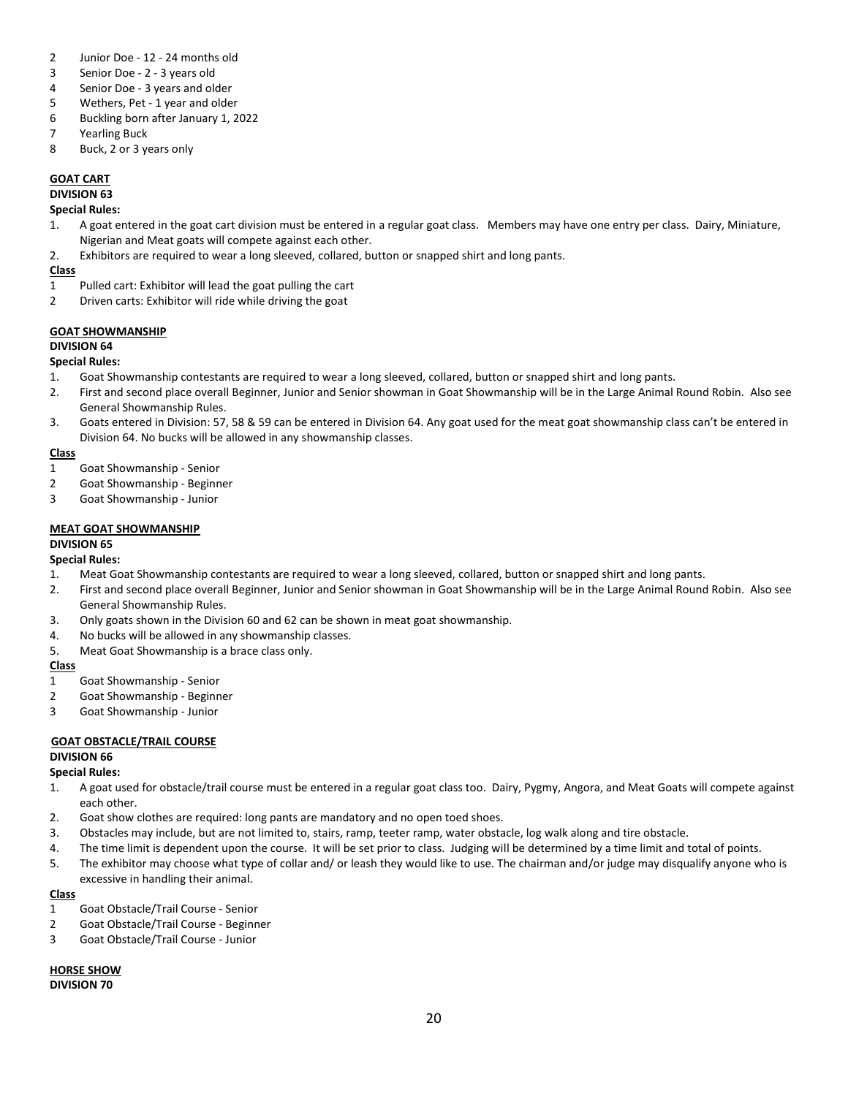- 2 Junior Doe 12 24 months old
- 3 Senior Doe 2 3 years old
- 4 Senior Doe 3 years and older
- 5 Wethers, Pet 1 year and older
- 6 Buckling born after January 1, 2022
- 7 Yearling Buck
- 8 Buck, 2 or 3 years only

# **GOAT CART**

**DIVISION 63**

### **Special Rules:**

- 1. A goat entered in the goat cart division must be entered in a regular goat class. Members may have one entry per class. Dairy, Miniature, Nigerian and Meat goats will compete against each other.
- 2. Exhibitors are required to wear a long sleeved, collared, button or snapped shirt and long pants.

#### **Class**

- 1 Pulled cart: Exhibitor will lead the goat pulling the cart
- 2 Driven carts: Exhibitor will ride while driving the goat

#### **GOAT SHOWMANSHIP**

#### **DIVISION 64**

#### **Special Rules:**

- 1. Goat Showmanship contestants are required to wear a long sleeved, collared, button or snapped shirt and long pants.
- 2. First and second place overall Beginner, Junior and Senior showman in Goat Showmanship will be in the Large Animal Round Robin. Also see General Showmanship Rules.
- 3. Goats entered in Division: 57, 58 & 59 can be entered in Division 64. Any goat used for the meat goat showmanship class can't be entered in Division 64. No bucks will be allowed in any showmanship classes.

#### **Class**

- 1 Goat Showmanship Senior
- 2 Goat Showmanship Beginner
- 3 Goat Showmanship Junior

# **MEAT GOAT SHOWMANSHIP**

#### **DIVISION 65**

# **Special Rules:**

- 1. Meat Goat Showmanship contestants are required to wear a long sleeved, collared, button or snapped shirt and long pants.
- 2. First and second place overall Beginner, Junior and Senior showman in Goat Showmanship will be in the Large Animal Round Robin. Also see General Showmanship Rules.
- 3. Only goats shown in the Division 60 and 62 can be shown in meat goat showmanship.
- 4. No bucks will be allowed in any showmanship classes.
- 5. Meat Goat Showmanship is a brace class only.

# **Class**

- 1 Goat Showmanship Senior
- 2 Goat Showmanship Beginner
- 3 Goat Showmanship Junior

# **GOAT OBSTACLE/TRAIL COURSE**

# **DIVISION 66**

# **Special Rules:**

- 1. A goat used for obstacle/trail course must be entered in a regular goat class too. Dairy, Pygmy, Angora, and Meat Goats will compete against each other.
- 2. Goat show clothes are required: long pants are mandatory and no open toed shoes.
- 3. Obstacles may include, but are not limited to, stairs, ramp, teeter ramp, water obstacle, log walk along and tire obstacle.
- 4. The time limit is dependent upon the course. It will be set prior to class. Judging will be determined by a time limit and total of points.
- 5. The exhibitor may choose what type of collar and/ or leash they would like to use. The chairman and/or judge may disqualify anyone who is excessive in handling their animal.

# **Class**

- 1 Goat Obstacle/Trail Course Senior
- 2 Goat Obstacle/Trail Course Beginner
- 3 Goat Obstacle/Trail Course Junior

**HORSE SHOW DIVISION 70**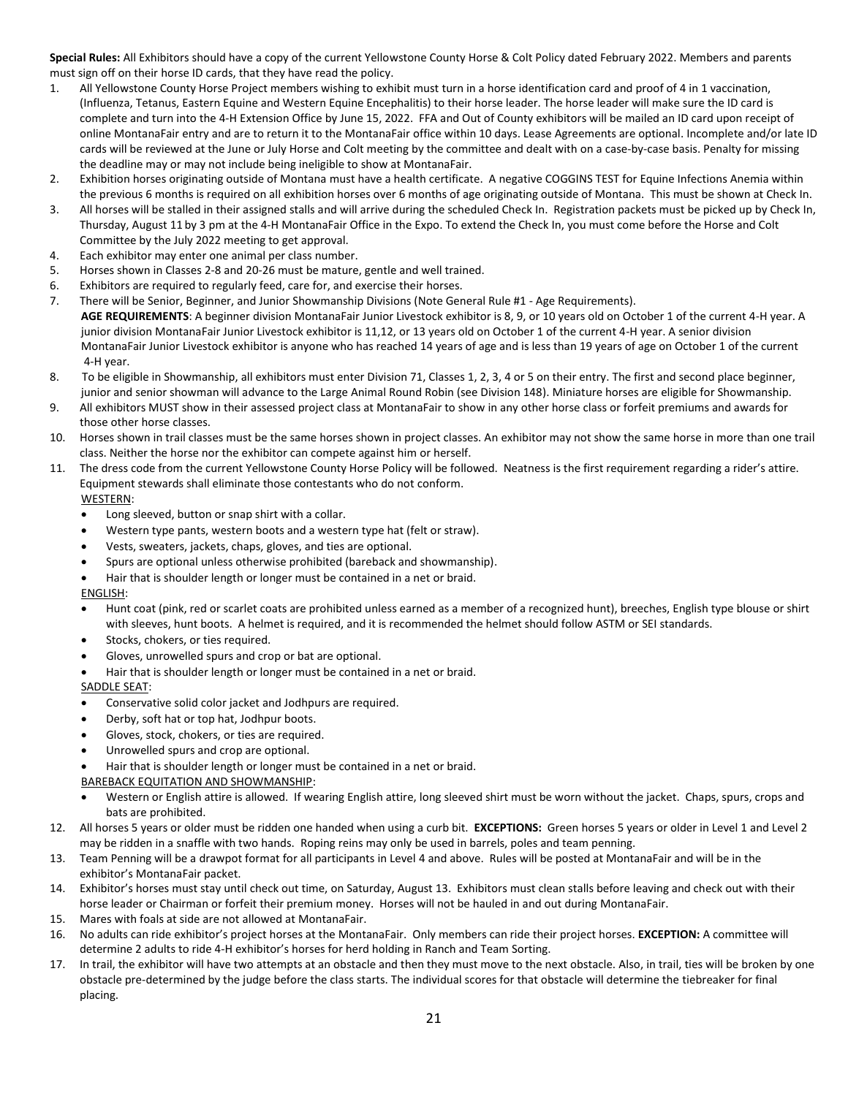**Special Rules:** All Exhibitors should have a copy of the current Yellowstone County Horse & Colt Policy dated February 2022. Members and parents must sign off on their horse ID cards, that they have read the policy.

- 1. All Yellowstone County Horse Project members wishing to exhibit must turn in a horse identification card and proof of 4 in 1 vaccination, (Influenza, Tetanus, Eastern Equine and Western Equine Encephalitis) to their horse leader. The horse leader will make sure the ID card is complete and turn into the 4-H Extension Office by June 15, 2022. FFA and Out of County exhibitors will be mailed an ID card upon receipt of online MontanaFair entry and are to return it to the MontanaFair office within 10 days. Lease Agreements are optional. Incomplete and/or late ID cards will be reviewed at the June or July Horse and Colt meeting by the committee and dealt with on a case-by-case basis. Penalty for missing the deadline may or may not include being ineligible to show at MontanaFair.
- 2. Exhibition horses originating outside of Montana must have a health certificate. A negative COGGINS TEST for Equine Infections Anemia within the previous 6 months is required on all exhibition horses over 6 months of age originating outside of Montana. This must be shown at Check In.
- 3. All horses will be stalled in their assigned stalls and will arrive during the scheduled Check In. Registration packets must be picked up by Check In, Thursday, August 11 by 3 pm at the 4-H MontanaFair Office in the Expo. To extend the Check In, you must come before the Horse and Colt Committee by the July 2022 meeting to get approval.
- 4. Each exhibitor may enter one animal per class number.
- 5. Horses shown in Classes 2-8 and 20-26 must be mature, gentle and well trained.
- 6. Exhibitors are required to regularly feed, care for, and exercise their horses.
- 7. There will be Senior, Beginner, and Junior Showmanship Divisions (Note General Rule #1 Age Requirements). **AGE REQUIREMENTS**: A beginner division MontanaFair Junior Livestock exhibitor is 8, 9, or 10 years old on October 1 of the current 4-H year. A junior division MontanaFair Junior Livestock exhibitor is 11,12, or 13 years old on October 1 of the current 4-H year. A senior division MontanaFair Junior Livestock exhibitor is anyone who has reached 14 years of age and is less than 19 years of age on October 1 of the current 4-H year.
- 8. To be eligible in Showmanship, all exhibitors must enter Division 71, Classes 1, 2, 3, 4 or 5 on their entry. The first and second place beginner, junior and senior showman will advance to the Large Animal Round Robin (see Division 148). Miniature horses are eligible for Showmanship.
- 9. All exhibitors MUST show in their assessed project class at MontanaFair to show in any other horse class or forfeit premiums and awards for those other horse classes.
- 10. Horses shown in trail classes must be the same horses shown in project classes. An exhibitor may not show the same horse in more than one trail class. Neither the horse nor the exhibitor can compete against him or herself.
- 11. The dress code from the current Yellowstone County Horse Policy will be followed. Neatness is the first requirement regarding a rider's attire. Equipment stewards shall eliminate those contestants who do not conform. WESTERN:
	- Long sleeved, button or snap shirt with a collar.
	- Western type pants, western boots and a western type hat (felt or straw).
	- Vests, sweaters, jackets, chaps, gloves, and ties are optional.
	- Spurs are optional unless otherwise prohibited (bareback and showmanship).
	- Hair that is shoulder length or longer must be contained in a net or braid.

ENGLISH:

- Hunt coat (pink, red or scarlet coats are prohibited unless earned as a member of a recognized hunt), breeches, English type blouse or shirt with sleeves, hunt boots. A helmet is required, and it is recommended the helmet should follow ASTM or SEI standards.
- Stocks, chokers, or ties required.
- Gloves, unrowelled spurs and crop or bat are optional.
- Hair that is shoulder length or longer must be contained in a net or braid.

SADDLE SEAT:

- Conservative solid color jacket and Jodhpurs are required.
- Derby, soft hat or top hat, Jodhpur boots.
- Gloves, stock, chokers, or ties are required.
- Unrowelled spurs and crop are optional.
- Hair that is shoulder length or longer must be contained in a net or braid.
- BAREBACK EQUITATION AND SHOWMANSHIP:
- Western or English attire is allowed. If wearing English attire, long sleeved shirt must be worn without the jacket. Chaps, spurs, crops and bats are prohibited.
- 12. All horses 5 years or older must be ridden one handed when using a curb bit. **EXCEPTIONS:** Green horses 5 years or older in Level 1 and Level 2 may be ridden in a snaffle with two hands. Roping reins may only be used in barrels, poles and team penning.
- 13. Team Penning will be a drawpot format for all participants in Level 4 and above. Rules will be posted at MontanaFair and will be in the exhibitor's MontanaFair packet.
- 14. Exhibitor's horses must stay until check out time, on Saturday, August 13. Exhibitors must clean stalls before leaving and check out with their horse leader or Chairman or forfeit their premium money. Horses will not be hauled in and out during MontanaFair.
- 15. Mares with foals at side are not allowed at MontanaFair.
- 16. No adults can ride exhibitor's project horses at the MontanaFair. Only members can ride their project horses. **EXCEPTION:** A committee will determine 2 adults to ride 4-H exhibitor's horses for herd holding in Ranch and Team Sorting.
- 17. In trail, the exhibitor will have two attempts at an obstacle and then they must move to the next obstacle. Also, in trail, ties will be broken by one obstacle pre-determined by the judge before the class starts. The individual scores for that obstacle will determine the tiebreaker for final placing.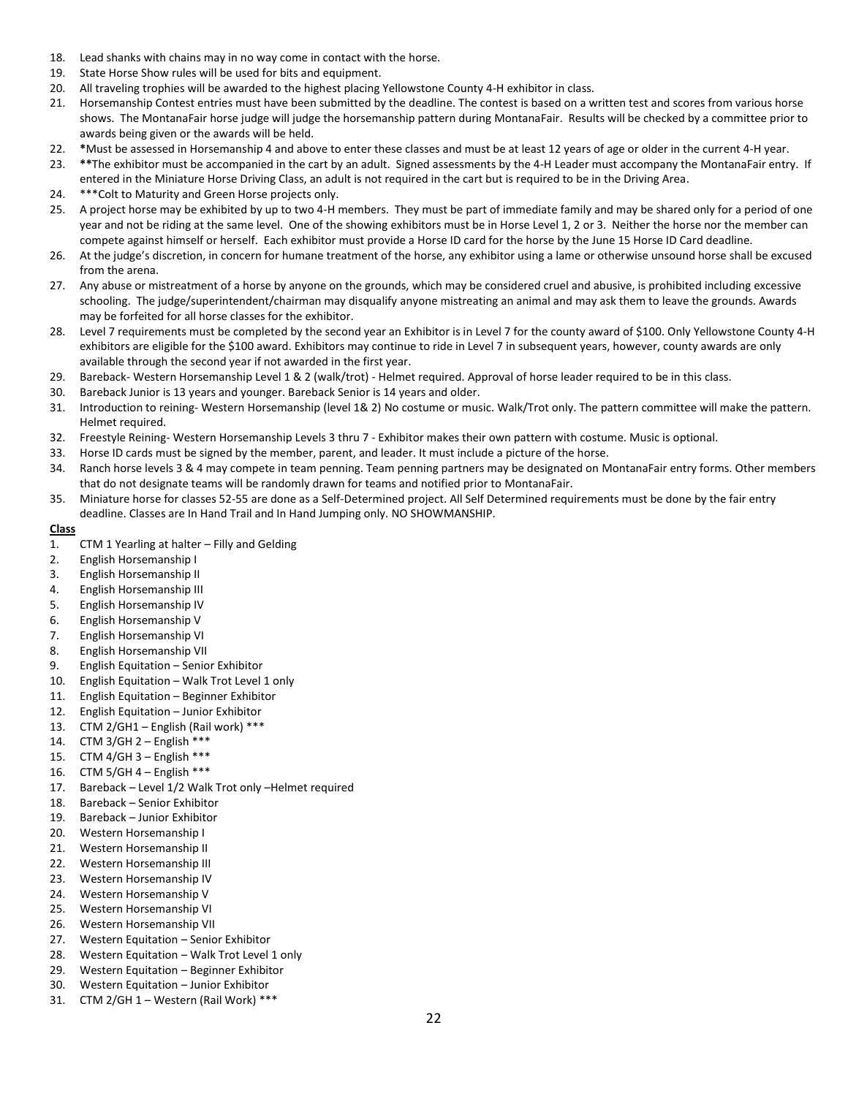- 18. Lead shanks with chains may in no way come in contact with the horse.
- 19. State Horse Show rules will be used for bits and equipment.
- 20. All traveling trophies will be awarded to the highest placing Yellowstone County 4-H exhibitor in class.
- 21. Horsemanship Contest entries must have been submitted by the deadline. The contest is based on a written test and scores from various horse shows. The MontanaFair horse judge will judge the horsemanship pattern during MontanaFair. Results will be checked by a committee prior to awards being given or the awards will be held.
- 22. **\***Must be assessed in Horsemanship 4 and above to enter these classes and must be at least 12 years of age or older in the current 4-H year.
- 23. **\*\***The exhibitor must be accompanied in the cart by an adult. Signed assessments by the 4-H Leader must accompany the MontanaFair entry. If entered in the Miniature Horse Driving Class, an adult is not required in the cart but is required to be in the Driving Area.
- 24. \*\*\*Colt to Maturity and Green Horse projects only.
- 25. A project horse may be exhibited by up to two 4-H members. They must be part of immediate family and may be shared only for a period of one year and not be riding at the same level. One of the showing exhibitors must be in Horse Level 1, 2 or 3. Neither the horse nor the member can compete against himself or herself. Each exhibitor must provide a Horse ID card for the horse by the June 15 Horse ID Card deadline.
- 26. At the judge's discretion, in concern for humane treatment of the horse, any exhibitor using a lame or otherwise unsound horse shall be excused from the arena.
- 27. Any abuse or mistreatment of a horse by anyone on the grounds, which may be considered cruel and abusive, is prohibited including excessive schooling. The judge/superintendent/chairman may disqualify anyone mistreating an animal and may ask them to leave the grounds. Awards may be forfeited for all horse classes for the exhibitor.
- 28. Level 7 requirements must be completed by the second year an Exhibitor is in Level 7 for the county award of \$100. Only Yellowstone County 4-H exhibitors are eligible for the \$100 award. Exhibitors may continue to ride in Level 7 in subsequent years, however, county awards are only available through the second year if not awarded in the first year.
- 29. Bareback- Western Horsemanship Level 1 & 2 (walk/trot) Helmet required. Approval of horse leader required to be in this class.
- 30. Bareback Junior is 13 years and younger. Bareback Senior is 14 years and older.
- 31. Introduction to reining- Western Horsemanship (level 1& 2) No costume or music. Walk/Trot only. The pattern committee will make the pattern. Helmet required.
- 32. Freestyle Reining- Western Horsemanship Levels 3 thru 7 Exhibitor makes their own pattern with costume. Music is optional.
- 33. Horse ID cards must be signed by the member, parent, and leader. It must include a picture of the horse.
- 34. Ranch horse levels 3 & 4 may compete in team penning. Team penning partners may be designated on MontanaFair entry forms. Other members that do not designate teams will be randomly drawn for teams and notified prior to MontanaFair.
- 35. Miniature horse for classes 52-55 are done as a Self-Determined project. All Self Determined requirements must be done by the fair entry deadline. Classes are In Hand Trail and In Hand Jumping only. NO SHOWMANSHIP.

- 1. CTM 1 Yearling at halter Filly and Gelding
- 2. English Horsemanship I
- 3. English Horsemanship II
- 4. English Horsemanship III
- 5. English Horsemanship IV
- 6. English Horsemanship V
- 7. English Horsemanship VI
- 8. English Horsemanship VII
- 9. English Equitation Senior Exhibitor
- 10. English Equitation Walk Trot Level 1 only
- 11. English Equitation Beginner Exhibitor
- 12. English Equitation Junior Exhibitor
- 13. CTM 2/GH1 English (Rail work) \*\*\*
- 14. CTM 3/GH 2 English \*\*\*
- 15. CTM 4/GH 3 English \*\*\*
- 16. CTM 5/GH 4 English \*\*\*
- 17. Bareback Level 1/2 Walk Trot only –Helmet required
- 18. Bareback Senior Exhibitor
- 19. Bareback Junior Exhibitor
- 20. Western Horsemanship I
- 21. Western Horsemanship II
- 22. Western Horsemanship III
- 23. Western Horsemanship IV
- 24. Western Horsemanship V
- 25. Western Horsemanship VI
- 26. Western Horsemanship VII
- 27. Western Equitation Senior Exhibitor
- 28. Western Equitation Walk Trot Level 1 only
- 29. Western Equitation Beginner Exhibitor
- 30. Western Equitation Junior Exhibitor
- 31. CTM 2/GH 1 Western (Rail Work) \*\*\*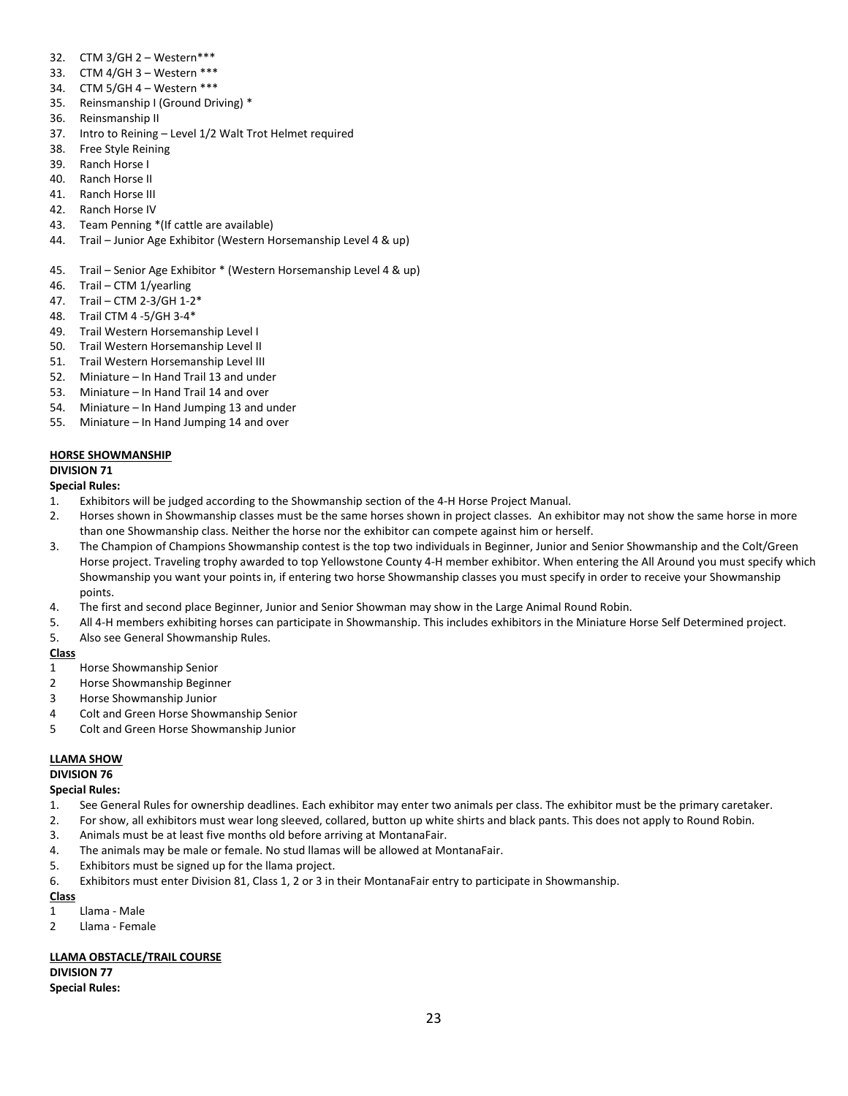- 32. CTM 3/GH 2 Western\*\*\*
- 33. CTM 4/GH 3 Western \*\*\*
- 34. CTM 5/GH 4 Western \*\*\*
- 35. Reinsmanship I (Ground Driving) \*
- 36. Reinsmanship II
- 37. Intro to Reining Level 1/2 Walt Trot Helmet required
- 38. Free Style Reining
- 39. Ranch Horse I
- 40. Ranch Horse II
- 41. Ranch Horse III
- 42. Ranch Horse IV
- 43. Team Penning \*(If cattle are available)
- 44. Trail Junior Age Exhibitor (Western Horsemanship Level 4 & up)
- 45. Trail Senior Age Exhibitor \* (Western Horsemanship Level 4 & up)
- 46. Trail CTM 1/yearling
- 47. Trail CTM 2-3/GH 1-2\*
- 48. Trail CTM 4 -5/GH 3-4\*
- 49. Trail Western Horsemanship Level I
- 50. Trail Western Horsemanship Level II
- 51. Trail Western Horsemanship Level III
- 52. Miniature In Hand Trail 13 and under
- 53. Miniature In Hand Trail 14 and over
- 54. Miniature In Hand Jumping 13 and under
- 55. Miniature In Hand Jumping 14 and over

# **HORSE SHOWMANSHIP**

# **DIVISION 71**

# **Special Rules:**

- 1. Exhibitors will be judged according to the Showmanship section of the 4-H Horse Project Manual.
- 2. Horses shown in Showmanship classes must be the same horses shown in project classes. An exhibitor may not show the same horse in more than one Showmanship class. Neither the horse nor the exhibitor can compete against him or herself.
- 3. The Champion of Champions Showmanship contest is the top two individuals in Beginner, Junior and Senior Showmanship and the Colt/Green Horse project. Traveling trophy awarded to top Yellowstone County 4-H member exhibitor. When entering the All Around you must specify which Showmanship you want your points in, if entering two horse Showmanship classes you must specify in order to receive your Showmanship points.
- 4. The first and second place Beginner, Junior and Senior Showman may show in the Large Animal Round Robin.
- 5. All 4-H members exhibiting horses can participate in Showmanship. This includes exhibitors in the Miniature Horse Self Determined project.
- 5. Also see General Showmanship Rules.

# **Class**

- 1 Horse Showmanship Senior
- 2 Horse Showmanship Beginner
- 3 Horse Showmanship Junior
- 4 Colt and Green Horse Showmanship Senior
- 5 Colt and Green Horse Showmanship Junior

# **LLAMA SHOW**

# **DIVISION 76**

# **Special Rules:**

- 1. See General Rules for ownership deadlines. Each exhibitor may enter two animals per class. The exhibitor must be the primary caretaker.
- 2. For show, all exhibitors must wear long sleeved, collared, button up white shirts and black pants. This does not apply to Round Robin.
- 3. Animals must be at least five months old before arriving at MontanaFair.
- 4. The animals may be male or female. No stud llamas will be allowed at MontanaFair.
- 5. Exhibitors must be signed up for the llama project.
- 6. Exhibitors must enter Division 81, Class 1, 2 or 3 in their MontanaFair entry to participate in Showmanship.

# **Class**

- 1 Llama Male
- 2 Llama Female

# **LLAMA OBSTACLE/TRAIL COURSE**

**DIVISION 77 Special Rules:**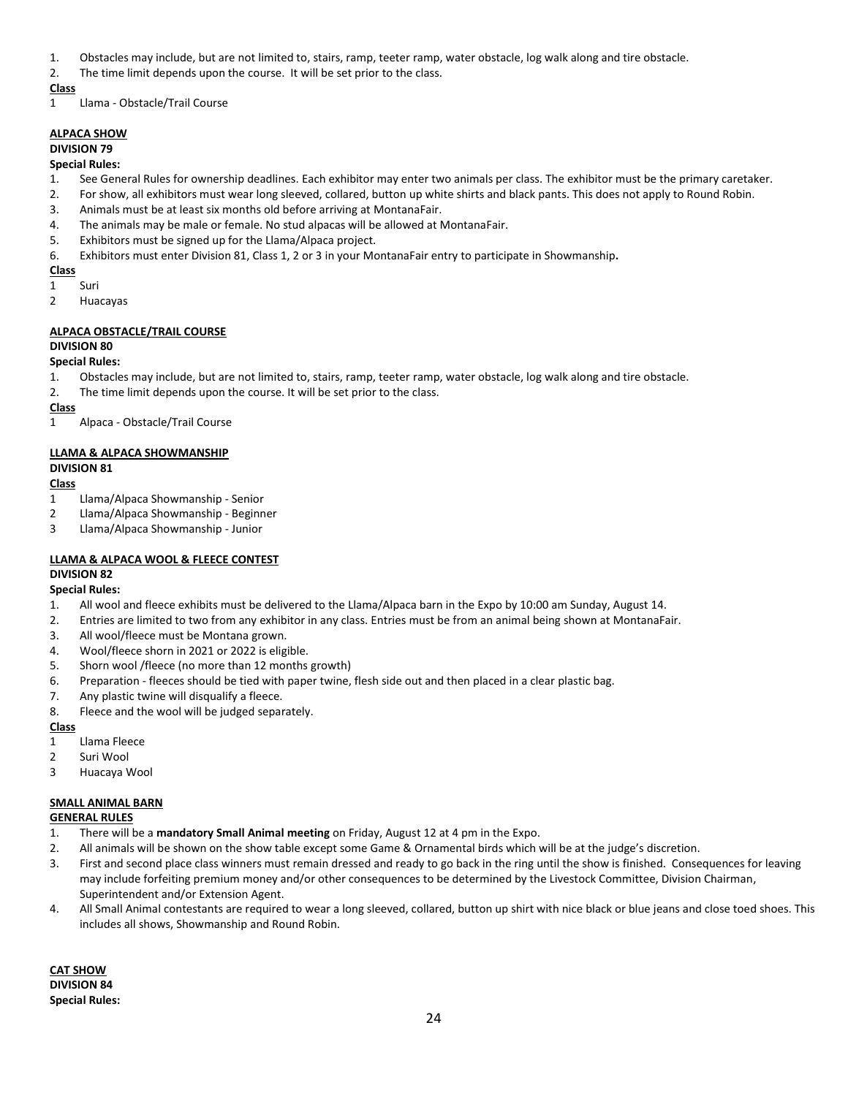- 1. Obstacles may include, but are not limited to, stairs, ramp, teeter ramp, water obstacle, log walk along and tire obstacle.
- 2. The time limit depends upon the course. It will be set prior to the class.

1 Llama - Obstacle/Trail Course

# **ALPACA SHOW**

# **DIVISION 79**

# **Special Rules:**

- 1. See General Rules for ownership deadlines. Each exhibitor may enter two animals per class. The exhibitor must be the primary caretaker.
- 2. For show, all exhibitors must wear long sleeved, collared, button up white shirts and black pants. This does not apply to Round Robin.
- 3. Animals must be at least six months old before arriving at MontanaFair.
- 4. The animals may be male or female. No stud alpacas will be allowed at MontanaFair.
- 5. Exhibitors must be signed up for the Llama/Alpaca project.
- 6. Exhibitors must enter Division 81, Class 1, 2 or 3 in your MontanaFair entry to participate in Showmanship**.**

# **Class**

- 1 Suri
- 2 Huacayas

# **ALPACA OBSTACLE/TRAIL COURSE**

# **DIVISION 80**

# **Special Rules:**

- 1. Obstacles may include, but are not limited to, stairs, ramp, teeter ramp, water obstacle, log walk along and tire obstacle.
- 2. The time limit depends upon the course. It will be set prior to the class.

# **Class**

1 Alpaca - Obstacle/Trail Course

# **LLAMA & ALPACA SHOWMANSHIP**

# **DIVISION 81**

# **Class**

- 1 Llama/Alpaca Showmanship Senior
- 2 Llama/Alpaca Showmanship Beginner
- 3 Llama/Alpaca Showmanship Junior

# **LLAMA & ALPACA WOOL & FLEECE CONTEST**

# **DIVISION 82**

# **Special Rules:**

- 1. All wool and fleece exhibits must be delivered to the Llama/Alpaca barn in the Expo by 10:00 am Sunday, August 14.
- 2. Entries are limited to two from any exhibitor in any class. Entries must be from an animal being shown at MontanaFair.
- 3. All wool/fleece must be Montana grown.
- 4. Wool/fleece shorn in 2021 or 2022 is eligible.
- 5. Shorn wool /fleece (no more than 12 months growth)
- 6. Preparation fleeces should be tied with paper twine, flesh side out and then placed in a clear plastic bag.
- 7. Any plastic twine will disqualify a fleece.
- 8. Fleece and the wool will be judged separately.

# **Class**

- 1 Llama Fleece
- 2 Suri Wool
- 3 Huacaya Wool

# **SMALL ANIMAL BARN**

# **GENERAL RULES**

- 1. There will be a **mandatory Small Animal meeting** on Friday, August 12 at 4 pm in the Expo.
- 2. All animals will be shown on the show table except some Game & Ornamental birds which will be at the judge's discretion.
- 3. First and second place class winners must remain dressed and ready to go back in the ring until the show is finished. Consequences for leaving may include forfeiting premium money and/or other consequences to be determined by the Livestock Committee, Division Chairman, Superintendent and/or Extension Agent.
- 4. All Small Animal contestants are required to wear a long sleeved, collared, button up shirt with nice black or blue jeans and close toed shoes. This includes all shows, Showmanship and Round Robin.

**CAT SHOW DIVISION 84 Special Rules:**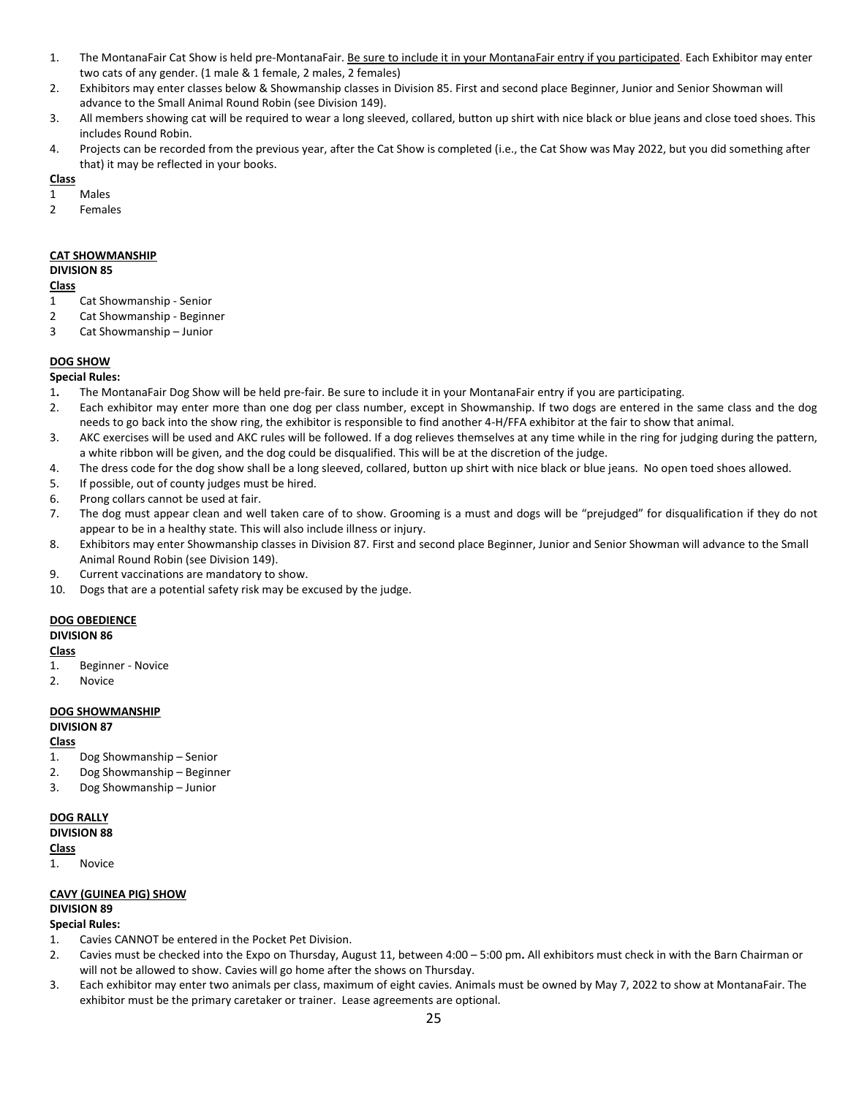- 1. The MontanaFair Cat Show is held pre-MontanaFair. Be sure to include it in your MontanaFair entry if you participated. Each Exhibitor may enter two cats of any gender. (1 male & 1 female, 2 males, 2 females)
- 2. Exhibitors may enter classes below & Showmanship classes in Division 85. First and second place Beginner, Junior and Senior Showman will advance to the Small Animal Round Robin (see Division 149).
- 3. All members showing cat will be required to wear a long sleeved, collared, button up shirt with nice black or blue jeans and close toed shoes. This includes Round Robin.
- 4. Projects can be recorded from the previous year, after the Cat Show is completed (i.e., the Cat Show was May 2022, but you did something after that) it may be reflected in your books.

- 1 Males
- 2 Females

# **CAT SHOWMANSHIP**

#### **DIVISION 85**

#### **Class**

- 1 Cat Showmanship Senior
- 2 Cat Showmanship Beginner
- 3 Cat Showmanship Junior

# **DOG SHOW**

#### **Special Rules:**

- 1**.** The MontanaFair Dog Show will be held pre-fair. Be sure to include it in your MontanaFair entry if you are participating.
- 2. Each exhibitor may enter more than one dog per class number, except in Showmanship. If two dogs are entered in the same class and the dog needs to go back into the show ring, the exhibitor is responsible to find another 4-H/FFA exhibitor at the fair to show that animal.
- 3. AKC exercises will be used and AKC rules will be followed. If a dog relieves themselves at any time while in the ring for judging during the pattern, a white ribbon will be given, and the dog could be disqualified. This will be at the discretion of the judge.
- 4. The dress code for the dog show shall be a long sleeved, collared, button up shirt with nice black or blue jeans. No open toed shoes allowed.
- 5. If possible, out of county judges must be hired.
- 6. Prong collars cannot be used at fair.
- 7. The dog must appear clean and well taken care of to show. Grooming is a must and dogs will be "prejudged" for disqualification if they do not appear to be in a healthy state. This will also include illness or injury.
- 8. Exhibitors may enter Showmanship classes in Division 87. First and second place Beginner, Junior and Senior Showman will advance to the Small Animal Round Robin (see Division 149).
- 9. Current vaccinations are mandatory to show.
- 10. Dogs that are a potential safety risk may be excused by the judge.

# **DOG OBEDIENCE**

# **DIVISION 86**

#### **Class**

- 1. Beginner Novice
- 2. Novice

# **DOG SHOWMANSHIP**

# **DIVISION 87**

# **Class**

- 1. Dog Showmanship Senior
- 2. Dog Showmanship Beginner
- 3. Dog Showmanship Junior

#### **DOG RALLY**

#### **DIVISION 88**

# **Class**

1. Novice

# **CAVY (GUINEA PIG) SHOW**

# **DIVISION 89**

# **Special Rules:**

- 1. Cavies CANNOT be entered in the Pocket Pet Division.
- 2. Cavies must be checked into the Expo on Thursday, August 11, between 4:00 5:00 pm**.** All exhibitors must check in with the Barn Chairman or will not be allowed to show. Cavies will go home after the shows on Thursday.
- 3. Each exhibitor may enter two animals per class, maximum of eight cavies. Animals must be owned by May 7, 2022 to show at MontanaFair. The exhibitor must be the primary caretaker or trainer. Lease agreements are optional.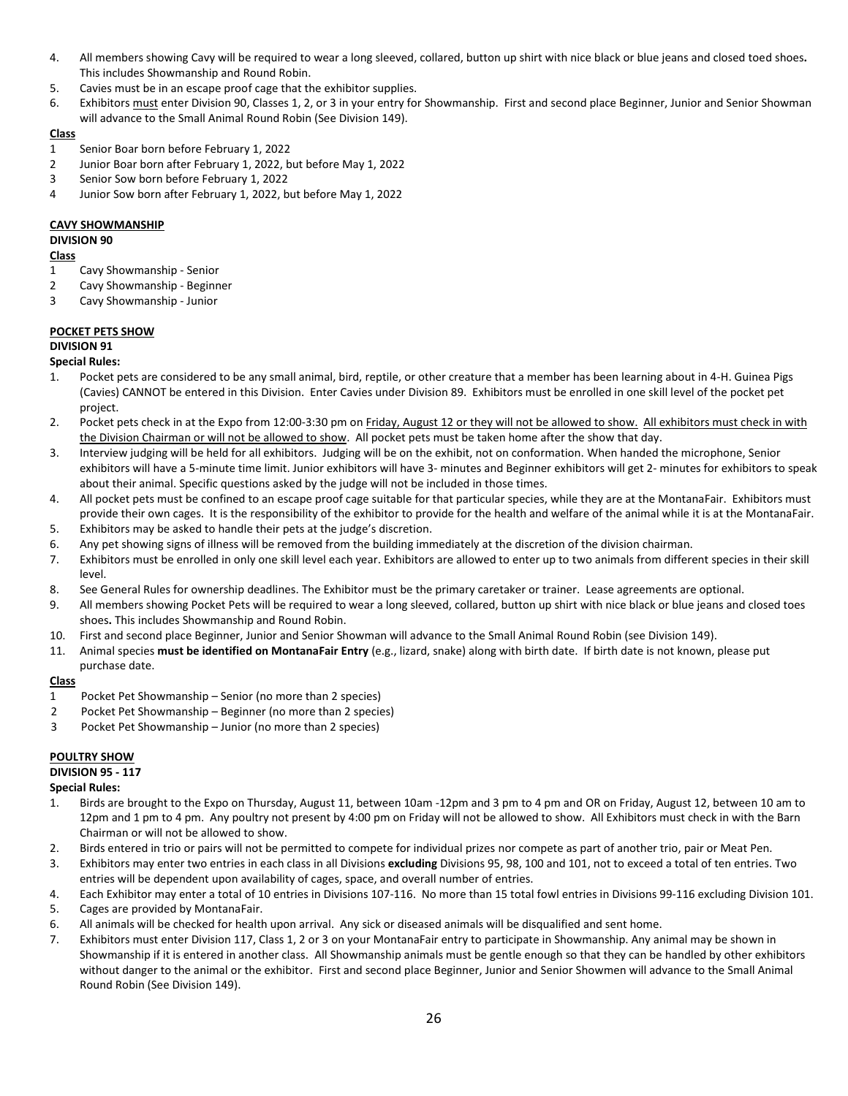- 4. All members showing Cavy will be required to wear a long sleeved, collared, button up shirt with nice black or blue jeans and closed toed shoes**.**  This includes Showmanship and Round Robin.
- 5. Cavies must be in an escape proof cage that the exhibitor supplies.
- 6. Exhibitors must enter Division 90, Classes 1, 2, or 3 in your entry for Showmanship. First and second place Beginner, Junior and Senior Showman will advance to the Small Animal Round Robin (See Division 149).

- 1 Senior Boar born before February 1, 2022
- 2 Junior Boar born after February 1, 2022, but before May 1, 2022
- 3 Senior Sow born before February 1, 2022
- 4 Junior Sow born after February 1, 2022, but before May 1, 2022

# **CAVY SHOWMANSHIP**

# **DIVISION 90**

# **Class**

- 1 Cavy Showmanship Senior
- 2 Cavy Showmanship Beginner
- 3 Cavy Showmanship Junior

# **POCKET PETS SHOW**

# **DIVISION 91**

# **Special Rules:**

- 1. Pocket pets are considered to be any small animal, bird, reptile, or other creature that a member has been learning about in 4-H. Guinea Pigs (Cavies) CANNOT be entered in this Division. Enter Cavies under Division 89. Exhibitors must be enrolled in one skill level of the pocket pet project.
- 2. Pocket pets check in at the Expo from 12:00-3:30 pm on Friday, August 12 or they will not be allowed to show. All exhibitors must check in with the Division Chairman or will not be allowed to show. All pocket pets must be taken home after the show that day.
- 3. Interview judging will be held for all exhibitors. Judging will be on the exhibit, not on conformation. When handed the microphone, Senior exhibitors will have a 5-minute time limit. Junior exhibitors will have 3- minutes and Beginner exhibitors will get 2- minutes for exhibitors to speak about their animal. Specific questions asked by the judge will not be included in those times.
- 4. All pocket pets must be confined to an escape proof cage suitable for that particular species, while they are at the MontanaFair. Exhibitors must provide their own cages. It is the responsibility of the exhibitor to provide for the health and welfare of the animal while it is at the MontanaFair.
- 5. Exhibitors may be asked to handle their pets at the judge's discretion.
- 6. Any pet showing signs of illness will be removed from the building immediately at the discretion of the division chairman.
- 7. Exhibitors must be enrolled in only one skill level each year. Exhibitors are allowed to enter up to two animals from different species in their skill level.
- 8. See General Rules for ownership deadlines. The Exhibitor must be the primary caretaker or trainer. Lease agreements are optional.
- 9. All members showing Pocket Pets will be required to wear a long sleeved, collared, button up shirt with nice black or blue jeans and closed toes shoes**.** This includes Showmanship and Round Robin.
- 10. First and second place Beginner, Junior and Senior Showman will advance to the Small Animal Round Robin (see Division 149).
- 11. Animal species **must be identified on MontanaFair Entry** (e.g., lizard, snake) along with birth date. If birth date is not known, please put purchase date.

# **Class**

- 1 Pocket Pet Showmanship Senior (no more than 2 species)
- 2 Pocket Pet Showmanship Beginner (no more than 2 species)
- 3 Pocket Pet Showmanship Junior (no more than 2 species)

# **POULTRY SHOW**

# **DIVISION 95 - 117**

# **Special Rules:**

- 1. Birds are brought to the Expo on Thursday, August 11, between 10am -12pm and 3 pm to 4 pm and OR on Friday, August 12, between 10 am to 12pm and 1 pm to 4 pm. Any poultry not present by 4:00 pm on Friday will not be allowed to show. All Exhibitors must check in with the Barn Chairman or will not be allowed to show.
- 2. Birds entered in trio or pairs will not be permitted to compete for individual prizes nor compete as part of another trio, pair or Meat Pen.
- 3. Exhibitors may enter two entries in each class in all Divisions **excluding** Divisions 95, 98, 100 and 101, not to exceed a total of ten entries. Two entries will be dependent upon availability of cages, space, and overall number of entries.
- 4. Each Exhibitor may enter a total of 10 entries in Divisions 107-116. No more than 15 total fowl entries in Divisions 99-116 excluding Division 101.
- 5. Cages are provided by MontanaFair.
- 6. All animals will be checked for health upon arrival. Any sick or diseased animals will be disqualified and sent home.
- 7. Exhibitors must enter Division 117, Class 1, 2 or 3 on your MontanaFair entry to participate in Showmanship. Any animal may be shown in Showmanship if it is entered in another class. All Showmanship animals must be gentle enough so that they can be handled by other exhibitors without danger to the animal or the exhibitor. First and second place Beginner, Junior and Senior Showmen will advance to the Small Animal Round Robin (See Division 149).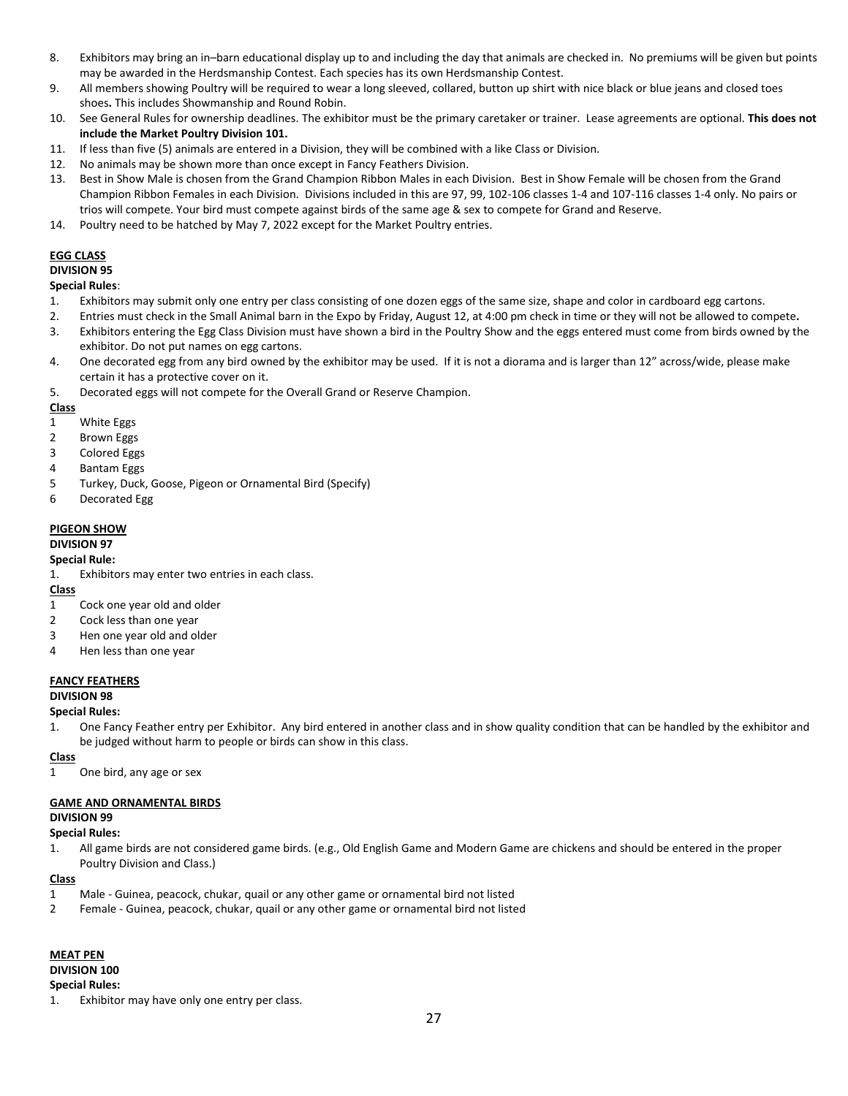- 8. Exhibitors may bring an in–barn educational display up to and including the day that animals are checked in. No premiums will be given but points may be awarded in the Herdsmanship Contest. Each species has its own Herdsmanship Contest.
- 9. All members showing Poultry will be required to wear a long sleeved, collared, button up shirt with nice black or blue jeans and closed toes shoes**.** This includes Showmanship and Round Robin.
- 10. See General Rules for ownership deadlines. The exhibitor must be the primary caretaker or trainer. Lease agreements are optional. **This does not include the Market Poultry Division 101.**
- 11. If less than five (5) animals are entered in a Division, they will be combined with a like Class or Division.
- 12. No animals may be shown more than once except in Fancy Feathers Division.
- 13. Best in Show Male is chosen from the Grand Champion Ribbon Males in each Division. Best in Show Female will be chosen from the Grand Champion Ribbon Females in each Division. Divisions included in this are 97, 99, 102-106 classes 1-4 and 107-116 classes 1-4 only. No pairs or trios will compete. Your bird must compete against birds of the same age & sex to compete for Grand and Reserve.
- 14. Poultry need to be hatched by May 7, 2022 except for the Market Poultry entries.

# **EGG CLASS**

# **DIVISION 95**

# **Special Rules**:

- 1. Exhibitors may submit only one entry per class consisting of one dozen eggs of the same size, shape and color in cardboard egg cartons.
- 2. Entries must check in the Small Animal barn in the Expo by Friday, August 12, at 4:00 pm check in time or they will not be allowed to compete**.**
- 3. Exhibitors entering the Egg Class Division must have shown a bird in the Poultry Show and the eggs entered must come from birds owned by the exhibitor. Do not put names on egg cartons.
- 4. One decorated egg from any bird owned by the exhibitor may be used. If it is not a diorama and is larger than 12" across/wide, please make certain it has a protective cover on it.
- 5. Decorated eggs will not compete for the Overall Grand or Reserve Champion.

#### **Class**

- 1 White Eggs
- 2 Brown Eggs
- 3 Colored Eggs
- 4 Bantam Eggs
- 5 Turkey, Duck, Goose, Pigeon or Ornamental Bird (Specify)
- 6 Decorated Egg

# **PIGEON SHOW**

# **DIVISION 97**

# **Special Rule:**

1. Exhibitors may enter two entries in each class.

# **Class**

- 1 Cock one year old and older
- 2 Cock less than one year
- 3 Hen one year old and older
- 4 Hen less than one year

# **FANCY FEATHERS**

# **DIVISION 98**

#### **Special Rules:**

1. One Fancy Feather entry per Exhibitor. Any bird entered in another class and in show quality condition that can be handled by the exhibitor and be judged without harm to people or birds can show in this class.

# **Class**

1 One bird, any age or sex

# **GAME AND ORNAMENTAL BIRDS**

#### **DIVISION 99**

# **Special Rules:**

1. All game birds are not considered game birds. (e.g., Old English Game and Modern Game are chickens and should be entered in the proper Poultry Division and Class.)

#### **Class**

- 1 Male Guinea, peacock, chukar, quail or any other game or ornamental bird not listed
- 2 Female Guinea, peacock, chukar, quail or any other game or ornamental bird not listed

# **MEAT PEN**

# **DIVISION 100**

#### **Special Rules:**

1. Exhibitor may have only one entry per class.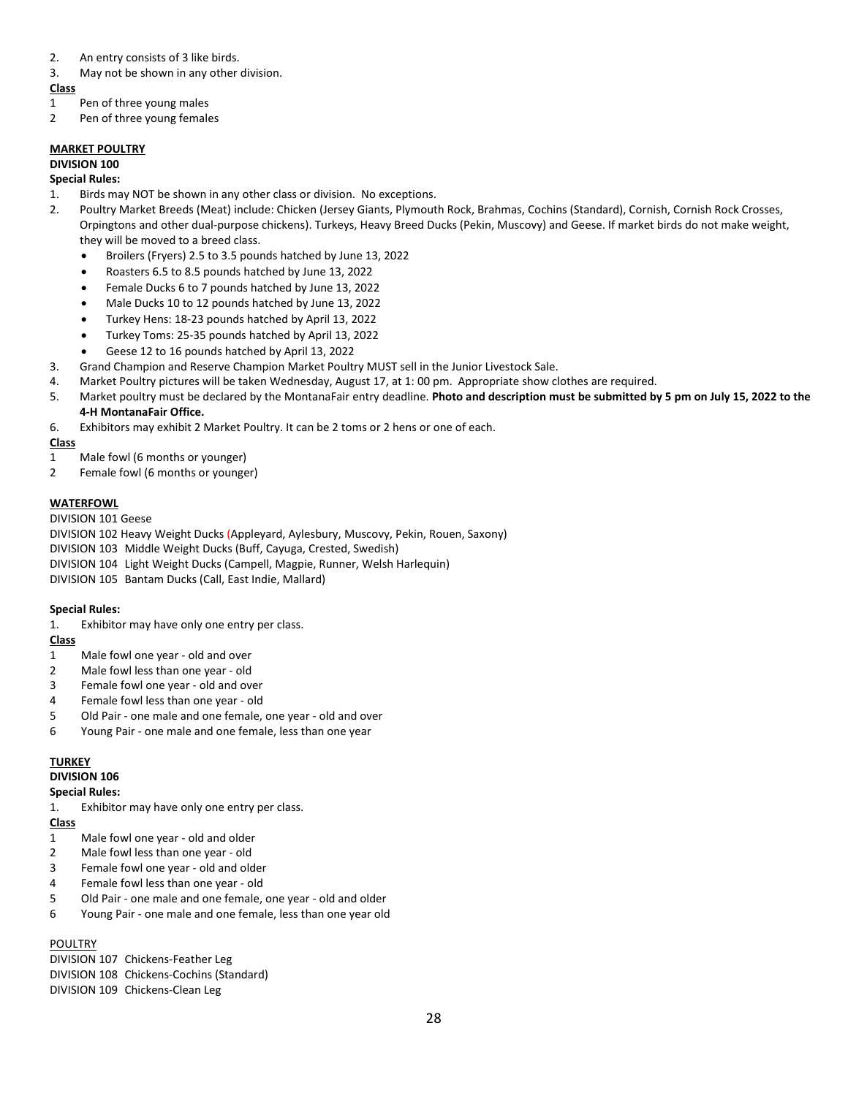- 2. An entry consists of 3 like birds.
- 3. May not be shown in any other division.

- 1 Pen of three young males
- 2 Pen of three young females

# **MARKET POULTRY**

# **DIVISION 100**

# **Special Rules:**

- 1. Birds may NOT be shown in any other class or division. No exceptions.
- 2. Poultry Market Breeds (Meat) include: Chicken (Jersey Giants, Plymouth Rock, Brahmas, Cochins (Standard), Cornish, Cornish Rock Crosses, Orpingtons and other dual-purpose chickens). Turkeys, Heavy Breed Ducks (Pekin, Muscovy) and Geese. If market birds do not make weight, they will be moved to a breed class.
	- Broilers (Fryers) 2.5 to 3.5 pounds hatched by June 13, 2022
	- Roasters 6.5 to 8.5 pounds hatched by June 13, 2022
	- Female Ducks 6 to 7 pounds hatched by June 13, 2022
	- Male Ducks 10 to 12 pounds hatched by June 13, 2022
	- Turkey Hens: 18-23 pounds hatched by April 13, 2022
	- Turkey Toms: 25-35 pounds hatched by April 13, 2022
	- Geese 12 to 16 pounds hatched by April 13, 2022
- 3. Grand Champion and Reserve Champion Market Poultry MUST sell in the Junior Livestock Sale.
- 4. Market Poultry pictures will be taken Wednesday, August 17, at 1: 00 pm. Appropriate show clothes are required.
- 5. Market poultry must be declared by the MontanaFair entry deadline. **Photo and description must be submitted by 5 pm on July 15, 2022 to the 4-H MontanaFair Office.**
- 6. Exhibitors may exhibit 2 Market Poultry. It can be 2 toms or 2 hens or one of each.

# **Class**

- 1 Male fowl (6 months or younger)
- 2 Female fowl (6 months or younger)

# **WATERFOWL**

# DIVISION 101 Geese

DIVISION 102 Heavy Weight Ducks (Appleyard, Aylesbury, Muscovy, Pekin, Rouen, Saxony) DIVISION 103 Middle Weight Ducks (Buff, Cayuga, Crested, Swedish) DIVISION 104 Light Weight Ducks (Campell, Magpie, Runner, Welsh Harlequin) DIVISION 105 Bantam Ducks (Call, East Indie, Mallard)

# **Special Rules:**

1. Exhibitor may have only one entry per class.

# **Class**

- 1 Male fowl one year old and over
- 2 Male fowl less than one year old
- 3 Female fowl one year old and over
- 4 Female fowl less than one year old
- 5 Old Pair one male and one female, one year old and over
- 6 Young Pair one male and one female, less than one year

# **TURKEY**

# **DIVISION 106**

# **Special Rules:**

1. Exhibitor may have only one entry per class.

# **Class**

- 1 Male fowl one year old and older
- 2 Male fowl less than one year old
- 3 Female fowl one year old and older
- 4 Female fowl less than one year old
- 5 Old Pair one male and one female, one year old and older
- 6 Young Pair one male and one female, less than one year old

# **POULTRY**

DIVISION 107 Chickens-Feather Leg DIVISION 108 Chickens-Cochins (Standard) DIVISION 109 Chickens-Clean Leg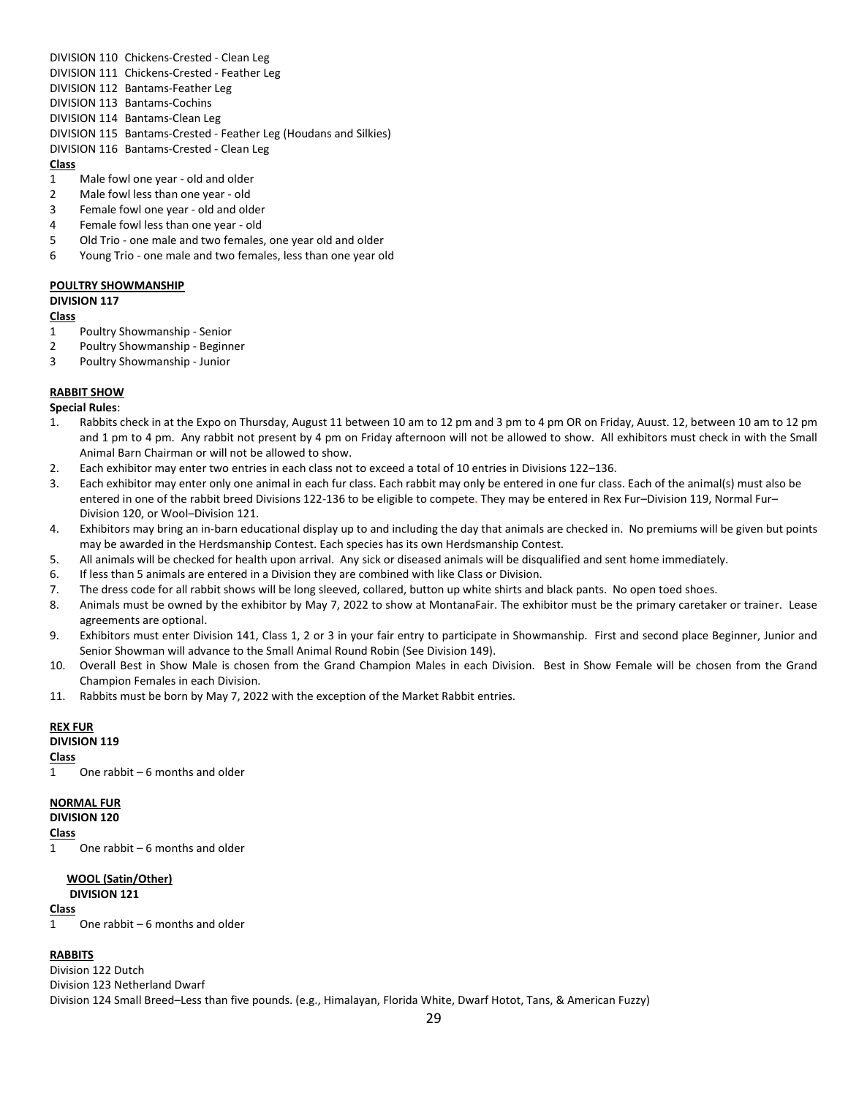DIVISION 110 Chickens-Crested - Clean Leg

- DIVISION 111 Chickens-Crested Feather Leg
- DIVISION 112 Bantams-Feather Leg
- DIVISION 113 Bantams-Cochins
- DIVISION 114 Bantams-Clean Leg
- DIVISION 115 Bantams-Crested Feather Leg (Houdans and Silkies)
- DIVISION 116 Bantams-Crested Clean Leg

# **Class**

- 1 Male fowl one year old and older
- 2 Male fowl less than one year old
- 3 Female fowl one year old and older
- 4 Female fowl less than one year old
- 5 Old Trio one male and two females, one year old and older
- 6 Young Trio one male and two females, less than one year old

# **POULTRY SHOWMANSHIP**

# **DIVISION 117**

# **Class**

- 1 Poultry Showmanship Senior
- 2 Poultry Showmanship Beginner
- 3 Poultry Showmanship Junior

# **RABBIT SHOW**

**Special Rules**:

- 1. Rabbits check in at the Expo on Thursday, August 11 between 10 am to 12 pm and 3 pm to 4 pm OR on Friday, Auust. 12, between 10 am to 12 pm and 1 pm to 4 pm. Any rabbit not present by 4 pm on Friday afternoon will not be allowed to show. All exhibitors must check in with the Small Animal Barn Chairman or will not be allowed to show.
- 2. Each exhibitor may enter two entries in each class not to exceed a total of 10 entries in Divisions 122–136.
- 3. Each exhibitor may enter only one animal in each fur class. Each rabbit may only be entered in one fur class. Each of the animal(s) must also be entered in one of the rabbit breed Divisions 122-136 to be eligible to compete. They may be entered in Rex Fur–Division 119, Normal Fur– Division 120, or Wool–Division 121.
- 4. Exhibitors may bring an in-barn educational display up to and including the day that animals are checked in. No premiums will be given but points may be awarded in the Herdsmanship Contest. Each species has its own Herdsmanship Contest.
- 5. All animals will be checked for health upon arrival. Any sick or diseased animals will be disqualified and sent home immediately.
- 6. If less than 5 animals are entered in a Division they are combined with like Class or Division.
- 7. The dress code for all rabbit shows will be long sleeved, collared, button up white shirts and black pants. No open toed shoes.
- 8. Animals must be owned by the exhibitor by May 7, 2022 to show at MontanaFair. The exhibitor must be the primary caretaker or trainer. Lease agreements are optional.
- 9. Exhibitors must enter Division 141, Class 1, 2 or 3 in your fair entry to participate in Showmanship. First and second place Beginner, Junior and Senior Showman will advance to the Small Animal Round Robin (See Division 149).
- 10. Overall Best in Show Male is chosen from the Grand Champion Males in each Division. Best in Show Female will be chosen from the Grand Champion Females in each Division.
- 11. Rabbits must be born by May 7, 2022 with the exception of the Market Rabbit entries.

# **REX FUR**

# **DIVISION 119**

**Class**

1 One rabbit – 6 months and older

# **NORMAL FUR**

**DIVISION 120**

# **Class**

1 One rabbit – 6 months and older

# **WOOL (Satin/Other)**

**DIVISION 121**

# **Class**

1 One rabbit – 6 months and older

# **RABBITS**

Division 122 Dutch Division 123 Netherland Dwarf Division 124 Small Breed–Less than five pounds. (e.g., Himalayan, Florida White, Dwarf Hotot, Tans, & American Fuzzy)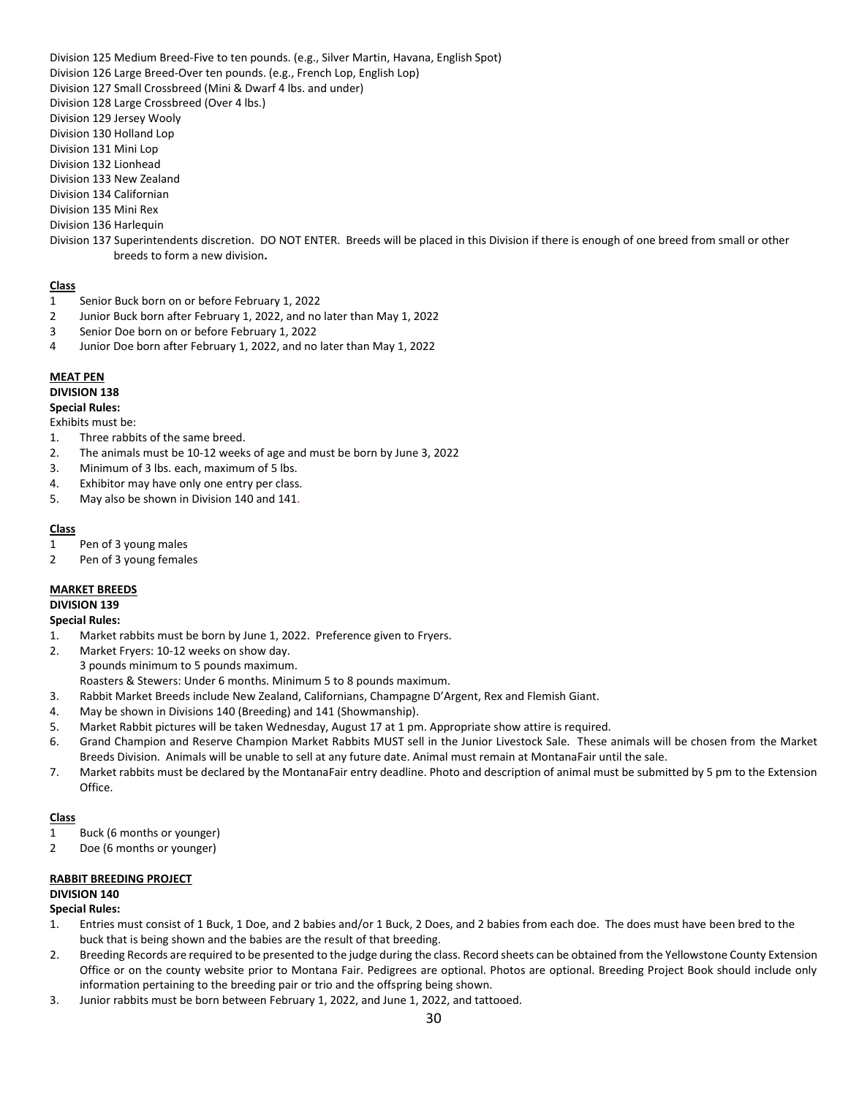Division 125 Medium Breed-Five to ten pounds. (e.g., Silver Martin, Havana, English Spot)

- Division 126 Large Breed-Over ten pounds. (e.g., French Lop, English Lop)
- Division 127 Small Crossbreed (Mini & Dwarf 4 lbs. and under)
- Division 128 Large Crossbreed (Over 4 lbs.)
- Division 129 Jersey Wooly
- Division 130 Holland Lop
- Division 131 Mini Lop
- Division 132 Lionhead
- Division 133 New Zealand
- Division 134 Californian
- Division 135 Mini Rex
- Division 136 Harlequin
- Division 137 Superintendents discretion. DO NOT ENTER. Breeds will be placed in this Division if there is enough of one breed from small or other breeds to form a new division**.**

# **Class**

- 1 Senior Buck born on or before February 1, 2022
- 2 Junior Buck born after February 1, 2022, and no later than May 1, 2022
- 3 Senior Doe born on or before February 1, 2022
- 4 Junior Doe born after February 1, 2022, and no later than May 1, 2022

# **MEAT PEN**

# **DIVISION 138**

#### **Special Rules:**

Exhibits must be:

- 1. Three rabbits of the same breed.
- 2. The animals must be 10-12 weeks of age and must be born by June 3, 2022
- 3. Minimum of 3 lbs. each, maximum of 5 lbs.
- 4. Exhibitor may have only one entry per class.
- 5. May also be shown in Division 140 and 141.

# **Class**

- 1 Pen of 3 young males
- 2 Pen of 3 young females

# **MARKET BREEDS**

**DIVISION 139**

#### **Special Rules:**

- 1. Market rabbits must be born by June 1, 2022. Preference given to Fryers.
- 2. Market Fryers: 10-12 weeks on show day.
- 3 pounds minimum to 5 pounds maximum.
- Roasters & Stewers: Under 6 months. Minimum 5 to 8 pounds maximum.
- 3. Rabbit Market Breeds include New Zealand, Californians, Champagne D'Argent, Rex and Flemish Giant.
- 4. May be shown in Divisions 140 (Breeding) and 141 (Showmanship).
- 5. Market Rabbit pictures will be taken Wednesday, August 17 at 1 pm. Appropriate show attire is required.
- 6. Grand Champion and Reserve Champion Market Rabbits MUST sell in the Junior Livestock Sale. These animals will be chosen from the Market Breeds Division. Animals will be unable to sell at any future date. Animal must remain at MontanaFair until the sale.
- 7. Market rabbits must be declared by the MontanaFair entry deadline. Photo and description of animal must be submitted by 5 pm to the Extension Office.

# **Class**

- 1 Buck (6 months or younger)
- 2 Doe (6 months or younger)

# **RABBIT BREEDING PROJECT**

# **DIVISION 140**

#### **Special Rules:**

- 1. Entries must consist of 1 Buck, 1 Doe, and 2 babies and/or 1 Buck, 2 Does, and 2 babies from each doe. The does must have been bred to the buck that is being shown and the babies are the result of that breeding.
- 2. Breeding Records are required to be presented to the judge during the class. Record sheets can be obtained from the Yellowstone County Extension Office or on the county website prior to Montana Fair. Pedigrees are optional. Photos are optional. Breeding Project Book should include only information pertaining to the breeding pair or trio and the offspring being shown.
- 3. Junior rabbits must be born between February 1, 2022, and June 1, 2022, and tattooed.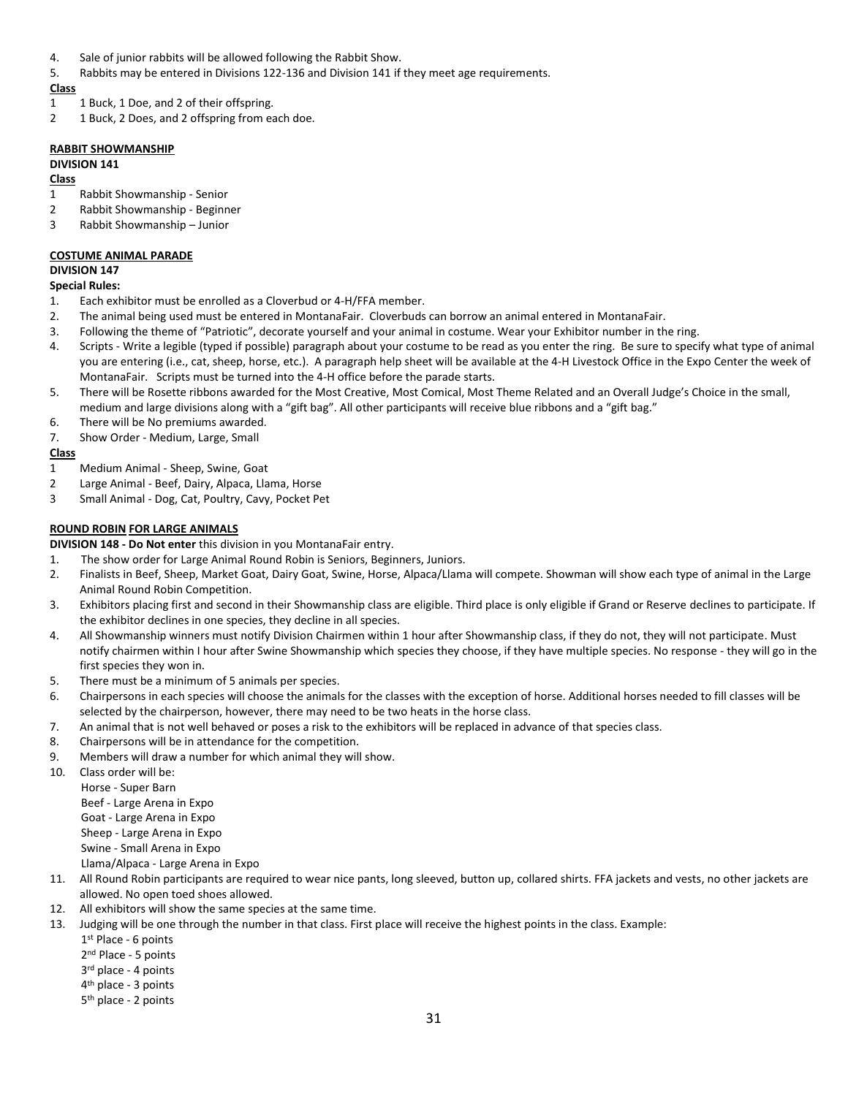- 4. Sale of junior rabbits will be allowed following the Rabbit Show.
- 5. Rabbits may be entered in Divisions 122-136 and Division 141 if they meet age requirements.

- 1 1 Buck, 1 Doe, and 2 of their offspring.
- 2 1 Buck, 2 Does, and 2 offspring from each doe.

### **RABBIT SHOWMANSHIP**

# **DIVISION 141**

# **Class**

- 1 Rabbit Showmanship Senior
- 2 Rabbit Showmanship Beginner
- 3 Rabbit Showmanship Junior

#### **COSTUME ANIMAL PARADE DIVISION 147**

# **Special Rules:**

- 1. Each exhibitor must be enrolled as a Cloverbud or 4-H/FFA member.
- 2. The animal being used must be entered in MontanaFair. Cloverbuds can borrow an animal entered in MontanaFair.
- 3. Following the theme of "Patriotic", decorate yourself and your animal in costume. Wear your Exhibitor number in the ring.
- 4. Scripts Write a legible (typed if possible) paragraph about your costume to be read as you enter the ring. Be sure to specify what type of animal you are entering (i.e., cat, sheep, horse, etc.). A paragraph help sheet will be available at the 4-H Livestock Office in the Expo Center the week of MontanaFair. Scripts must be turned into the 4-H office before the parade starts.
- 5. There will be Rosette ribbons awarded for the Most Creative, Most Comical, Most Theme Related and an Overall Judge's Choice in the small, medium and large divisions along with a "gift bag". All other participants will receive blue ribbons and a "gift bag."
- 6. There will be No premiums awarded.
- 7. Show Order Medium, Large, Small

# **Class**

- 1 Medium Animal Sheep, Swine, Goat
- 2 Large Animal Beef, Dairy, Alpaca, Llama, Horse
- 3 Small Animal Dog, Cat, Poultry, Cavy, Pocket Pet

# **ROUND ROBIN FOR LARGE ANIMALS**

### **DIVISION 148 - Do Not enter** this division in you MontanaFair entry.

- 1. The show order for Large Animal Round Robin is Seniors, Beginners, Juniors.
- 2. Finalists in Beef, Sheep, Market Goat, Dairy Goat, Swine, Horse, Alpaca/Llama will compete. Showman will show each type of animal in the Large Animal Round Robin Competition.
- 3. Exhibitors placing first and second in their Showmanship class are eligible. Third place is only eligible if Grand or Reserve declines to participate. If the exhibitor declines in one species, they decline in all species.
- 4. All Showmanship winners must notify Division Chairmen within 1 hour after Showmanship class, if they do not, they will not participate. Must notify chairmen within I hour after Swine Showmanship which species they choose, if they have multiple species. No response - they will go in the first species they won in.
- 5. There must be a minimum of 5 animals per species.
- 6. Chairpersons in each species will choose the animals for the classes with the exception of horse. Additional horses needed to fill classes will be selected by the chairperson, however, there may need to be two heats in the horse class.
- 7. An animal that is not well behaved or poses a risk to the exhibitors will be replaced in advance of that species class.
- 8. Chairpersons will be in attendance for the competition.
- 9. Members will draw a number for which animal they will show.
- 10. Class order will be:
	- Horse Super Barn
		- Beef Large Arena in Expo
		- Goat Large Arena in Expo
		- Sheep Large Arena in Expo
		- Swine Small Arena in Expo

Llama/Alpaca - Large Arena in Expo

- 11. All Round Robin participants are required to wear nice pants, long sleeved, button up, collared shirts. FFA jackets and vests, no other jackets are allowed. No open toed shoes allowed.
- 12. All exhibitors will show the same species at the same time.
- 13. Judging will be one through the number in that class. First place will receive the highest points in the class. Example:
	- 1 st Place 6 points
	- 2<sup>nd</sup> Place 5 points
	- 3 rd place 4 points
	- 4 th place 3 points
	- 5 th place 2 points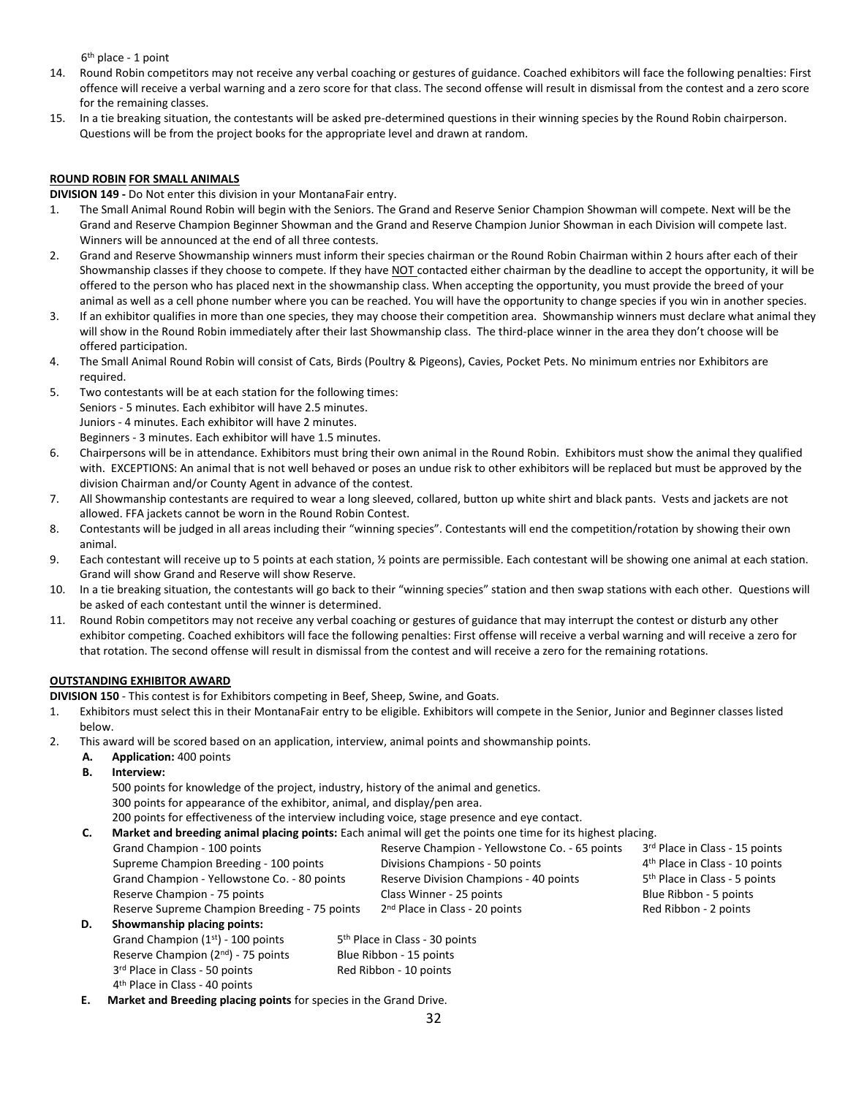6 th place - 1 point

- 14. Round Robin competitors may not receive any verbal coaching or gestures of guidance. Coached exhibitors will face the following penalties: First offence will receive a verbal warning and a zero score for that class. The second offense will result in dismissal from the contest and a zero score for the remaining classes.
- 15. In a tie breaking situation, the contestants will be asked pre-determined questions in their winning species by the Round Robin chairperson. Questions will be from the project books for the appropriate level and drawn at random.

# **ROUND ROBIN FOR SMALL ANIMALS**

**DIVISION 149 -** Do Not enter this division in your MontanaFair entry.

- 1. The Small Animal Round Robin will begin with the Seniors. The Grand and Reserve Senior Champion Showman will compete. Next will be the Grand and Reserve Champion Beginner Showman and the Grand and Reserve Champion Junior Showman in each Division will compete last. Winners will be announced at the end of all three contests.
- 2. Grand and Reserve Showmanship winners must inform their species chairman or the Round Robin Chairman within 2 hours after each of their Showmanship classes if they choose to compete. If they have NOT contacted either chairman by the deadline to accept the opportunity, it will be offered to the person who has placed next in the showmanship class. When accepting the opportunity, you must provide the breed of your animal as well as a cell phone number where you can be reached. You will have the opportunity to change species if you win in another species.
- 3. If an exhibitor qualifies in more than one species, they may choose their competition area. Showmanship winners must declare what animal they will show in the Round Robin immediately after their last Showmanship class. The third-place winner in the area they don't choose will be offered participation.
- 4. The Small Animal Round Robin will consist of Cats, Birds (Poultry & Pigeons), Cavies, Pocket Pets. No minimum entries nor Exhibitors are required.
- 5. Two contestants will be at each station for the following times: Seniors - 5 minutes. Each exhibitor will have 2.5 minutes. Juniors - 4 minutes. Each exhibitor will have 2 minutes. Beginners - 3 minutes. Each exhibitor will have 1.5 minutes.
- 6. Chairpersons will be in attendance. Exhibitors must bring their own animal in the Round Robin. Exhibitors must show the animal they qualified with. EXCEPTIONS: An animal that is not well behaved or poses an undue risk to other exhibitors will be replaced but must be approved by the division Chairman and/or County Agent in advance of the contest.
- 7. All Showmanship contestants are required to wear a long sleeved, collared, button up white shirt and black pants. Vests and jackets are not allowed. FFA jackets cannot be worn in the Round Robin Contest.
- 8. Contestants will be judged in all areas including their "winning species". Contestants will end the competition/rotation by showing their own animal.
- 9. Each contestant will receive up to 5 points at each station, ½ points are permissible. Each contestant will be showing one animal at each station. Grand will show Grand and Reserve will show Reserve.
- 10. In a tie breaking situation, the contestants will go back to their "winning species" station and then swap stations with each other. Questions will be asked of each contestant until the winner is determined.
- 11. Round Robin competitors may not receive any verbal coaching or gestures of guidance that may interrupt the contest or disturb any other exhibitor competing. Coached exhibitors will face the following penalties: First offense will receive a verbal warning and will receive a zero for that rotation. The second offense will result in dismissal from the contest and will receive a zero for the remaining rotations.

# **OUTSTANDING EXHIBITOR AWARD**

**DIVISION 150** - This contest is for Exhibitors competing in Beef, Sheep, Swine, and Goats.

- 1. Exhibitors must select this in their MontanaFair entry to be eligible. Exhibitors will compete in the Senior, Junior and Beginner classes listed below.
- 2. This award will be scored based on an application, interview, animal points and showmanship points.
	- **A. Application:** 400 points
	- **B. Interview:**

500 points for knowledge of the project, industry, history of the animal and genetics.

300 points for appearance of the exhibitor, animal, and display/pen area.

200 points for effectiveness of the interview including voice, stage presence and eye contact.

**C. Market and breeding animal placing points:** Each animal will get the points one time for its highest placing.

|    | Grand Champion - 100 points                   | Reserve Champion - Yellowstone Co. - 65 points | 3rd Place in Class - 15 points             |
|----|-----------------------------------------------|------------------------------------------------|--------------------------------------------|
|    | Supreme Champion Breeding - 100 points        | Divisions Champions - 50 points                | 4 <sup>th</sup> Place in Class - 10 points |
|    | Grand Champion - Yellowstone Co. - 80 points  | Reserve Division Champions - 40 points         | 5 <sup>th</sup> Place in Class - 5 points  |
|    | Reserve Champion - 75 points                  | Class Winner - 25 points                       | Blue Ribbon - 5 points                     |
|    | Reserve Supreme Champion Breeding - 75 points | 2 <sup>nd</sup> Place in Class - 20 points     | Red Ribbon - 2 points                      |
| D. | Showmanship placing points:                   |                                                |                                            |
|    | Grand Champion $(1st)$ - 100 points           | 5 <sup>th</sup> Place in Class - 30 points     |                                            |

4 th Place in Class - 40 points **E. Market and Breeding placing points** for species in the Grand Drive.

Reserve Champion  $(2^{nd})$  - 75 points Blue Ribbon - 15 points 3<sup>rd</sup> Place in Class - 50 points **Red Ribbon - 10 points**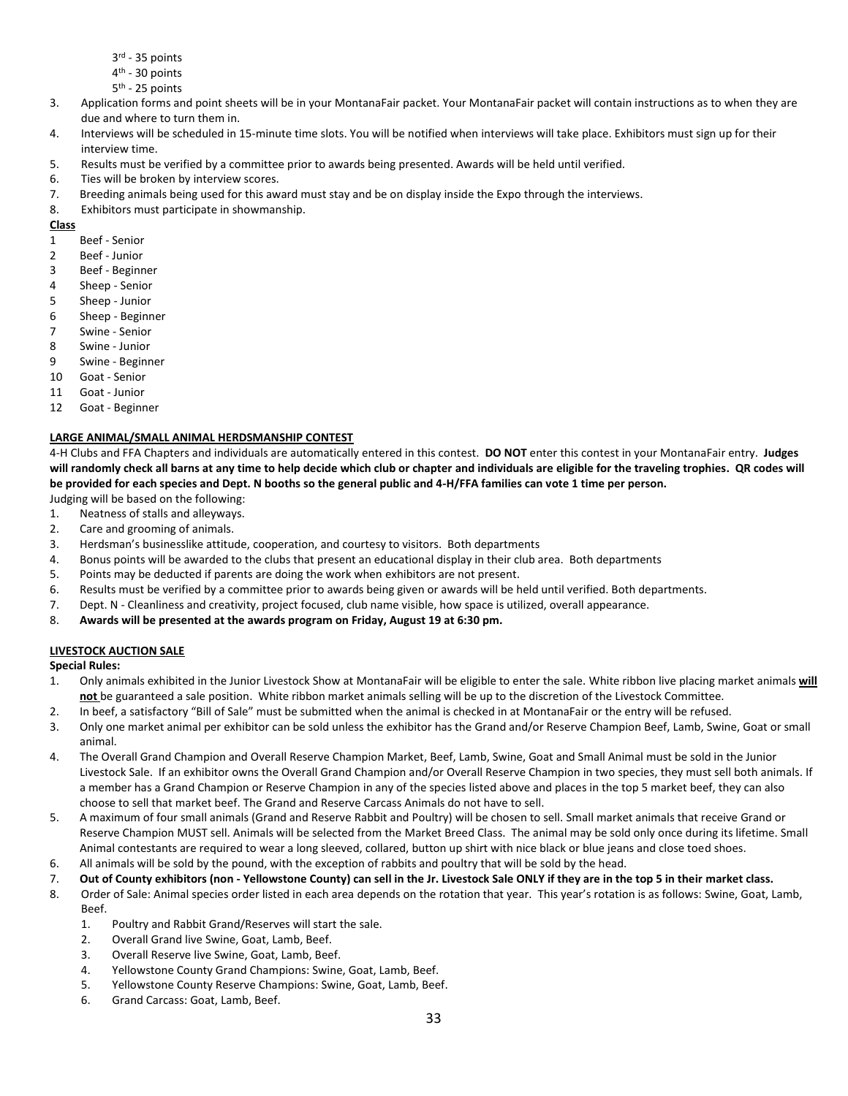- 3 rd 35 points
- 4<sup>th</sup> 30 points
- 5<sup>th</sup> 25 points
- 3. Application forms and point sheets will be in your MontanaFair packet. Your MontanaFair packet will contain instructions as to when they are due and where to turn them in.
- 4. Interviews will be scheduled in 15-minute time slots. You will be notified when interviews will take place. Exhibitors must sign up for their interview time.
- 5. Results must be verified by a committee prior to awards being presented. Awards will be held until verified.
- 6. Ties will be broken by interview scores.
- 7. Breeding animals being used for this award must stay and be on display inside the Expo through the interviews.
- 8. Exhibitors must participate in showmanship.

- 1 Beef Senior
- 2 Beef Junior
- 3 Beef Beginner
- 4 Sheep Senior
- 5 Sheep Junior
- 6 Sheep Beginner
- 7 Swine Senior
- 8 Swine Junior
- 9 Swine Beginner
- 10 Goat Senior
- 11 Goat Junior
- 12 Goat Beginner
- 

# **LARGE ANIMAL/SMALL ANIMAL HERDSMANSHIP CONTEST**

4-H Clubs and FFA Chapters and individuals are automatically entered in this contest. **DO NOT** enter this contest in your MontanaFair entry. **Judges will randomly check all barns at any time to help decide which club or chapter and individuals are eligible for the traveling trophies. QR codes will be provided for each species and Dept. N booths so the general public and 4-H/FFA families can vote 1 time per person.** 

- Judging will be based on the following: 1. Neatness of stalls and alleyways.
- 2. Care and grooming of animals.
- 3. Herdsman's businesslike attitude, cooperation, and courtesy to visitors. Both departments
- 4. Bonus points will be awarded to the clubs that present an educational display in their club area. Both departments
- 5. Points may be deducted if parents are doing the work when exhibitors are not present.
- 6. Results must be verified by a committee prior to awards being given or awards will be held until verified. Both departments.
- 7. Dept. N Cleanliness and creativity, project focused, club name visible, how space is utilized, overall appearance.
- 8. **Awards will be presented at the awards program on Friday, August 19 at 6:30 pm.**

# **LIVESTOCK AUCTION SALE**

**Special Rules:**

- 1. Only animals exhibited in the Junior Livestock Show at MontanaFair will be eligible to enter the sale. White ribbon live placing market animals **will not** be guaranteed a sale position. White ribbon market animals selling will be up to the discretion of the Livestock Committee.
- 2. In beef, a satisfactory "Bill of Sale" must be submitted when the animal is checked in at MontanaFair or the entry will be refused.
- 3. Only one market animal per exhibitor can be sold unless the exhibitor has the Grand and/or Reserve Champion Beef, Lamb, Swine, Goat or small animal.
- 4. The Overall Grand Champion and Overall Reserve Champion Market, Beef, Lamb, Swine, Goat and Small Animal must be sold in the Junior Livestock Sale. If an exhibitor owns the Overall Grand Champion and/or Overall Reserve Champion in two species, they must sell both animals. If a member has a Grand Champion or Reserve Champion in any of the species listed above and places in the top 5 market beef, they can also choose to sell that market beef. The Grand and Reserve Carcass Animals do not have to sell.
- 5. A maximum of four small animals (Grand and Reserve Rabbit and Poultry) will be chosen to sell. Small market animals that receive Grand or Reserve Champion MUST sell. Animals will be selected from the Market Breed Class. The animal may be sold only once during its lifetime. Small Animal contestants are required to wear a long sleeved, collared, button up shirt with nice black or blue jeans and close toed shoes.
- 6. All animals will be sold by the pound, with the exception of rabbits and poultry that will be sold by the head.
- 7. **Out of County exhibitors (non - Yellowstone County) can sell in the Jr. Livestock Sale ONLY if they are in the top 5 in their market class.**
- 8. Order of Sale: Animal species order listed in each area depends on the rotation that year. This year's rotation is as follows: Swine, Goat, Lamb, Beef.
	- 1. Poultry and Rabbit Grand/Reserves will start the sale.
	- 2. Overall Grand live Swine, Goat, Lamb, Beef.
	- 3. Overall Reserve live Swine, Goat, Lamb, Beef.
	- 4. Yellowstone County Grand Champions: Swine, Goat, Lamb, Beef.
	- 5. Yellowstone County Reserve Champions: Swine, Goat, Lamb, Beef.
	- 6. Grand Carcass: Goat, Lamb, Beef.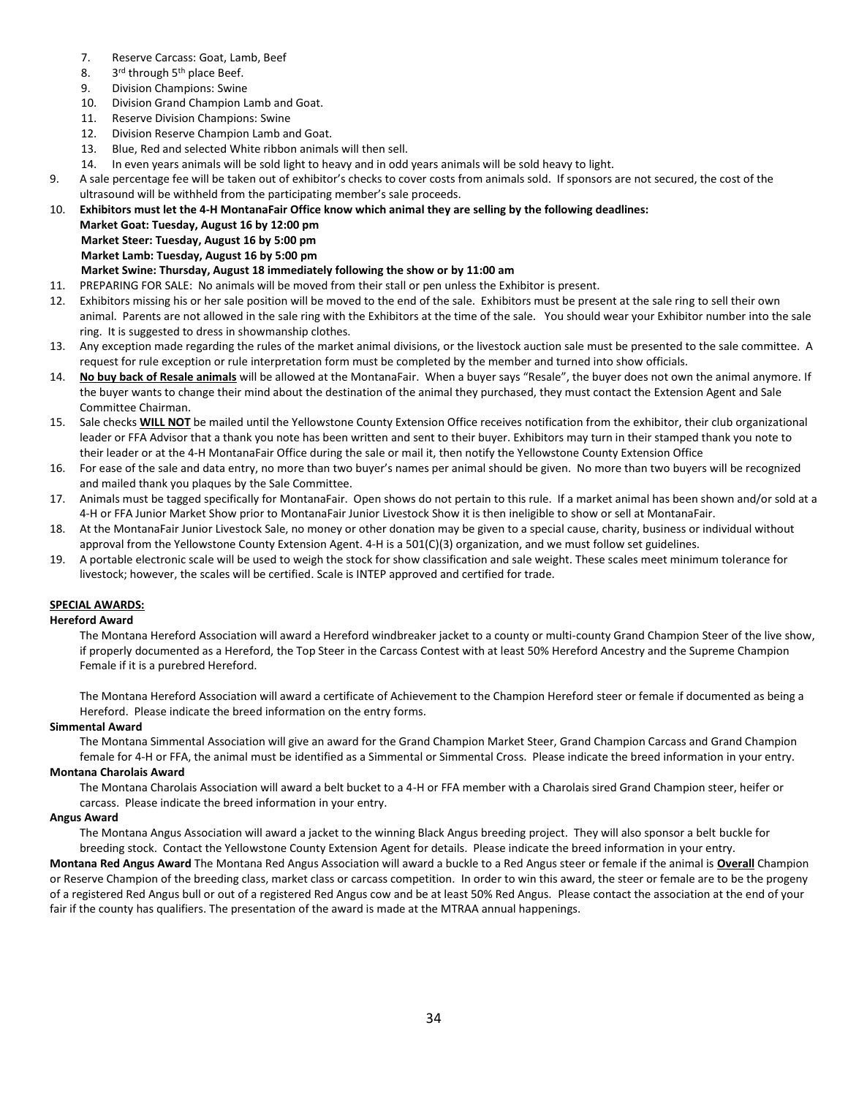- 7. Reserve Carcass: Goat, Lamb, Beef
- 8. 3rd through 5<sup>th</sup> place Beef.
- 9. Division Champions: Swine
- 10. Division Grand Champion Lamb and Goat.
- 11. Reserve Division Champions: Swine
- 12. Division Reserve Champion Lamb and Goat.
- 13. Blue, Red and selected White ribbon animals will then sell.
- 14. In even years animals will be sold light to heavy and in odd years animals will be sold heavy to light.
- 9. A sale percentage fee will be taken out of exhibitor's checks to cover costs from animals sold. If sponsors are not secured, the cost of the ultrasound will be withheld from the participating member's sale proceeds.
- 10. **Exhibitors must let the 4-H MontanaFair Office know which animal they are selling by the following deadlines:**

**Market Goat: Tuesday, August 16 by 12:00 pm**

**Market Steer: Tuesday, August 16 by 5:00 pm**

# **Market Lamb: Tuesday, August 16 by 5:00 pm**

# **Market Swine: Thursday, August 18 immediately following the show or by 11:00 am**

- 11. PREPARING FOR SALE: No animals will be moved from their stall or pen unless the Exhibitor is present.
- 12. Exhibitors missing his or her sale position will be moved to the end of the sale. Exhibitors must be present at the sale ring to sell their own animal. Parents are not allowed in the sale ring with the Exhibitors at the time of the sale. You should wear your Exhibitor number into the sale ring. It is suggested to dress in showmanship clothes.
- 13. Any exception made regarding the rules of the market animal divisions, or the livestock auction sale must be presented to the sale committee. A request for rule exception or rule interpretation form must be completed by the member and turned into show officials.
- 14. **No buy back of Resale animals** will be allowed at the MontanaFair. When a buyer says "Resale", the buyer does not own the animal anymore. If the buyer wants to change their mind about the destination of the animal they purchased, they must contact the Extension Agent and Sale Committee Chairman.
- 15. Sale checks **WILL NOT** be mailed until the Yellowstone County Extension Office receives notification from the exhibitor, their club organizational leader or FFA Advisor that a thank you note has been written and sent to their buyer. Exhibitors may turn in their stamped thank you note to their leader or at the 4-H MontanaFair Office during the sale or mail it, then notify the Yellowstone County Extension Office
- 16. For ease of the sale and data entry, no more than two buyer's names per animal should be given. No more than two buyers will be recognized and mailed thank you plaques by the Sale Committee.
- 17. Animals must be tagged specifically for MontanaFair. Open shows do not pertain to this rule. If a market animal has been shown and/or sold at a 4-H or FFA Junior Market Show prior to MontanaFair Junior Livestock Show it is then ineligible to show or sell at MontanaFair.
- 18. At the MontanaFair Junior Livestock Sale, no money or other donation may be given to a special cause, charity, business or individual without approval from the Yellowstone County Extension Agent. 4-H is a 501(C)(3) organization, and we must follow set guidelines.
- 19. A portable electronic scale will be used to weigh the stock for show classification and sale weight. These scales meet minimum tolerance for livestock; however, the scales will be certified. Scale is INTEP approved and certified for trade.

# **SPECIAL AWARDS:**

# **Hereford Award**

The Montana Hereford Association will award a Hereford windbreaker jacket to a county or multi-county Grand Champion Steer of the live show, if properly documented as a Hereford, the Top Steer in the Carcass Contest with at least 50% Hereford Ancestry and the Supreme Champion Female if it is a purebred Hereford.

The Montana Hereford Association will award a certificate of Achievement to the Champion Hereford steer or female if documented as being a Hereford. Please indicate the breed information on the entry forms.

# **Simmental Award**

The Montana Simmental Association will give an award for the Grand Champion Market Steer, Grand Champion Carcass and Grand Champion female for 4-H or FFA, the animal must be identified as a Simmental or Simmental Cross. Please indicate the breed information in your entry.

# **Montana Charolais Award**

The Montana Charolais Association will award a belt bucket to a 4-H or FFA member with a Charolais sired Grand Champion steer, heifer or carcass. Please indicate the breed information in your entry.

# **Angus Award**

The Montana Angus Association will award a jacket to the winning Black Angus breeding project. They will also sponsor a belt buckle for breeding stock. Contact the Yellowstone County Extension Agent for details. Please indicate the breed information in your entry.

**Montana Red Angus Award** The Montana Red Angus Association will award a buckle to a Red Angus steer or female if the animal is **Overall** Champion or Reserve Champion of the breeding class, market class or carcass competition. In order to win this award, the steer or female are to be the progeny of a registered Red Angus bull or out of a registered Red Angus cow and be at least 50% Red Angus. Please contact the association at the end of your fair if the county has qualifiers. The presentation of the award is made at the MTRAA annual happenings.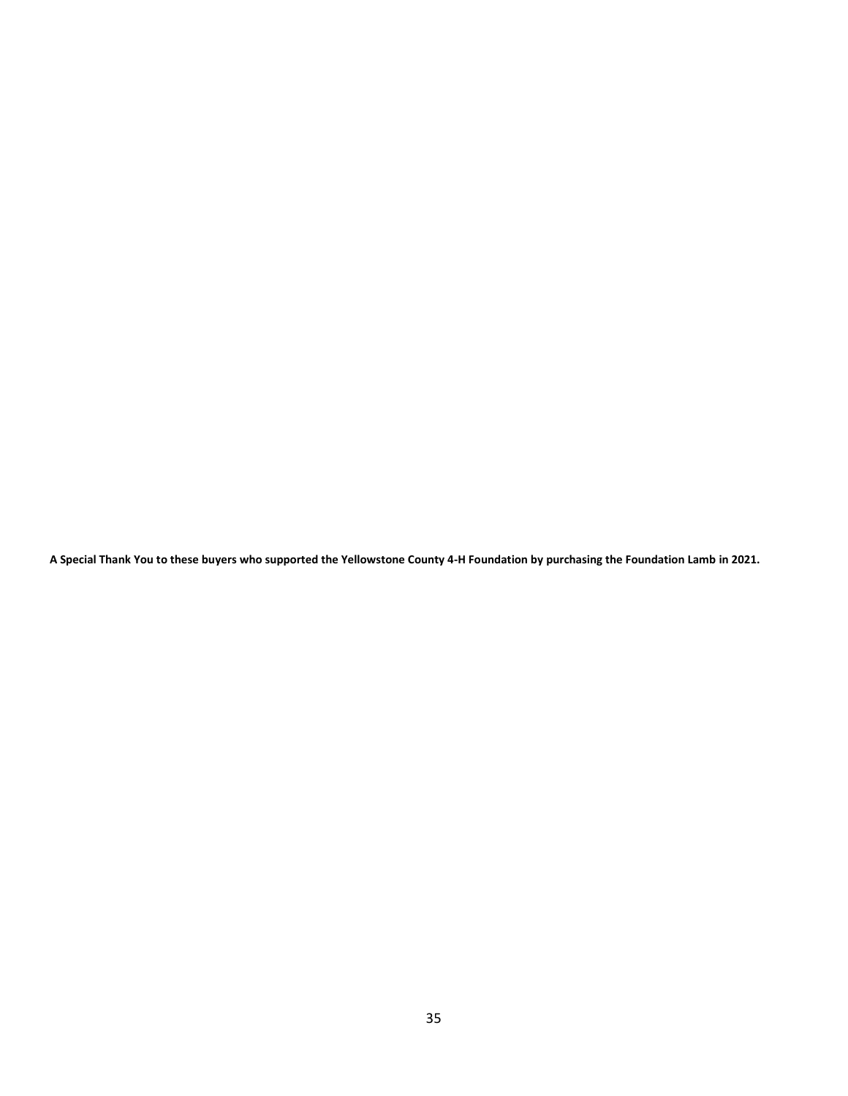**A Special Thank You to these buyers who supported the Yellowstone County 4-H Foundation by purchasing the Foundation Lamb in 2021.**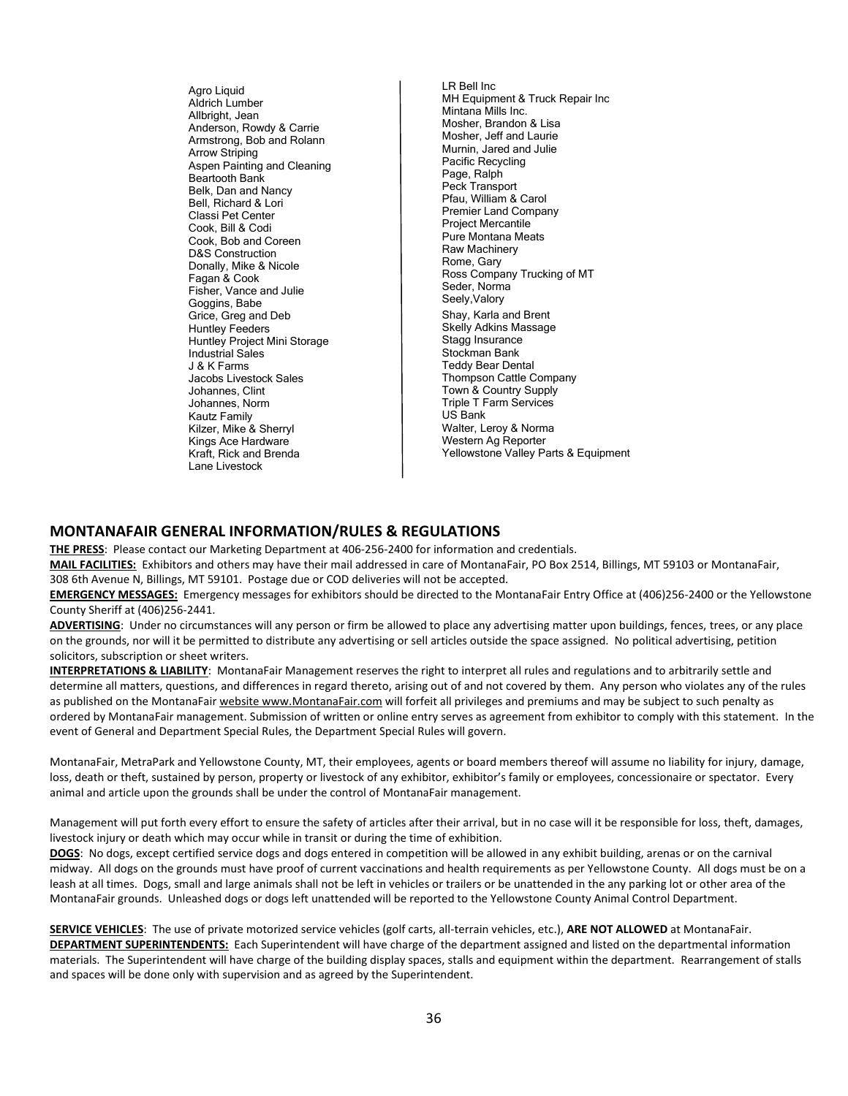Agro Liquid Aldrich Lumber Allbright, Jean Anderson, Rowdy & Carrie Armstrong, Bob and Rolann Arrow Striping Aspen Painting and Cleaning Beartooth Bank Belk, Dan and Nancy Bell, Richard & Lori Classi Pet Center Cook, Bill & Codi Cook, Bob and Coreen D&S Construction Donally, Mike & Nicole Fagan & Cook Fisher, Vance and Julie Goggins, Babe Grice, Greg and Deb Huntley Feeders Huntley Project Mini Storage Industrial Sales J & K Farms Jacobs Livestock Sales Johannes, Clint Johannes, Norm Kautz Family Kilzer, Mike & Sherryl Kings Ace Hardware Kraft, Rick and Brenda Lane Livestock

LR Bell Inc MH Equipment & Truck Repair Inc Mintana Mills Inc. Mosher, Brandon & Lisa Mosher, Jeff and Laurie Murnin, Jared and Julie Pacific Recycling Page, Ralph Peck Transport Pfau, William & Carol Premier Land Company Project Mercantile Pure Montana Meats Raw Machinery Rome, Gary Ross Company Trucking of MT Seder, Norma Seely,Valory Shay, Karla and Brent Skelly Adkins Massage Stagg Insurance Stockman Bank Teddy Bear Dental Thompson Cattle Company Town & Country Supply Triple T Farm Services US Bank Walter, Leroy & Norma Western Ag Reporter Yellowstone Valley Parts & Equipment

# **MONTANAFAIR GENERAL INFORMATION/RULES & REGULATIONS**

**THE PRESS**: Please contact our Marketing Department at 406-256-2400 for information and credentials.

**MAIL FACILITIES:** Exhibitors and others may have their mail addressed in care of MontanaFair, PO Box 2514, Billings, MT 59103 or MontanaFair, 308 6th Avenue N, Billings, MT 59101. Postage due or COD deliveries will not be accepted.

**EMERGENCY MESSAGES:** Emergency messages for exhibitors should be directed to the MontanaFair Entry Office at (406)256-2400 or the Yellowstone County Sheriff at (406)256-2441.

**ADVERTISING**: Under no circumstances will any person or firm be allowed to place any advertising matter upon buildings, fences, trees, or any place on the grounds, nor will it be permitted to distribute any advertising or sell articles outside the space assigned. No political advertising, petition solicitors, subscription or sheet writers.

**INTERPRETATIONS & LIABILITY**: MontanaFair Management reserves the right to interpret all rules and regulations and to arbitrarily settle and determine all matters, questions, and differences in regard thereto, arising out of and not covered by them. Any person who violates any of the rules as published on the MontanaFair website www.MontanaFair.com will forfeit all privileges and premiums and may be subject to such penalty as ordered by MontanaFair management. Submission of written or online entry serves as agreement from exhibitor to comply with this statement. In the event of General and Department Special Rules, the Department Special Rules will govern.

MontanaFair, MetraPark and Yellowstone County, MT, their employees, agents or board members thereof will assume no liability for injury, damage, loss, death or theft, sustained by person, property or livestock of any exhibitor, exhibitor's family or employees, concessionaire or spectator. Every animal and article upon the grounds shall be under the control of MontanaFair management.

Management will put forth every effort to ensure the safety of articles after their arrival, but in no case will it be responsible for loss, theft, damages, livestock injury or death which may occur while in transit or during the time of exhibition.

**DOGS**: No dogs, except certified service dogs and dogs entered in competition will be allowed in any exhibit building, arenas or on the carnival midway. All dogs on the grounds must have proof of current vaccinations and health requirements as per Yellowstone County. All dogs must be on a leash at all times. Dogs, small and large animals shall not be left in vehicles or trailers or be unattended in the any parking lot or other area of the MontanaFair grounds. Unleashed dogs or dogs left unattended will be reported to the Yellowstone County Animal Control Department.

**SERVICE VEHICLES**: The use of private motorized service vehicles (golf carts, all-terrain vehicles, etc.), **ARE NOT ALLOWED** at MontanaFair. **DEPARTMENT SUPERINTENDENTS:** Each Superintendent will have charge of the department assigned and listed on the departmental information materials. The Superintendent will have charge of the building display spaces, stalls and equipment within the department. Rearrangement of stalls and spaces will be done only with supervision and as agreed by the Superintendent.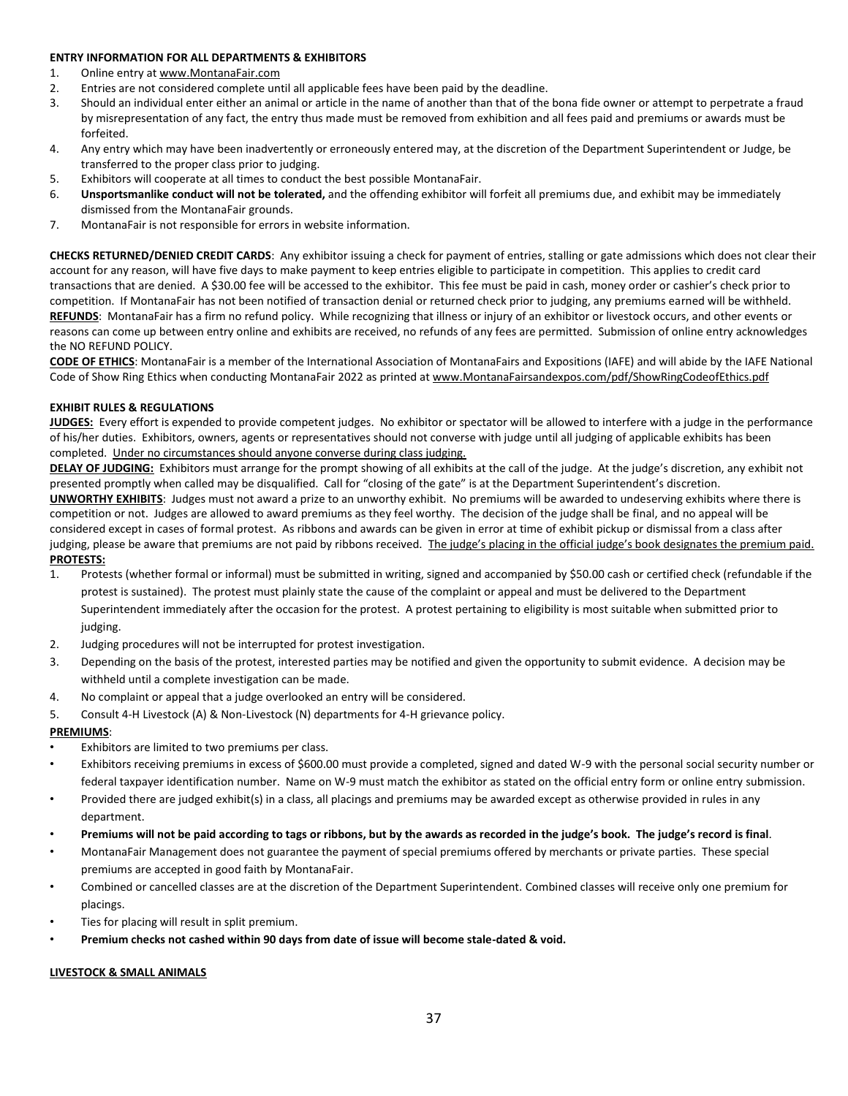# **ENTRY INFORMATION FOR ALL DEPARTMENTS & EXHIBITORS**

- 1. Online entry a[t www.MontanaFair.com](http://www.montanafair.com/)
- 2. Entries are not considered complete until all applicable fees have been paid by the deadline.
- 3. Should an individual enter either an animal or article in the name of another than that of the bona fide owner or attempt to perpetrate a fraud by misrepresentation of any fact, the entry thus made must be removed from exhibition and all fees paid and premiums or awards must be forfeited.
- 4. Any entry which may have been inadvertently or erroneously entered may, at the discretion of the Department Superintendent or Judge, be transferred to the proper class prior to judging.
- 5. Exhibitors will cooperate at all times to conduct the best possible MontanaFair.
- 6. **Unsportsmanlike conduct will not be tolerated,** and the offending exhibitor will forfeit all premiums due, and exhibit may be immediately dismissed from the MontanaFair grounds.
- 7. MontanaFair is not responsible for errors in website information.

**CHECKS RETURNED/DENIED CREDIT CARDS**: Any exhibitor issuing a check for payment of entries, stalling or gate admissions which does not clear their account for any reason, will have five days to make payment to keep entries eligible to participate in competition. This applies to credit card transactions that are denied. A \$30.00 fee will be accessed to the exhibitor. This fee must be paid in cash, money order or cashier's check prior to competition. If MontanaFair has not been notified of transaction denial or returned check prior to judging, any premiums earned will be withheld. **REFUNDS**: MontanaFair has a firm no refund policy. While recognizing that illness or injury of an exhibitor or livestock occurs, and other events or reasons can come up between entry online and exhibits are received, no refunds of any fees are permitted. Submission of online entry acknowledges the NO REFUND POLICY.

**CODE OF ETHICS**: MontanaFair is a member of the International Association of MontanaFairs and Expositions (IAFE) and will abide by the IAFE National Code of Show Ring Ethics when conducting MontanaFair 2022 as printed at www.MontanaFairsandexpos.com/pdf/ShowRingCodeofEthics.pdf

#### **EXHIBIT RULES & REGULATIONS**

**JUDGES:** Every effort is expended to provide competent judges. No exhibitor or spectator will be allowed to interfere with a judge in the performance of his/her duties. Exhibitors, owners, agents or representatives should not converse with judge until all judging of applicable exhibits has been completed. Under no circumstances should anyone converse during class judging.

**DELAY OF JUDGING:** Exhibitors must arrange for the prompt showing of all exhibits at the call of the judge. At the judge's discretion, any exhibit not presented promptly when called may be disqualified. Call for "closing of the gate" is at the Department Superintendent's discretion. **UNWORTHY EXHIBITS**: Judges must not award a prize to an unworthy exhibit. No premiums will be awarded to undeserving exhibits where there is competition or not. Judges are allowed to award premiums as they feel worthy. The decision of the judge shall be final, and no appeal will be

considered except in cases of formal protest. As ribbons and awards can be given in error at time of exhibit pickup or dismissal from a class after judging, please be aware that premiums are not paid by ribbons received. The judge's placing in the official judge's book designates the premium paid. **PROTESTS:**

- 1. Protests (whether formal or informal) must be submitted in writing, signed and accompanied by \$50.00 cash or certified check (refundable if the protest is sustained). The protest must plainly state the cause of the complaint or appeal and must be delivered to the Department Superintendent immediately after the occasion for the protest. A protest pertaining to eligibility is most suitable when submitted prior to judging.
- 2. Judging procedures will not be interrupted for protest investigation.
- 3. Depending on the basis of the protest, interested parties may be notified and given the opportunity to submit evidence. A decision may be withheld until a complete investigation can be made.
- 4. No complaint or appeal that a judge overlooked an entry will be considered.
- 5. Consult 4-H Livestock (A) & Non-Livestock (N) departments for 4-H grievance policy.

# **PREMIUMS**:

- Exhibitors are limited to two premiums per class.
- Exhibitors receiving premiums in excess of \$600.00 must provide a completed, signed and dated W-9 with the personal social security number or federal taxpayer identification number. Name on W-9 must match the exhibitor as stated on the official entry form or online entry submission.
- Provided there are judged exhibit(s) in a class, all placings and premiums may be awarded except as otherwise provided in rules in any department.
- **Premiums will not be paid according to tags or ribbons, but by the awards as recorded in the judge's book. The judge's record is final**.
- MontanaFair Management does not guarantee the payment of special premiums offered by merchants or private parties. These special premiums are accepted in good faith by MontanaFair.
- Combined or cancelled classes are at the discretion of the Department Superintendent. Combined classes will receive only one premium for placings.
- Ties for placing will result in split premium.
- **Premium checks not cashed within 90 days from date of issue will become stale-dated & void.**

#### **LIVESTOCK & SMALL ANIMALS**